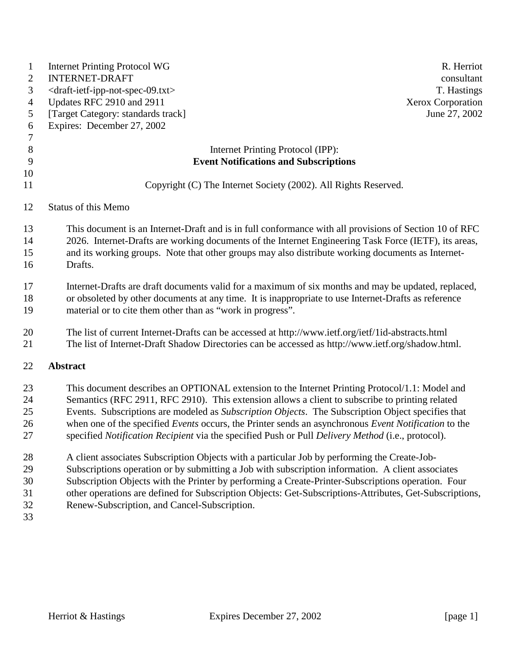| $\mathbf{1}$<br>$\overline{c}$<br>3<br>$\overline{4}$<br>5<br>6<br>$\overline{7}$ | <b>Internet Printing Protocol WG</b><br>R. Herriot<br><b>INTERNET-DRAFT</b><br>consultant<br><draft-ietf-ipp-not-spec-09.txt><br/>T. Hastings<br/>Updates RFC 2910 and 2911<br/><b>Xerox Corporation</b><br/>[Target Category: standards track]<br/>June 27, 2002<br/>Expires: December 27, 2002</draft-ietf-ipp-not-spec-09.txt>                                                                                                                                                                                                                                                                                                                                                                                                                                                                                                                                                                                                                                                         |
|-----------------------------------------------------------------------------------|-------------------------------------------------------------------------------------------------------------------------------------------------------------------------------------------------------------------------------------------------------------------------------------------------------------------------------------------------------------------------------------------------------------------------------------------------------------------------------------------------------------------------------------------------------------------------------------------------------------------------------------------------------------------------------------------------------------------------------------------------------------------------------------------------------------------------------------------------------------------------------------------------------------------------------------------------------------------------------------------|
| $8\,$                                                                             | Internet Printing Protocol (IPP):                                                                                                                                                                                                                                                                                                                                                                                                                                                                                                                                                                                                                                                                                                                                                                                                                                                                                                                                                         |
| 9<br>10                                                                           | <b>Event Notifications and Subscriptions</b>                                                                                                                                                                                                                                                                                                                                                                                                                                                                                                                                                                                                                                                                                                                                                                                                                                                                                                                                              |
| 11                                                                                | Copyright (C) The Internet Society (2002). All Rights Reserved.                                                                                                                                                                                                                                                                                                                                                                                                                                                                                                                                                                                                                                                                                                                                                                                                                                                                                                                           |
| 12                                                                                | <b>Status of this Memo</b>                                                                                                                                                                                                                                                                                                                                                                                                                                                                                                                                                                                                                                                                                                                                                                                                                                                                                                                                                                |
| 13<br>14<br>15<br>16                                                              | This document is an Internet-Draft and is in full conformance with all provisions of Section 10 of RFC<br>2026. Internet-Drafts are working documents of the Internet Engineering Task Force (IETF), its areas,<br>and its working groups. Note that other groups may also distribute working documents as Internet-<br>Drafts.                                                                                                                                                                                                                                                                                                                                                                                                                                                                                                                                                                                                                                                           |
| 17<br>18<br>19                                                                    | Internet-Drafts are draft documents valid for a maximum of six months and may be updated, replaced,<br>or obsoleted by other documents at any time. It is inappropriate to use Internet-Drafts as reference<br>material or to cite them other than as "work in progress".                                                                                                                                                                                                                                                                                                                                                                                                                                                                                                                                                                                                                                                                                                                 |
| 20<br>21                                                                          | The list of current Internet-Drafts can be accessed at http://www.ietf.org/ietf/1id-abstracts.html<br>The list of Internet-Draft Shadow Directories can be accessed as http://www.ietf.org/shadow.html.                                                                                                                                                                                                                                                                                                                                                                                                                                                                                                                                                                                                                                                                                                                                                                                   |
| 22                                                                                | <b>Abstract</b>                                                                                                                                                                                                                                                                                                                                                                                                                                                                                                                                                                                                                                                                                                                                                                                                                                                                                                                                                                           |
| 23<br>24<br>25<br>26<br>27<br>28<br>29<br>30<br>31<br>32<br>33                    | This document describes an OPTIONAL extension to the Internet Printing Protocol/1.1: Model and<br>Semantics (RFC 2911, RFC 2910). This extension allows a client to subscribe to printing related<br>Events. Subscriptions are modeled as Subscription Objects. The Subscription Object specifies that<br>when one of the specified Events occurs, the Printer sends an asynchronous Event Notification to the<br>specified Notification Recipient via the specified Push or Pull Delivery Method (i.e., protocol).<br>A client associates Subscription Objects with a particular Job by performing the Create-Job-<br>Subscriptions operation or by submitting a Job with subscription information. A client associates<br>Subscription Objects with the Printer by performing a Create-Printer-Subscriptions operation. Four<br>other operations are defined for Subscription Objects: Get-Subscriptions-Attributes, Get-Subscriptions,<br>Renew-Subscription, and Cancel-Subscription. |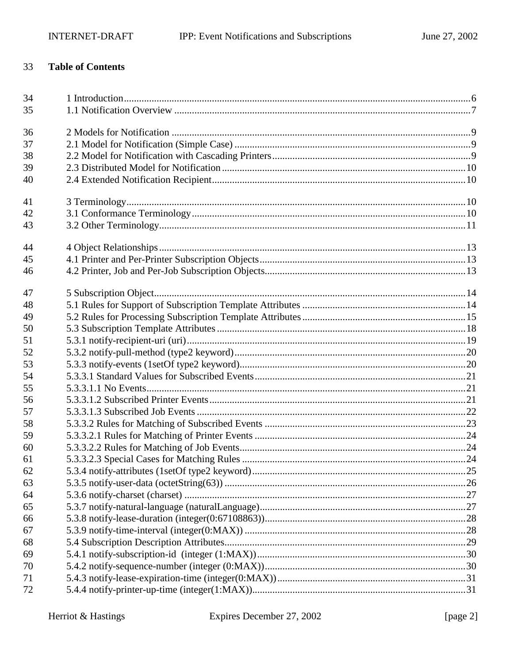#### 33 **Table of Contents**

| 34 |  |
|----|--|
| 35 |  |
| 36 |  |
| 37 |  |
| 38 |  |
| 39 |  |
| 40 |  |
| 41 |  |
| 42 |  |
| 43 |  |
| 44 |  |
| 45 |  |
| 46 |  |
| 47 |  |
| 48 |  |
| 49 |  |
| 50 |  |
| 51 |  |
| 52 |  |
| 53 |  |
| 54 |  |
| 55 |  |
| 56 |  |
| 57 |  |
| 58 |  |
| 59 |  |
| 60 |  |
| 61 |  |
| 62 |  |
| 63 |  |
| 64 |  |
| 65 |  |
| 66 |  |
| 67 |  |
| 68 |  |
| 69 |  |
| 70 |  |
| 71 |  |
| 72 |  |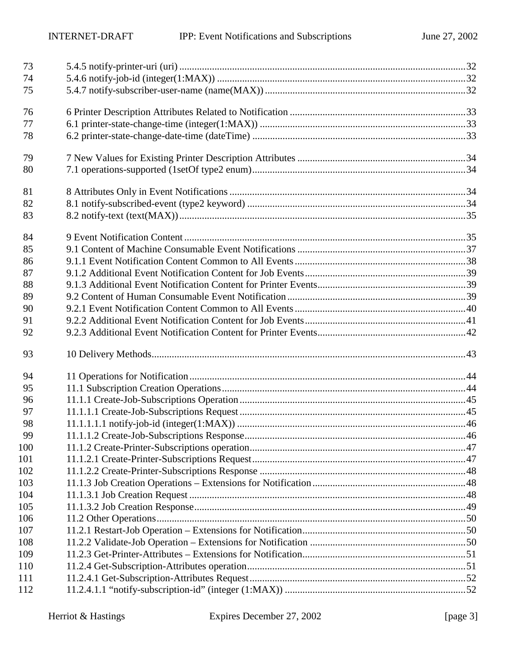| 73  |  |
|-----|--|
| 74  |  |
| 75  |  |
| 76  |  |
| 77  |  |
| 78  |  |
| 79  |  |
| 80  |  |
| 81  |  |
| 82  |  |
| 83  |  |
| 84  |  |
| 85  |  |
| 86  |  |
| 87  |  |
| 88  |  |
| 89  |  |
| 90  |  |
| 91  |  |
| 92  |  |
| 93  |  |
| 94  |  |
| 95  |  |
| 96  |  |
| 97  |  |
| 98  |  |
| 99  |  |
| 100 |  |
| 101 |  |
| 102 |  |
| 103 |  |
| 104 |  |
| 105 |  |
| 106 |  |
| 107 |  |
| 108 |  |
| 109 |  |
| 110 |  |
| 111 |  |
| 112 |  |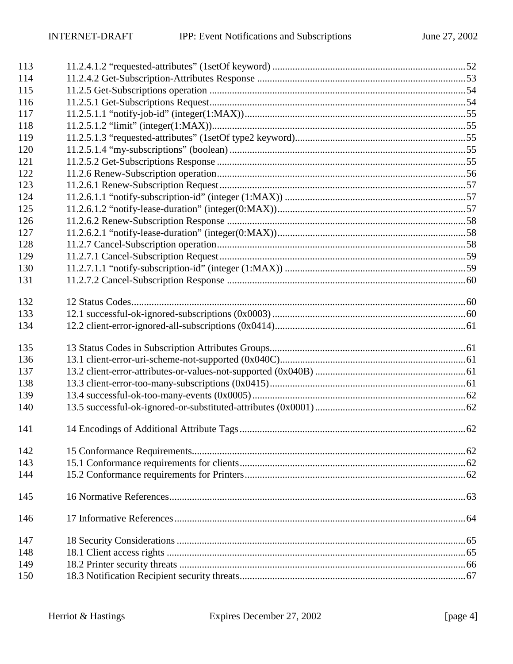| 113 |  |
|-----|--|
| 114 |  |
| 115 |  |
| 116 |  |
| 117 |  |
| 118 |  |
| 119 |  |
| 120 |  |
| 121 |  |
| 122 |  |
| 123 |  |
| 124 |  |
| 125 |  |
| 126 |  |
| 127 |  |
| 128 |  |
| 129 |  |
| 130 |  |
| 131 |  |
| 132 |  |
| 133 |  |
| 134 |  |
| 135 |  |
| 136 |  |
| 137 |  |
| 138 |  |
| 139 |  |
| 140 |  |
| 141 |  |
| 142 |  |
| 143 |  |
| 144 |  |
| 145 |  |
| 146 |  |
| 147 |  |
| 148 |  |
| 149 |  |
| 150 |  |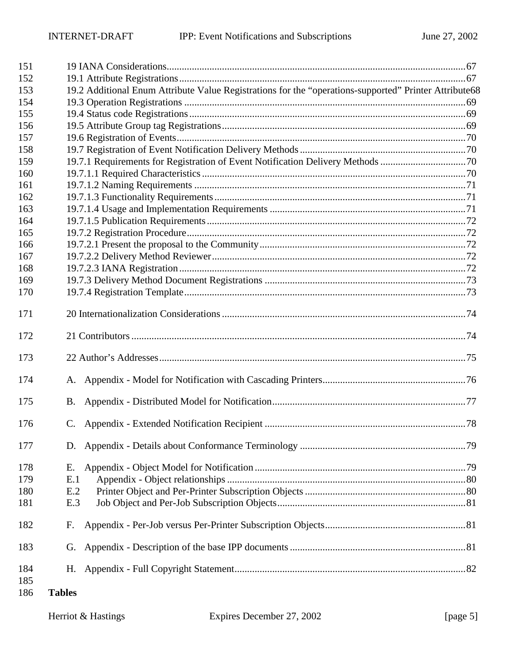| 151        |               |                                                                                                       |  |
|------------|---------------|-------------------------------------------------------------------------------------------------------|--|
| 152        |               |                                                                                                       |  |
| 153        |               | 19.2 Additional Enum Attribute Value Registrations for the "operations-supported" Printer Attribute68 |  |
| 154        |               |                                                                                                       |  |
| 155        |               |                                                                                                       |  |
| 156        |               |                                                                                                       |  |
| 157        |               |                                                                                                       |  |
| 158        |               |                                                                                                       |  |
| 159        |               | 19.7.1 Requirements for Registration of Event Notification Delivery Methods 70                        |  |
| 160        |               |                                                                                                       |  |
| 161        |               |                                                                                                       |  |
| 162        |               |                                                                                                       |  |
| 163        |               |                                                                                                       |  |
| 164        |               |                                                                                                       |  |
| 165        |               |                                                                                                       |  |
| 166        |               |                                                                                                       |  |
| 167        |               |                                                                                                       |  |
| 168        |               |                                                                                                       |  |
| 169        |               |                                                                                                       |  |
| 170        |               |                                                                                                       |  |
| 171        |               |                                                                                                       |  |
| 172        |               |                                                                                                       |  |
| 173        |               |                                                                                                       |  |
| 174        |               |                                                                                                       |  |
| 175        | В.            |                                                                                                       |  |
| 176        |               |                                                                                                       |  |
| 177        |               |                                                                                                       |  |
| 178        | Е.            |                                                                                                       |  |
| 179        | E.1           |                                                                                                       |  |
| 180        | E.2           |                                                                                                       |  |
| 181        | E.3           |                                                                                                       |  |
| 182        | F.            |                                                                                                       |  |
| 183        | G.            |                                                                                                       |  |
| 184        |               |                                                                                                       |  |
| 185<br>186 | <b>Tables</b> |                                                                                                       |  |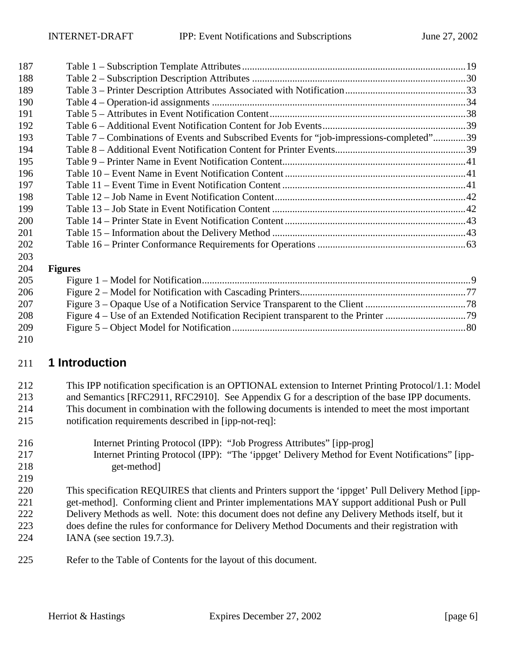<span id="page-5-0"></span>

| 187 |                                                                                          |  |
|-----|------------------------------------------------------------------------------------------|--|
| 188 |                                                                                          |  |
| 189 |                                                                                          |  |
| 190 |                                                                                          |  |
| 191 |                                                                                          |  |
| 192 |                                                                                          |  |
| 193 | Table 7 – Combinations of Events and Subscribed Events for "job-impressions-completed"39 |  |
| 194 |                                                                                          |  |
| 195 |                                                                                          |  |
| 196 |                                                                                          |  |
| 197 |                                                                                          |  |
| 198 |                                                                                          |  |
| 199 |                                                                                          |  |
| 200 |                                                                                          |  |
| 201 |                                                                                          |  |
| 202 |                                                                                          |  |
| 203 |                                                                                          |  |
| 204 | <b>Figures</b>                                                                           |  |
| 205 |                                                                                          |  |
| 206 |                                                                                          |  |
| 207 |                                                                                          |  |
| 208 |                                                                                          |  |

[Figure 5 – Object Model for Notification .............................................................................................80](#page-79-0)  

## **1 Introduction**

212 This IPP notification specification is an OPTIONAL extension to Internet Printing Protocol/1.1: Model 213 and Semantics [RFC2911, RFC2910]. See Appendix [G](#page-80-0) for a description of the base IPP documents. 214 This document in combination with the following documents is intended to meet the most important 215 notification requirements described in [ipp-not-req]:

- 216 Internet Printing Protocol (IPP): "Job Progress Attributes" [ipp-prog] 217 Internet Printing Protocol (IPP): "The 'ippget' Delivery Method for Event Notifications" [ipp-218 get-method
- 220 This specification REQUIRES that clients and Printers support the 'ippget' Pull Delivery Method [ipp-221 get-method]. Conforming client and Printer implementations MAY support additional Push or Pull 222 Delivery Methods as well. Note: this document does not define any Delivery Methods itself, but it 223 does define the rules for conformance for Delivery Method Documents and their registration with 224 IANA (see section [19.7.3\)](#page-72-0).
- 225 Refer to the Table of Contents for the layout of this document.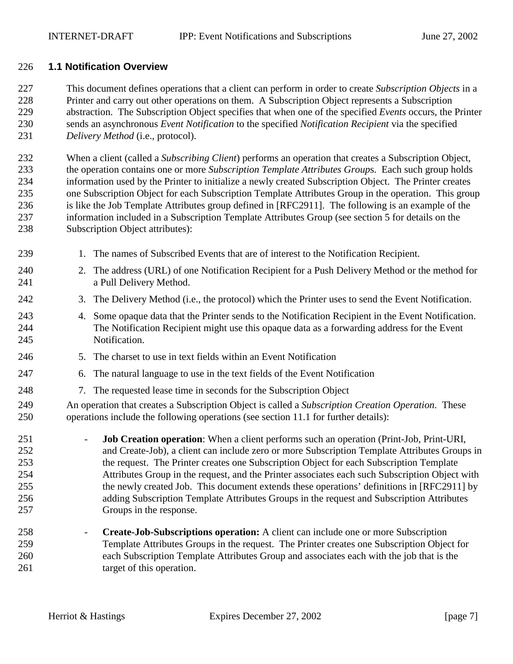#### <span id="page-6-0"></span>226 **1.1 Notification Overview**

227 This document defines operations that a client can perform in order to create *Subscription Objects* in a 228 Printer and carry out other operations on them. A Subscription Object represents a Subscription 229 abstraction. The Subscription Object specifies that when one of the specified *Events* occurs, the Printer 230 sends an asynchronous *Event Notification* to the specified *Notification Recipient* via the specified 231 *Delivery Method* (i.e., protocol).

232 When a client (called a *Subscribing Client*) performs an operation that creates a Subscription Object, 233 the operation contains one or more *Subscription Template Attributes Group*s. Each such group holds 234 information used by the Printer to initialize a newly created Subscription Object. The Printer creates 235 one Subscription Object for each Subscription Template Attributes Group in the operation. This group 236 is like the Job Template Attributes group defined in [RFC2911]. The following is an example of the 237 information included in a Subscription Template Attributes Group (see section [5](#page-13-0) for details on the 238 Subscription Object attributes):

- 239 1. The names of Subscribed Events that are of interest to the Notification Recipient.
- 240 2. The address (URL) of one Notification Recipient for a Push Delivery Method or the method for 241 a Pull Delivery Method.
- 242 3. The Delivery Method (i.e., the protocol) which the Printer uses to send the Event Notification.
- 243 4. Some opaque data that the Printer sends to the Notification Recipient in the Event Notification. 244 The Notification Recipient might use this opaque data as a forwarding address for the Event 245 Notification.
- 246 5. The charset to use in text fields within an Event Notification
- 247 6. The natural language to use in the text fields of the Event Notification
- 248 7. The requested lease time in seconds for the Subscription Object

249 An operation that creates a Subscription Object is called a *Subscription Creation Operation*. These 250 operations include the following operations (see section [11.1 f](#page-43-0)or further details):

251 - **Job Creation operation**: When a client performs such an operation (Print-Job, Print-URI, 252 and Create-Job), a client can include zero or more Subscription Template Attributes Groups in 253 the request. The Printer creates one Subscription Object for each Subscription Template 254 Attributes Group in the request, and the Printer associates each such Subscription Object with 255 the newly created Job. This document extends these operations' definitions in [RFC2911] by 256 adding Subscription Template Attributes Groups in the request and Subscription Attributes 257 Groups in the response.

258 - **Create-Job-Subscriptions operation:** A client can include one or more Subscription 259 Template Attributes Groups in the request. The Printer creates one Subscription Object for 260 each Subscription Template Attributes Group and associates each with the job that is the 261 target of this operation.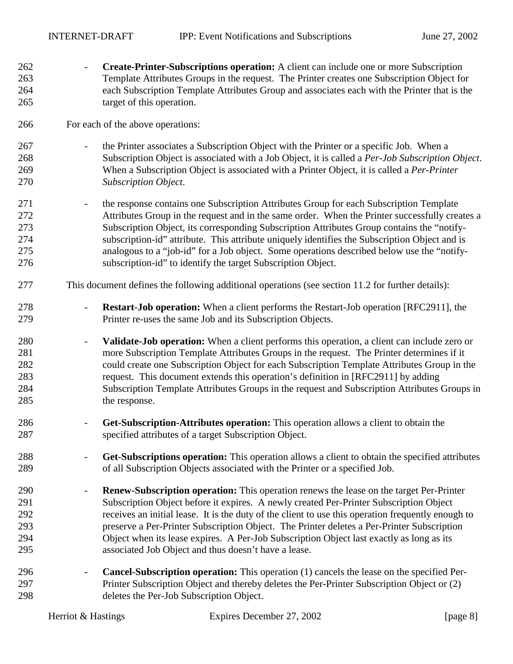| 262                                    | Create-Printer-Subscriptions operation: A client can include one or more Subscription                                                                                                                                                                                                                                                                                                                                                                                                                                     |
|----------------------------------------|---------------------------------------------------------------------------------------------------------------------------------------------------------------------------------------------------------------------------------------------------------------------------------------------------------------------------------------------------------------------------------------------------------------------------------------------------------------------------------------------------------------------------|
| 263                                    | Template Attributes Groups in the request. The Printer creates one Subscription Object for                                                                                                                                                                                                                                                                                                                                                                                                                                |
| 264                                    | each Subscription Template Attributes Group and associates each with the Printer that is the                                                                                                                                                                                                                                                                                                                                                                                                                              |
| 265                                    | target of this operation.                                                                                                                                                                                                                                                                                                                                                                                                                                                                                                 |
| 266                                    | For each of the above operations:                                                                                                                                                                                                                                                                                                                                                                                                                                                                                         |
| 267                                    | the Printer associates a Subscription Object with the Printer or a specific Job. When a                                                                                                                                                                                                                                                                                                                                                                                                                                   |
| 268                                    | Subscription Object is associated with a Job Object, it is called a Per-Job Subscription Object.                                                                                                                                                                                                                                                                                                                                                                                                                          |
| 269                                    | When a Subscription Object is associated with a Printer Object, it is called a Per-Printer                                                                                                                                                                                                                                                                                                                                                                                                                                |
| 270                                    | <b>Subscription Object.</b>                                                                                                                                                                                                                                                                                                                                                                                                                                                                                               |
| 271                                    | the response contains one Subscription Attributes Group for each Subscription Template                                                                                                                                                                                                                                                                                                                                                                                                                                    |
| 272                                    | Attributes Group in the request and in the same order. When the Printer successfully creates a                                                                                                                                                                                                                                                                                                                                                                                                                            |
| 273                                    | Subscription Object, its corresponding Subscription Attributes Group contains the "notify-                                                                                                                                                                                                                                                                                                                                                                                                                                |
| 274                                    | subscription-id" attribute. This attribute uniquely identifies the Subscription Object and is                                                                                                                                                                                                                                                                                                                                                                                                                             |
| 275                                    | analogous to a "job-id" for a Job object. Some operations described below use the "notify-                                                                                                                                                                                                                                                                                                                                                                                                                                |
| 276                                    | subscription-id" to identify the target Subscription Object.                                                                                                                                                                                                                                                                                                                                                                                                                                                              |
| 277                                    | This document defines the following additional operations (see section 11.2 for further details):                                                                                                                                                                                                                                                                                                                                                                                                                         |
| 278                                    | <b>Restart-Job operation:</b> When a client performs the Restart-Job operation [RFC2911], the                                                                                                                                                                                                                                                                                                                                                                                                                             |
| 279                                    | Printer re-uses the same Job and its Subscription Objects.                                                                                                                                                                                                                                                                                                                                                                                                                                                                |
| 280<br>281<br>282<br>283<br>284<br>285 | Validate-Job operation: When a client performs this operation, a client can include zero or<br>$\overline{\phantom{a}}$<br>more Subscription Template Attributes Groups in the request. The Printer determines if it<br>could create one Subscription Object for each Subscription Template Attributes Group in the<br>request. This document extends this operation's definition in [RFC2911] by adding<br>Subscription Template Attributes Groups in the request and Subscription Attributes Groups in<br>the response. |
| 286                                    | Get-Subscription-Attributes operation: This operation allows a client to obtain the                                                                                                                                                                                                                                                                                                                                                                                                                                       |
| 287                                    | specified attributes of a target Subscription Object.                                                                                                                                                                                                                                                                                                                                                                                                                                                                     |
| 288                                    | Get-Subscriptions operation: This operation allows a client to obtain the specified attributes                                                                                                                                                                                                                                                                                                                                                                                                                            |
| 289                                    | of all Subscription Objects associated with the Printer or a specified Job.                                                                                                                                                                                                                                                                                                                                                                                                                                               |
| 290                                    | <b>Renew-Subscription operation:</b> This operation renews the lease on the target Per-Printer                                                                                                                                                                                                                                                                                                                                                                                                                            |
| 291                                    | Subscription Object before it expires. A newly created Per-Printer Subscription Object                                                                                                                                                                                                                                                                                                                                                                                                                                    |
| 292                                    | receives an initial lease. It is the duty of the client to use this operation frequently enough to                                                                                                                                                                                                                                                                                                                                                                                                                        |
| 293                                    | preserve a Per-Printer Subscription Object. The Printer deletes a Per-Printer Subscription                                                                                                                                                                                                                                                                                                                                                                                                                                |
| 294                                    | Object when its lease expires. A Per-Job Subscription Object last exactly as long as its                                                                                                                                                                                                                                                                                                                                                                                                                                  |
| 295                                    | associated Job Object and thus doesn't have a lease.                                                                                                                                                                                                                                                                                                                                                                                                                                                                      |
| 296                                    | <b>Cancel-Subscription operation:</b> This operation (1) cancels the lease on the specified Per-                                                                                                                                                                                                                                                                                                                                                                                                                          |
| 297                                    | Printer Subscription Object and thereby deletes the Per-Printer Subscription Object or (2)                                                                                                                                                                                                                                                                                                                                                                                                                                |
| 298                                    | deletes the Per-Job Subscription Object.                                                                                                                                                                                                                                                                                                                                                                                                                                                                                  |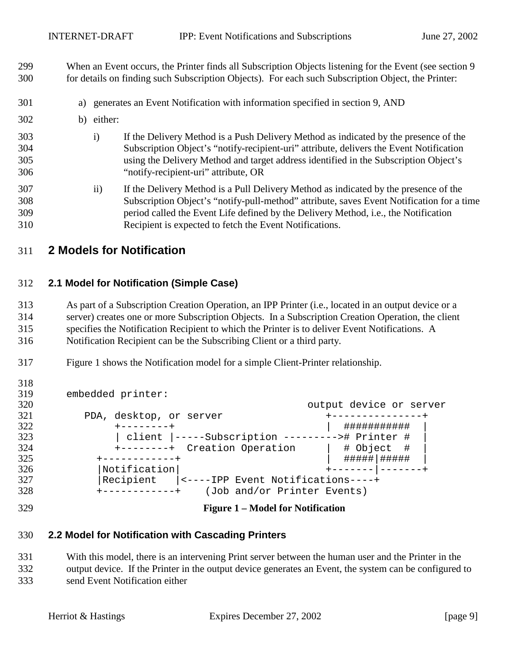<span id="page-8-0"></span>299 When an Event occurs, the Printer finds all Subscription Objects listening for the Event (see section [9](#page-34-0)  300 for details on finding such Subscription Objects). For each such Subscription Object, the Printer:

- 301 a) generates an Event Notification with information specified in section [9,](#page-34-0) AND
- 302 b) either:
- 303 i) If the Delivery Method is a Push Delivery Method as indicated by the presence of the 304 Subscription Object's "notify-recipient-uri" attribute, delivers the Event Notification 305 using the Delivery Method and target address identified in the Subscription Object's 306 "notify-recipient-uri" attribute, OR
- 307 ii) If the Delivery Method is a Pull Delivery Method as indicated by the presence of the 308 Subscription Object's "notify-pull-method" attribute, saves Event Notification for a time 309 period called the Event Life defined by the Delivery Method, i.e., the Notification 310 Recipient is expected to fetch the Event Notifications.

## 311 **2 Models for Notification**

## 312 **2.1 Model for Notification (Simple Case)**

313 As part of a Subscription Creation Operation, an IPP Printer (i.e., located in an output device or a 314 server) creates one or more Subscription Objects. In a Subscription Creation Operation, the client 315 specifies the Notification Recipient to which the Printer is to deliver Event Notifications. A 316 Notification Recipient can be the Subscribing Client or a third party.

317 Figure 1 shows the Notification model for a simple Client-Printer relationship.

| 319 | embedded printer:                               |                         |
|-----|-------------------------------------------------|-------------------------|
| 320 |                                                 | output device or server |
| 321 | PDA, desktop, or server                         |                         |
| 322 |                                                 | ###########             |
| 323 | client  -----Subscription ---------># Printer # |                         |
| 324 | +--------+ Creation Operation                   | # Object #              |
| 325 | -----------+                                    | #####   #####           |
| 326 | Notification                                    |                         |
| 327 | Recipient  <----IPP Event Notifications----+    |                         |
| 328 | (Job and/or Printer Events)                     |                         |

318

#### 329 **Figure 1 – Model for Notification**

## 330 **2.2 Model for Notification with Cascading Printers**

331 With this model, there is an intervening Print server between the human user and the Printer in the 332 output device. If the Printer in the output device generates an Event, the system can be configured to 333 send Event Notification either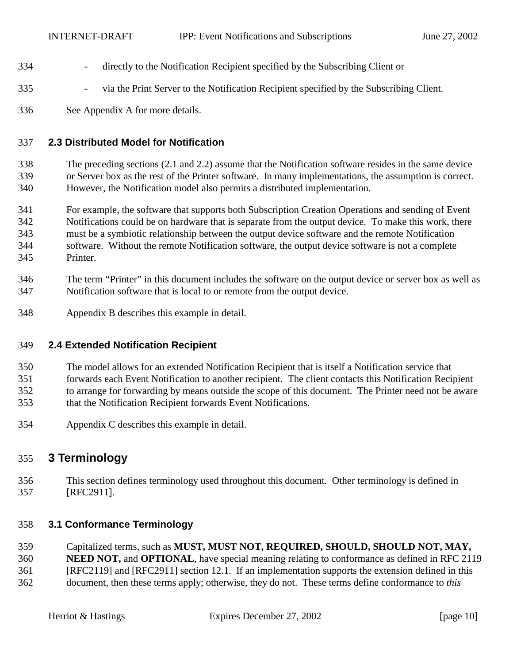- <span id="page-9-0"></span>334 - directly to the Notification Recipient specified by the Subscribing Client or
- 335 via the Print Server to the Notification Recipient specified by the Subscribing Client.
- 336 See Appendix [A](#page-75-0) for more details.

## 337 **2.3 Distributed Model for Notification**

338 The preceding sections ([2.1](#page-8-0) and [2.2\)](#page-8-0) assume that the Notification software resides in the same device 339 or Server box as the rest of the Printer software. In many implementations, the assumption is correct. 340 However, the Notification model also permits a distributed implementation.

- 341 For example, the software that supports both Subscription Creation Operations and sending of Event 342 Notifications could be on hardware that is separate from the output device. To make this work, there 343 must be a symbiotic relationship between the output device software and the remote Notification 344 software. Without the remote Notification software, the output device software is not a complete 345 Printer.
- 346 The term "Printer" in this document includes the software on the output device or server box as well as 347 Notification software that is local to or remote from the output device.
- 348 Appendix [B](#page-76-0) describes this example in detail.

## 349 **2.4 Extended Notification Recipient**

- 350 The model allows for an extended Notification Recipient that is itself a Notification service that
- 351 forwards each Event Notification to another recipient. The client contacts this Notification Recipient
- 352 to arrange for forwarding by means outside the scope of this document. The Printer need not be aware
- 353 that the Notification Recipient forwards Event Notifications.
- 354 Appendix [C](#page-77-0) describes this example in detail.

## 355 **3 Terminology**

356 This section defines terminology used throughout this document. Other terminology is defined in 357 [RFC2911].

## 358 **3.1 Conformance Terminology**

- 359 Capitalized terms, such as **MUST, MUST NOT, REQUIRED, SHOULD, SHOULD NOT, MAY,**  360 **NEED NOT,** and **OPTIONAL**, have special meaning relating to conformance as defined in RFC 2119 361 [RFC2119] and [RFC2911] section 12.1. If an implementation supports the extension defined in this
- 362 document, then these terms apply; otherwise, they do not. These terms define conformance to *this*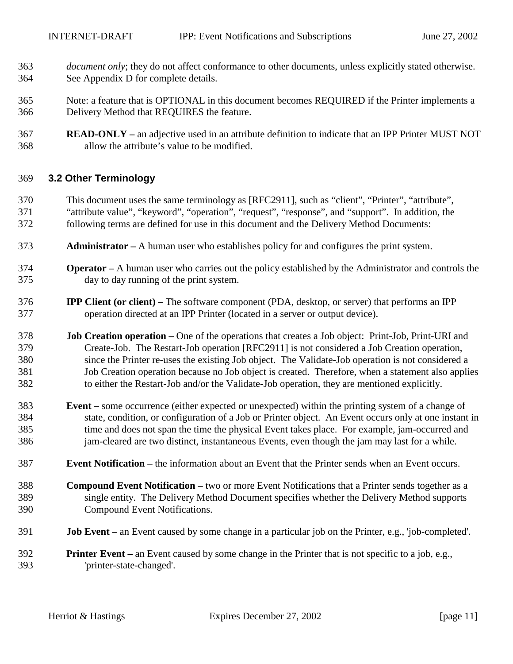- <span id="page-10-0"></span>363 *document only*; they do not affect conformance to other documents, unless explicitly stated otherwise. 364 See Appendix [D](#page-78-0) for complete details.
- 365 Note: a feature that is OPTIONAL in this document becomes REQUIRED if the Printer implements a 366 Delivery Method that REQUIRES the feature.
- 367 **READ-ONLY** an adjective used in an attribute definition to indicate that an IPP Printer MUST NOT 368 allow the attribute's value to be modified.

#### 369 **3.2 Other Terminology**

- 370 This document uses the same terminology as [RFC2911], such as "client", "Printer", "attribute", 371 "attribute value", "keyword", "operation", "request", "response", and "support". In addition, the 372 following terms are defined for use in this document and the Delivery Method Documents:
- 373 **Administrator** A human user who establishes policy for and configures the print system.
- 374 **Operator** A human user who carries out the policy established by the Administrator and controls the 375 day to day running of the print system.
- 376 **IPP Client (or client)** The software component (PDA, desktop, or server) that performs an IPP 377 operation directed at an IPP Printer (located in a server or output device).
- 378 **Job Creation operation** One of the operations that creates a Job object: Print-Job, Print-URI and 379 Create-Job. The Restart-Job operation [RFC2911] is not considered a Job Creation operation, 380 since the Printer re-uses the existing Job object. The Validate-Job operation is not considered a 381 Job Creation operation because no Job object is created. Therefore, when a statement also applies 382 to either the Restart-Job and/or the Validate-Job operation, they are mentioned explicitly.
- 383 **Event** some occurrence (either expected or unexpected) within the printing system of a change of 384 state, condition, or configuration of a Job or Printer object. An Event occurs only at one instant in 385 time and does not span the time the physical Event takes place. For example, jam-occurred and 386 jam-cleared are two distinct, instantaneous Events, even though the jam may last for a while.
- 387 **Event Notification** the information about an Event that the Printer sends when an Event occurs.
- 388 **Compound Event Notification** two or more Event Notifications that a Printer sends together as a 389 single entity. The Delivery Method Document specifies whether the Delivery Method supports 390 Compound Event Notifications.
- 391 **Job Event** an Event caused by some change in a particular job on the Printer, e.g., 'job-completed'.
- 392 **Printer Event** an Event caused by some change in the Printer that is not specific to a job, e.g., 393 'printer-state-changed'.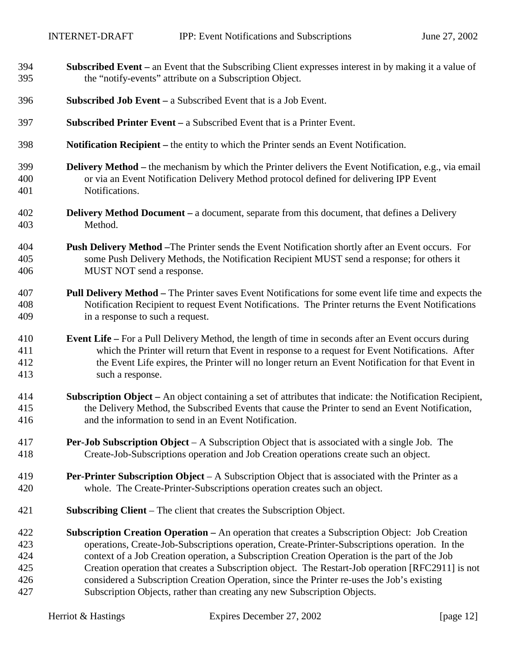| 394 | <b>Subscribed Event</b> – an Event that the Subscribing Client expresses interest in by making it a value of |
|-----|--------------------------------------------------------------------------------------------------------------|
| 395 | the "notify-events" attribute on a Subscription Object.                                                      |
| 396 | <b>Subscribed Job Event</b> – a Subscribed Event that is a Job Event.                                        |
| 397 | <b>Subscribed Printer Event</b> $-$ a Subscribed Event that is a Printer Event.                              |
| 398 | <b>Notification Recipient</b> – the entity to which the Printer sends an Event Notification.                 |
| 399 | <b>Delivery Method</b> – the mechanism by which the Printer delivers the Event Notification, e.g., via email |
| 400 | or via an Event Notification Delivery Method protocol defined for delivering IPP Event                       |
| 401 | Notifications.                                                                                               |
| 402 | <b>Delivery Method Document</b> – a document, separate from this document, that defines a Delivery           |
| 403 | Method.                                                                                                      |
| 404 | <b>Push Delivery Method</b> – The Printer sends the Event Notification shortly after an Event occurs. For    |
| 405 | some Push Delivery Methods, the Notification Recipient MUST send a response; for others it                   |
| 406 | MUST NOT send a response.                                                                                    |
| 407 | <b>Pull Delivery Method – The Printer saves Event Notifications for some event life time and expects the</b> |
| 408 | Notification Recipient to request Event Notifications. The Printer returns the Event Notifications           |
| 409 | in a response to such a request.                                                                             |
| 410 | <b>Event Life</b> – For a Pull Delivery Method, the length of time in seconds after an Event occurs during   |
| 411 | which the Printer will return that Event in response to a request for Event Notifications. After             |
| 412 | the Event Life expires, the Printer will no longer return an Event Notification for that Event in            |
| 413 | such a response.                                                                                             |
| 414 | Subscription Object - An object containing a set of attributes that indicate: the Notification Recipient,    |
| 415 | the Delivery Method, the Subscribed Events that cause the Printer to send an Event Notification,             |
| 416 | and the information to send in an Event Notification.                                                        |
| 417 | <b>Per-Job Subscription Object</b> – A Subscription Object that is associated with a single Job. The         |
| 418 | Create-Job-Subscriptions operation and Job Creation operations create such an object.                        |
| 419 | <b>Per-Printer Subscription Object</b> – A Subscription Object that is associated with the Printer as a      |
| 420 | whole. The Create-Printer-Subscriptions operation creates such an object.                                    |
| 421 | <b>Subscribing Client</b> – The client that creates the Subscription Object.                                 |
| 422 | <b>Subscription Creation Operation – An operation that creates a Subscription Object: Job Creation</b>       |
| 423 | operations, Create-Job-Subscriptions operation, Create-Printer-Subscriptions operation. In the               |
| 424 | context of a Job Creation operation, a Subscription Creation Operation is the part of the Job                |
| 425 | Creation operation that creates a Subscription object. The Restart-Job operation [RFC2911] is not            |
| 426 | considered a Subscription Creation Operation, since the Printer re-uses the Job's existing                   |
| 427 | Subscription Objects, rather than creating any new Subscription Objects.                                     |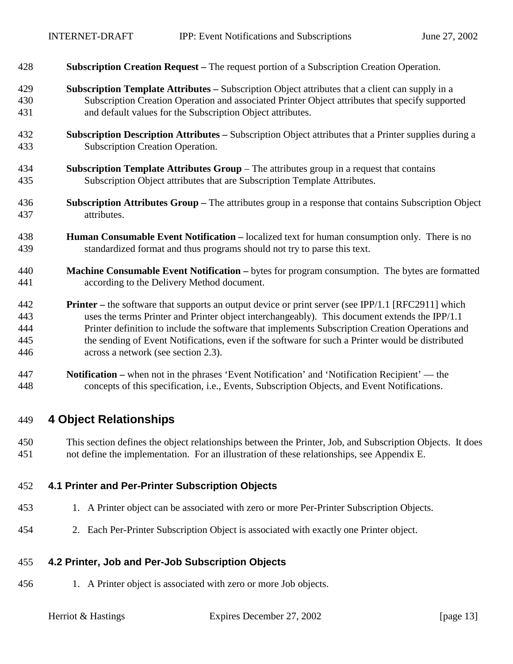<span id="page-12-0"></span>

| 428 | <b>Subscription Creation Request</b> – The request portion of a Subscription Creation Operation. |  |  |  |
|-----|--------------------------------------------------------------------------------------------------|--|--|--|
|-----|--------------------------------------------------------------------------------------------------|--|--|--|

- 429 **Subscription Template Attributes** Subscription Object attributes that a client can supply in a 430 Subscription Creation Operation and associated Printer Object attributes that specify supported 431 and default values for the Subscription Object attributes.
- 432 **Subscription Description Attributes** Subscription Object attributes that a Printer supplies during a 433 Subscription Creation Operation.
- 434 **Subscription Template Attributes Group**  The attributes group in a request that contains 435 Subscription Object attributes that are Subscription Template Attributes.
- 436 **Subscription Attributes Group** The attributes group in a response that contains Subscription Object 437 attributes.
- 438 **Human Consumable Event Notification** localized text for human consumption only. There is no 439 standardized format and thus programs should not try to parse this text.
- 440 **Machine Consumable Event Notification** bytes for program consumption. The bytes are formatted 441 according to the Delivery Method document.
- 442 **Printer** the software that supports an output device or print server (see IPP/1.1 [RFC2911] which 443 uses the terms Printer and Printer object interchangeably). This document extends the IPP/1.1 444 Printer definition to include the software that implements Subscription Creation Operations and 445 the sending of Event Notifications, even if the software for such a Printer would be distributed 446 across a network (see section [2.3\)](#page-9-0).
- 447 **Notification –** when not in the phrases 'Event Notification' and 'Notification Recipient' the 448 concepts of this specification, i.e., Events, Subscription Objects, and Event Notifications.

## 449 **4 Object Relationships**

450 This section defines the object relationships between the Printer, Job, and Subscription Objects. It does 451 not define the implementation. For an illustration of these relationships, see Appendix [E.](#page-78-0)

## 452 **4.1 Printer and Per-Printer Subscription Objects**

- 453 1. A Printer object can be associated with zero or more Per-Printer Subscription Objects.
- 454 2. Each Per-Printer Subscription Object is associated with exactly one Printer object.

## 455 **4.2 Printer, Job and Per-Job Subscription Objects**

456 1. A Printer object is associated with zero or more Job objects.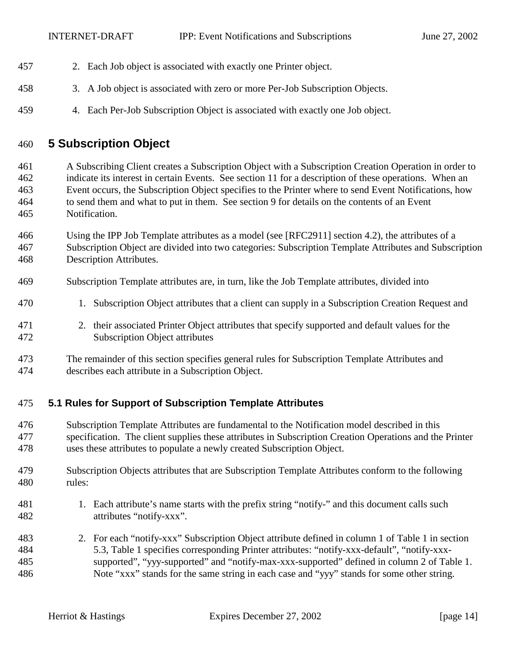- <span id="page-13-0"></span>457 2. Each Job object is associated with exactly one Printer object.
- 458 3. A Job object is associated with zero or more Per-Job Subscription Objects.
- 459 4. Each Per-Job Subscription Object is associated with exactly one Job object.

## 460 **5 Subscription Object**

461 A Subscribing Client creates a Subscription Object with a Subscription Creation Operation in order to 462 indicate its interest in certain Events. See section [11](#page-43-0) for a description of these operations. When an 463 Event occurs, the Subscription Object specifies to the Printer where to send Event Notifications, how 464 to send them and what to put in them. See section [9](#page-34-0) for details on the contents of an Event 465 Notification.

- 466 Using the IPP Job Template attributes as a model (see [RFC2911] section 4.2), the attributes of a 467 Subscription Object are divided into two categories: Subscription Template Attributes and Subscription 468 Description Attributes.
- 469 Subscription Template attributes are, in turn, like the Job Template attributes, divided into
- 470 1. Subscription Object attributes that a client can supply in a Subscription Creation Request and
- 471 2. their associated Printer Object attributes that specify supported and default values for the 472 Subscription Object attributes
- 473 The remainder of this section specifies general rules for Subscription Template Attributes and 474 describes each attribute in a Subscription Object.

## 475 **5.1 Rules for Support of Subscription Template Attributes**

- 476 Subscription Template Attributes are fundamental to the Notification model described in this 477 specification. The client supplies these attributes in Subscription Creation Operations and the Printer 478 uses these attributes to populate a newly created Subscription Object.
- 479 Subscription Objects attributes that are Subscription Template Attributes conform to the following 480 rules:
- 481 1. Each attribute's name starts with the prefix string "notify-" and this document calls such 482 attributes "notify-xxx".
- 483 2. For each "notify-xxx" Subscription Object attribute defined in column 1 of [Table 1](#page-18-0) in section 484 [5.3,](#page-17-0) [Table 1](#page-18-0) specifies corresponding Printer attributes: "notify-xxx-default", "notify-xxx-485 supported", "yyy-supported" and "notify-max-xxx-supported" defined in column 2 of [Table 1.](#page-18-0)  486 Note "xxx" stands for the same string in each case and "yyy" stands for some other string.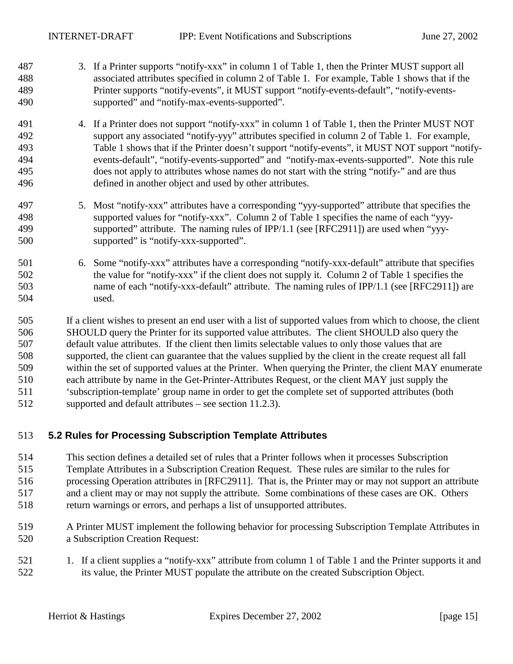- <span id="page-14-0"></span>487 3. If a Printer supports "notify-xxx" in column 1 of [Table 1,](#page-18-0) then the Printer MUST support all 488 associated attributes specified in column 2 of [Table 1.](#page-18-0) For example, [Table 1 s](#page-18-0)hows that if the 489 Printer supports "notify-events", it MUST support "notify-events-default", "notify-events-490 supported" and "notify-max-events-supported".
- 491 4. If a Printer does not support "notify-xxx" in column 1 of [Table 1,](#page-18-0) then the Printer MUST NOT 492 support any associated "notify-yyy" attributes specified in column 2 of [Table 1.](#page-18-0) For example, 493 [Table 1 s](#page-18-0)hows that if the Printer doesn't support "notify-events", it MUST NOT support "notify-494 events-default", "notify-events-supported" and "notify-max-events-supported". Note this rule 495 does not apply to attributes whose names do not start with the string "notify-" and are thus 496 defined in another object and used by other attributes.
- 497 5. Most "notify-xxx" attributes have a corresponding "yyy-supported" attribute that specifies the 498 supported values for "notify-xxx". Column 2 of [Table 1](#page-18-0) specifies the name of each "yyy-499 supported" attribute. The naming rules of IPP/1.1 (see [RFC2911]) are used when "yyy-500 supported" is "notify-xxx-supported".
- 501 6. Some "notify-xxx" attributes have a corresponding "notify-xxx-default" attribute that specifies 502 the value for "notify-xxx" if the client does not supply it. Column 2 of [Table 1](#page-18-0) specifies the 503 name of each "notify-xxx-default" attribute. The naming rules of IPP/1.1 (see [RFC2911]) are 504 used.

505 If a client wishes to present an end user with a list of supported values from which to choose, the client 506 SHOULD query the Printer for its supported value attributes. The client SHOULD also query the 507 default value attributes. If the client then limits selectable values to only those values that are 508 supported, the client can guarantee that the values supplied by the client in the create request all fall 509 within the set of supported values at the Printer. When querying the Printer, the client MAY enumerate 510 each attribute by name in the Get-Printer-Attributes Request, or the client MAY just supply the 511 'subscription-template' group name in order to get the complete set of supported attributes (both 512 supported and default attributes – see section [11.2.3\)](#page-50-0).

## 513 **5.2 Rules for Processing Subscription Template Attributes**

- 514 This section defines a detailed set of rules that a Printer follows when it processes Subscription 515 Template Attributes in a Subscription Creation Request. These rules are similar to the rules for 516 processing Operation attributes in [RFC2911]. That is, the Printer may or may not support an attribute 517 and a client may or may not supply the attribute. Some combinations of these cases are OK. Others 518 return warnings or errors, and perhaps a list of unsupported attributes.
- 519 A Printer MUST implement the following behavior for processing Subscription Template Attributes in 520 a Subscription Creation Request:
- 521 1. If a client supplies a "notify-xxx" attribute from column 1 of [Table 1](#page-18-0) and the Printer supports it and 522 its value, the Printer MUST populate the attribute on the created Subscription Object.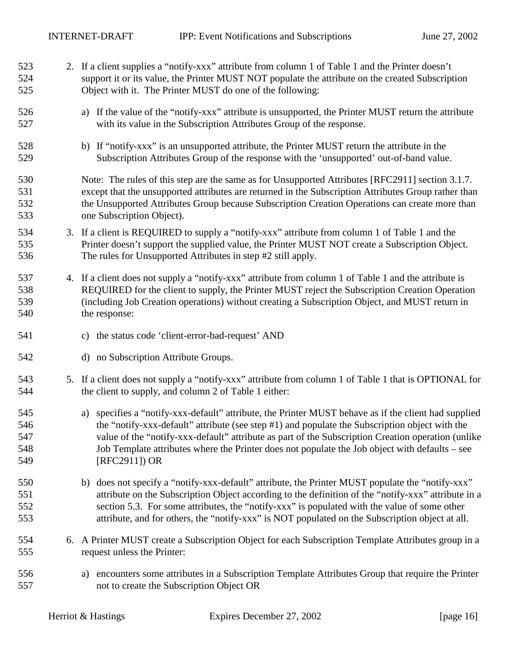<span id="page-15-0"></span>

| 523<br>524<br>525               | 2. If a client supplies a "notify-xxx" attribute from column 1 of Table 1 and the Printer doesn't<br>support it or its value, the Printer MUST NOT populate the attribute on the created Subscription<br>Object with it. The Printer MUST do one of the following:                                                                                                                                                                 |
|---------------------------------|------------------------------------------------------------------------------------------------------------------------------------------------------------------------------------------------------------------------------------------------------------------------------------------------------------------------------------------------------------------------------------------------------------------------------------|
| 526<br>527                      | a) If the value of the "notify-xxx" attribute is unsupported, the Printer MUST return the attribute<br>with its value in the Subscription Attributes Group of the response.                                                                                                                                                                                                                                                        |
| 528<br>529                      | b) If "notify-xxx" is an unsupported attribute, the Printer MUST return the attribute in the<br>Subscription Attributes Group of the response with the 'unsupported' out-of-band value.                                                                                                                                                                                                                                            |
| 530<br>531<br>532<br>533        | Note: The rules of this step are the same as for Unsupported Attributes [RFC2911] section 3.1.7.<br>except that the unsupported attributes are returned in the Subscription Attributes Group rather than<br>the Unsupported Attributes Group because Subscription Creation Operations can create more than<br>one Subscription Object).                                                                                            |
| 534<br>535<br>536               | 3. If a client is REQUIRED to supply a "notify-xxx" attribute from column 1 of Table 1 and the<br>Printer doesn't support the supplied value, the Printer MUST NOT create a Subscription Object.<br>The rules for Unsupported Attributes in step #2 still apply.                                                                                                                                                                   |
| 537<br>538<br>539<br>540        | 4. If a client does not supply a "notify-xxx" attribute from column 1 of Table 1 and the attribute is<br>REQUIRED for the client to supply, the Printer MUST reject the Subscription Creation Operation<br>(including Job Creation operations) without creating a Subscription Object, and MUST return in<br>the response:                                                                                                         |
| 541                             | c) the status code 'client-error-bad-request' AND                                                                                                                                                                                                                                                                                                                                                                                  |
| 542                             | d) no Subscription Attribute Groups.                                                                                                                                                                                                                                                                                                                                                                                               |
| 543<br>544                      | 5. If a client does not supply a "notify-xxx" attribute from column 1 of Table 1 that is OPTIONAL for<br>the client to supply, and column 2 of Table 1 either:                                                                                                                                                                                                                                                                     |
| 545<br>546<br>547<br>548<br>549 | specifies a "notify-xxx-default" attribute, the Printer MUST behave as if the client had supplied<br>a)<br>the "notify-xxx-default" attribute (see step #1) and populate the Subscription object with the<br>value of the "notify-xxx-default" attribute as part of the Subscription Creation operation (unlike<br>Job Template attributes where the Printer does not populate the Job object with defaults – see<br>[RFC2911]) OR |
| 550<br>551<br>552<br>553        | b) does not specify a "notify-xxx-default" attribute, the Printer MUST populate the "notify-xxx"<br>attribute on the Subscription Object according to the definition of the "notify-xxx" attribute in a<br>section 5.3. For some attributes, the "notify-xxx" is populated with the value of some other<br>attribute, and for others, the "notify-xxx" is NOT populated on the Subscription object at all.                         |
| 554<br>555                      | 6. A Printer MUST create a Subscription Object for each Subscription Template Attributes group in a<br>request unless the Printer:                                                                                                                                                                                                                                                                                                 |
| 556<br>557                      | encounters some attributes in a Subscription Template Attributes Group that require the Printer<br>a)<br>not to create the Subscription Object OR                                                                                                                                                                                                                                                                                  |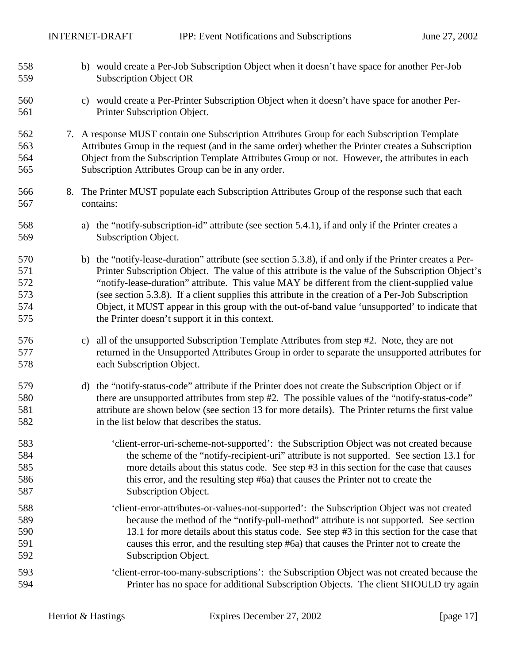<span id="page-16-0"></span>

| 558<br>559                             | b) would create a Per-Job Subscription Object when it doesn't have space for another Per-Job<br><b>Subscription Object OR</b>                                                                                                                                                                                                                                                                                                                                                                                                                                             |
|----------------------------------------|---------------------------------------------------------------------------------------------------------------------------------------------------------------------------------------------------------------------------------------------------------------------------------------------------------------------------------------------------------------------------------------------------------------------------------------------------------------------------------------------------------------------------------------------------------------------------|
| 560<br>561                             | c) would create a Per-Printer Subscription Object when it doesn't have space for another Per-<br>Printer Subscription Object.                                                                                                                                                                                                                                                                                                                                                                                                                                             |
| 562<br>563<br>564<br>565               | 7. A response MUST contain one Subscription Attributes Group for each Subscription Template<br>Attributes Group in the request (and in the same order) whether the Printer creates a Subscription<br>Object from the Subscription Template Attributes Group or not. However, the attributes in each<br>Subscription Attributes Group can be in any order.                                                                                                                                                                                                                 |
| 566<br>567                             | 8. The Printer MUST populate each Subscription Attributes Group of the response such that each<br>contains:                                                                                                                                                                                                                                                                                                                                                                                                                                                               |
| 568<br>569                             | the "notify-subscription-id" attribute (see section 5.4.1), if and only if the Printer creates a<br>a)<br>Subscription Object.                                                                                                                                                                                                                                                                                                                                                                                                                                            |
| 570<br>571<br>572<br>573<br>574<br>575 | b) the "notify-lease-duration" attribute (see section 5.3.8), if and only if the Printer creates a Per-<br>Printer Subscription Object. The value of this attribute is the value of the Subscription Object's<br>"notify-lease-duration" attribute. This value MAY be different from the client-supplied value<br>(see section 5.3.8). If a client supplies this attribute in the creation of a Per-Job Subscription<br>Object, it MUST appear in this group with the out-of-band value 'unsupported' to indicate that<br>the Printer doesn't support it in this context. |
| 576<br>577<br>578                      | all of the unsupported Subscription Template Attributes from step #2. Note, they are not<br>C)<br>returned in the Unsupported Attributes Group in order to separate the unsupported attributes for<br>each Subscription Object.                                                                                                                                                                                                                                                                                                                                           |
| 579<br>580<br>581<br>582               | d) the "notify-status-code" attribute if the Printer does not create the Subscription Object or if<br>there are unsupported attributes from step #2. The possible values of the "notify-status-code"<br>attribute are shown below (see section 13 for more details). The Printer returns the first value<br>in the list below that describes the status.                                                                                                                                                                                                                  |
| 583<br>584<br>585<br>586<br>587        | 'client-error-uri-scheme-not-supported': the Subscription Object was not created because<br>the scheme of the "notify-recipient-uri" attribute is not supported. See section 13.1 for<br>more details about this status code. See step #3 in this section for the case that causes<br>this error, and the resulting step #6a) that causes the Printer not to create the<br>Subscription Object.                                                                                                                                                                           |
| 588<br>589<br>590<br>591<br>592        | 'client-error-attributes-or-values-not-supported': the Subscription Object was not created<br>because the method of the "notify-pull-method" attribute is not supported. See section<br>13.1 for more details about this status code. See step #3 in this section for the case that<br>causes this error, and the resulting step #6a) that causes the Printer not to create the<br>Subscription Object.                                                                                                                                                                   |
| 593<br>594                             | 'client-error-too-many-subscriptions': the Subscription Object was not created because the<br>Printer has no space for additional Subscription Objects. The client SHOULD try again                                                                                                                                                                                                                                                                                                                                                                                       |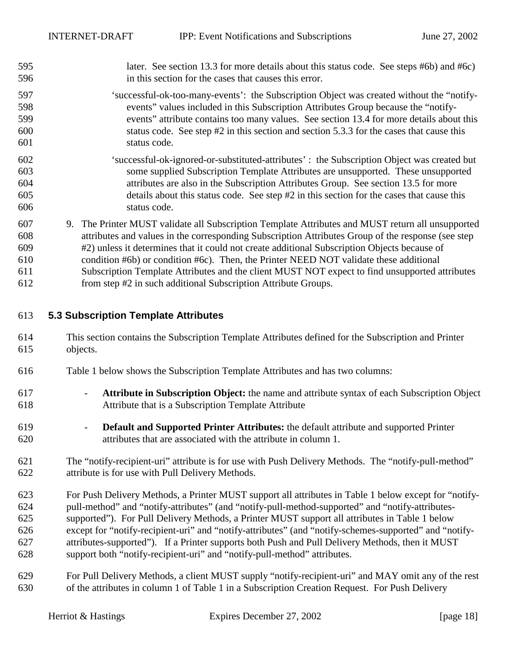<span id="page-17-0"></span>

| 595 | later. See section 13.3 for more details about this status code. See steps #6b) and #6c) |  |
|-----|------------------------------------------------------------------------------------------|--|
| 596 | in this section for the cases that causes this error.                                    |  |

- 597 'successful-ok-too-many-events': the Subscription Object was created without the "notify-598 events" values included in this Subscription Attributes Group because the "notify-599 events" attribute contains too many values. See section [13.4](#page-61-0) for more details about this 600 status code. See step #[2](#page-15-0) in this section and section [5.3.3 f](#page-19-0)or the cases that cause this 601 status code.
- 602 'successful-ok-ignored-or-substituted-attributes' : the Subscription Object was created but 603 some supplied Subscription Template Attributes are unsupported. These unsupported 604 attributes are also in the Subscription Attributes Group. See section [13.5](#page-61-0) for more 605 details about this status code. See step #[2](#page-15-0) in this section for the cases that cause this 606 status code.
- 607 9. The Printer MUST validate all Subscription Template Attributes and MUST return all unsupported 608 attributes and values in the corresponding Subscription Attributes Group of the response (see step 609 [#2\)](#page-15-0) unless it determines that it could not create additional Subscription Objects because of 610 condition [#6](#page-15-0)[b\)](#page-16-0) or condition #[6](#page-15-0)[c\).](#page-16-0) Then, the Printer NEED NOT validate these additional 611 Subscription Template Attributes and the client MUST NOT expect to find unsupported attributes
- 612 from step #[2](#page-15-0) in such additional Subscription Attribute Groups.

## 613 **5.3 Subscription Template Attributes**

- 614 This section contains the Subscription Template Attributes defined for the Subscription and Printer 615 objects.
- 616 [Table 1](#page-18-0) below shows the Subscription Template Attributes and has two columns:
- 617 **Attribute in Subscription Object:** the name and attribute syntax of each Subscription Object 618 Attribute that is a Subscription Template Attribute
- 619 **Default and Supported Printer Attributes:** the default attribute and supported Printer 620 attributes that are associated with the attribute in column 1.
- 621 The "notify-recipient-uri" attribute is for use with Push Delivery Methods. The "notify-pull-method" 622 attribute is for use with Pull Delivery Methods.
- 623 For Push Delivery Methods, a Printer MUST support all attributes in [Table 1 b](#page-18-0)elow except for "notify-624 pull-method" and "notify-attributes" (and "notify-pull-method-supported" and "notify-attributes-625 supported"). For Pull Delivery Methods, a Printer MUST support all attributes in [Table 1](#page-18-0) below 626 except for "notify-recipient-uri" and "notify-attributes" (and "notify-schemes-supported" and "notify-627 attributes-supported"). If a Printer supports both Push and Pull Delivery Methods, then it MUST 628 support both "notify-recipient-uri" and "notify-pull-method" attributes.
- 629 For Pull Delivery Methods, a client MUST supply "notify-recipient-uri" and MAY omit any of the rest 630 of the attributes in column 1 of [Table 1](#page-18-0) in a Subscription Creation Request. For Push Delivery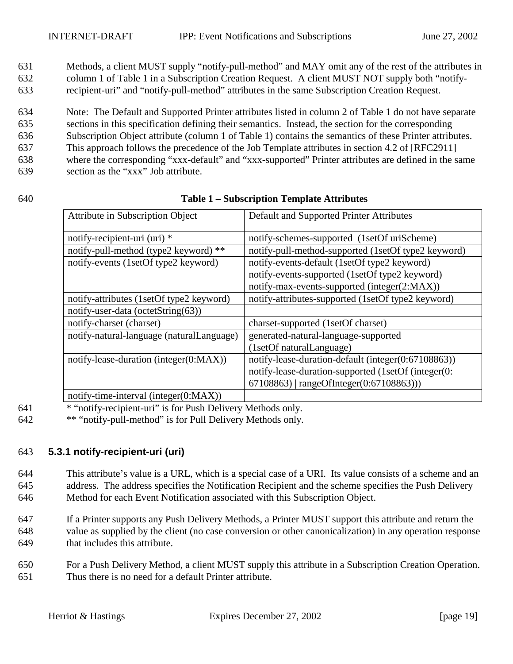<span id="page-18-0"></span>631 Methods, a client MUST supply "notify-pull-method" and MAY omit any of the rest of the attributes in 632 column 1 of Table 1 in a Subscription Creation Request. A client MUST NOT supply both "notify-633 recipient-uri" and "notify-pull-method" attributes in the same Subscription Creation Request.

634 Note: The Default and Supported Printer attributes listed in column 2 of Table 1 do not have separate 635 sections in this specification defining their semantics. Instead, the section for the corresponding 636 Subscription Object attribute (column 1 of Table 1) contains the semantics of these Printer attributes. 637 This approach follows the precedence of the Job Template attributes in section 4.2 of [RFC2911] 638 where the corresponding "xxx-default" and "xxx-supported" Printer attributes are defined in the same 639 section as the "xxx" Job attribute.

#### 640 **Table 1 – Subscription Template Attributes**

| Attribute in Subscription Object           | Default and Supported Printer Attributes            |  |
|--------------------------------------------|-----------------------------------------------------|--|
| notify-recipient-uri (uri) *               | notify-schemes-supported (1setOf uriScheme)         |  |
| notify-pull-method (type2 keyword) **      | notify-pull-method-supported (1setOf type2 keyword) |  |
| notify-events (1setOf type2 keyword)       | notify-events-default (1setOf type2 keyword)        |  |
|                                            | notify-events-supported (1setOf type2 keyword)      |  |
|                                            | notify-max-events-supported (integer(2:MAX))        |  |
| notify-attributes (1setOf type2 keyword)   | notify-attributes-supported (1setOf type2 keyword)  |  |
| notify-user-data (octetString(63))         |                                                     |  |
| notify-charset (charset)                   | charset-supported (1setOf charset)                  |  |
| notify-natural-language (naturalLanguage)  | generated-natural-language-supported                |  |
|                                            | (1setOf naturalLanguage)                            |  |
| notify-lease-duration (integer $(0:MAX)$ ) | notify-lease-duration-default (integer(0:67108863)) |  |
|                                            | notify-lease-duration-supported (1setOf (integer(0: |  |
|                                            | 67108863)   rangeOfInteger(0:67108863)))            |  |
| notify-time-interval (integer(0:MAX))      |                                                     |  |

641 \* "notify-recipient-uri" is for Push Delivery Methods only.

642 \*\* "notify-pull-method" is for Pull Delivery Methods only.

## 643 **5.3.1 notify-recipient-uri (uri)**

644 This attribute's value is a URL, which is a special case of a URI. Its value consists of a scheme and an 645 address. The address specifies the Notification Recipient and the scheme specifies the Push Delivery 646 Method for each Event Notification associated with this Subscription Object.

647 If a Printer supports any Push Delivery Methods, a Printer MUST support this attribute and return the 648 value as supplied by the client (no case conversion or other canonicalization) in any operation response 649 that includes this attribute.

650 For a Push Delivery Method, a client MUST supply this attribute in a Subscription Creation Operation. 651 Thus there is no need for a default Printer attribute.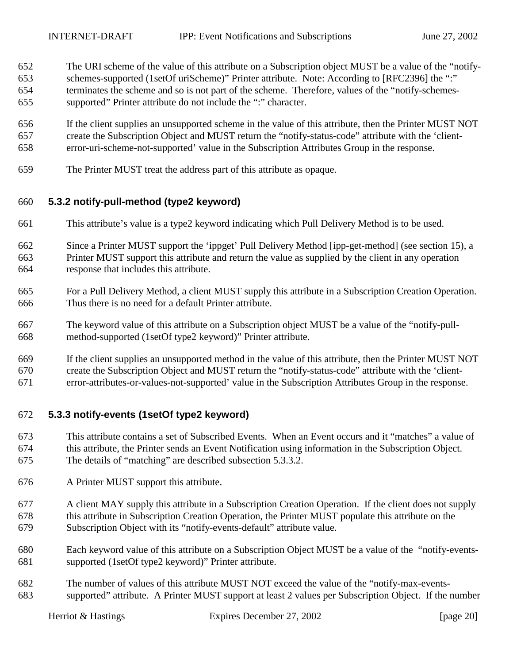- <span id="page-19-0"></span>652 The URI scheme of the value of this attribute on a Subscription object MUST be a value of the "notify-653 schemes-supported (1setOf uriScheme)" Printer attribute. Note: According to [RFC2396] the ":" 654 terminates the scheme and so is not part of the scheme. Therefore, values of the "notify-schemes-655 supported" Printer attribute do not include the ":" character.
- 656 If the client supplies an unsupported scheme in the value of this attribute, then the Printer MUST NOT 657 create the Subscription Object and MUST return the "notify-status-code" attribute with the 'client-658 error-uri-scheme-not-supported' value in the Subscription Attributes Group in the response.
- 659 The Printer MUST treat the address part of this attribute as opaque.

## 660 **5.3.2 notify-pull-method (type2 keyword)**

- 661 This attribute's value is a type2 keyword indicating which Pull Delivery Method is to be used.
- 662 Since a Printer MUST support the 'ippget' Pull Delivery Method [ipp-get-method] (see section [15\)](#page-61-0), a 663 Printer MUST support this attribute and return the value as supplied by the client in any operation 664 response that includes this attribute.
- 665 For a Pull Delivery Method, a client MUST supply this attribute in a Subscription Creation Operation. 666 Thus there is no need for a default Printer attribute.
- 667 The keyword value of this attribute on a Subscription object MUST be a value of the "notify-pull-668 method-supported (1setOf type2 keyword)" Printer attribute.
- 669 If the client supplies an unsupported method in the value of this attribute, then the Printer MUST NOT 670 create the Subscription Object and MUST return the "notify-status-code" attribute with the 'client-
- 671 error-attributes-or-values-not-supported' value in the Subscription Attributes Group in the response.

## 672 **5.3.3 notify-events (1setOf type2 keyword)**

- 673 This attribute contains a set of Subscribed Events. When an Event occurs and it "matches" a value of 674 this attribute, the Printer sends an Event Notification using information in the Subscription Object. 675 The details of "matching" are described subsection [5.3.3.2.](#page-22-0)
- 676 A Printer MUST support this attribute.
- 677 A client MAY supply this attribute in a Subscription Creation Operation. If the client does not supply 678 this attribute in Subscription Creation Operation, the Printer MUST populate this attribute on the 679 Subscription Object with its "notify-events-default" attribute value.
- 680 Each keyword value of this attribute on a Subscription Object MUST be a value of the "notify-events-681 supported (1setOf type2 keyword)" Printer attribute.
- 682 The number of values of this attribute MUST NOT exceed the value of the "notify-max-events-683 supported" attribute. A Printer MUST support at least 2 values per Subscription Object. If the number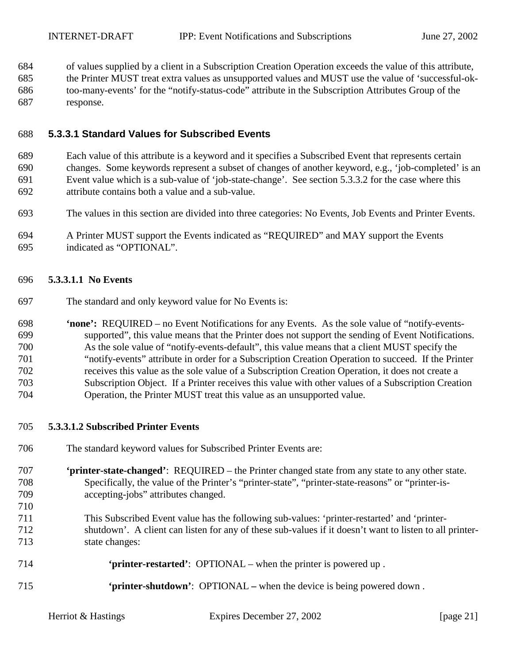<span id="page-20-0"></span>684 of values supplied by a client in a Subscription Creation Operation exceeds the value of this attribute,

685 the Printer MUST treat extra values as unsupported values and MUST use the value of 'successful-ok-686 too-many-events' for the "notify-status-code" attribute in the Subscription Attributes Group of the 687 response.

## 688 **5.3.3.1 Standard Values for Subscribed Events**

689 Each value of this attribute is a keyword and it specifies a Subscribed Event that represents certain 690 changes. Some keywords represent a subset of changes of another keyword, e.g., 'job-completed' is an 691 Event value which is a sub-value of 'job-state-change'. See section [5.3.3.2](#page-22-0) for the case where this 692 attribute contains both a value and a sub-value.

- 693 The values in this section are divided into three categories: No Events, Job Events and Printer Events.
- 694 A Printer MUST support the Events indicated as "REQUIRED" and MAY support the Events 695 indicated as "OPTIONAL".

#### 696 **5.3.3.1.1 No Events**

697 The standard and only keyword value for No Events is:

698 **'none':** REQUIRED – no Event Notifications for any Events. As the sole value of "notify-events-699 supported", this value means that the Printer does not support the sending of Event Notifications. 700 As the sole value of "notify-events-default", this value means that a client MUST specify the 701 "notify-events" attribute in order for a Subscription Creation Operation to succeed. If the Printer 702 receives this value as the sole value of a Subscription Creation Operation, it does not create a 703 Subscription Object. If a Printer receives this value with other values of a Subscription Creation 704 Operation, the Printer MUST treat this value as an unsupported value.

#### 705 **5.3.3.1.2 Subscribed Printer Events**

- 706 The standard keyword values for Subscribed Printer Events are:
- 707 **'printer-state-changed'**: REQUIRED the Printer changed state from any state to any other state. 708 Specifically, the value of the Printer's "printer-state", "printer-state-reasons" or "printer-is-709 accepting-jobs" attributes changed.
- 711 This Subscribed Event value has the following sub-values: 'printer-restarted' and 'printer-712 shutdown'. A client can listen for any of these sub-values if it doesn't want to listen to all printer-713 state changes:

| 714 | <b>Subset of Section 4</b> printer-restarted': OPTIONAL – when the printer is powered up. |  |
|-----|-------------------------------------------------------------------------------------------|--|
|     |                                                                                           |  |

715 **'printer-shutdown'**: OPTIONAL **–** when the device is being powered down .

710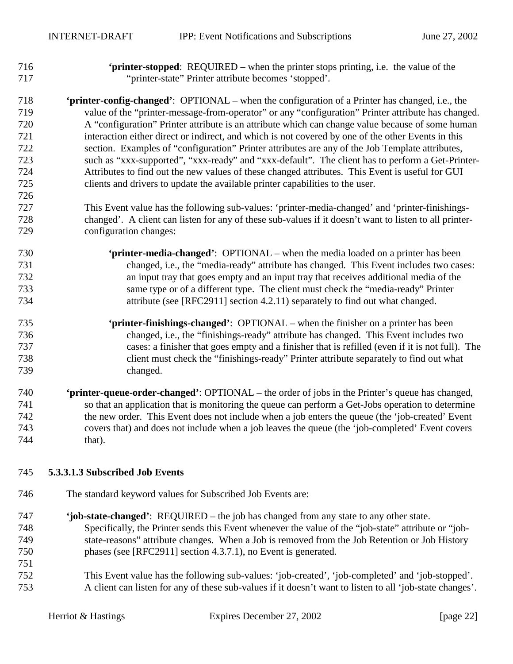726

<span id="page-21-0"></span>716 **'printer-stopped**: REQUIRED – when the printer stops printing, i.e. the value of the 717 "printer-state" Printer attribute becomes 'stopped'.

718 **'printer-config-changed'**:OPTIONAL – when the configuration of a Printer has changed, i.e., the 719 value of the "printer-message-from-operator" or any "configuration" Printer attribute has changed. 720 A "configuration" Printer attribute is an attribute which can change value because of some human 721 interaction either direct or indirect, and which is not covered by one of the other Events in this 722 section. Examples of "configuration" Printer attributes are any of the Job Template attributes, 723 such as "xxx-supported", "xxx-ready" and "xxx-default". The client has to perform a Get-Printer-724 Attributes to find out the new values of these changed attributes. This Event is useful for GUI 725 clients and drivers to update the available printer capabilities to the user.

727 This Event value has the following sub-values: 'printer-media-changed' and 'printer-finishings-728 changed'. A client can listen for any of these sub-values if it doesn't want to listen to all printer-729 configuration changes:

- 730 **'printer-media-changed'**:OPTIONAL when the media loaded on a printer has been 731 changed, i.e., the "media-ready" attribute has changed. This Event includes two cases: 732 an input tray that goes empty and an input tray that receives additional media of the 733 same type or of a different type. The client must check the "media-ready" Printer 734 attribute (see [RFC2911] section 4.2.11) separately to find out what changed.
- 735 **'printer-finishings-changed'**:OPTIONAL when the finisher on a printer has been 736 changed, i.e., the "finishings-ready" attribute has changed. This Event includes two 737 cases: a finisher that goes empty and a finisher that is refilled (even if it is not full). The 738 client must check the "finishings-ready" Printer attribute separately to find out what 739 changed.
- 740 **'printer-queue-order-changed'**: OPTIONAL the order of jobs in the Printer's queue has changed, 741 so that an application that is monitoring the queue can perform a Get-Jobs operation to determine 742 the new order. This Event does not include when a job enters the queue (the 'job-created' Event 743 covers that) and does not include when a job leaves the queue (the 'job-completed' Event covers 744 that).

#### 745 **5.3.3.1.3 Subscribed Job Events**

- 746 The standard keyword values for Subscribed Job Events are:
- 747 **'job-state-changed'**: REQUIRED the job has changed from any state to any other state. 748 Specifically, the Printer sends this Event whenever the value of the "job-state" attribute or "job-749 state-reasons" attribute changes. When a Job is removed from the Job Retention or Job History 750 phases (see [RFC2911] section 4.3.7.1), no Event is generated. 751 752 This Event value has the following sub-values: 'job-created', 'job-completed' and 'job-stopped'.
- 753 A client can listen for any of these sub-values if it doesn't want to listen to all 'job-state changes'.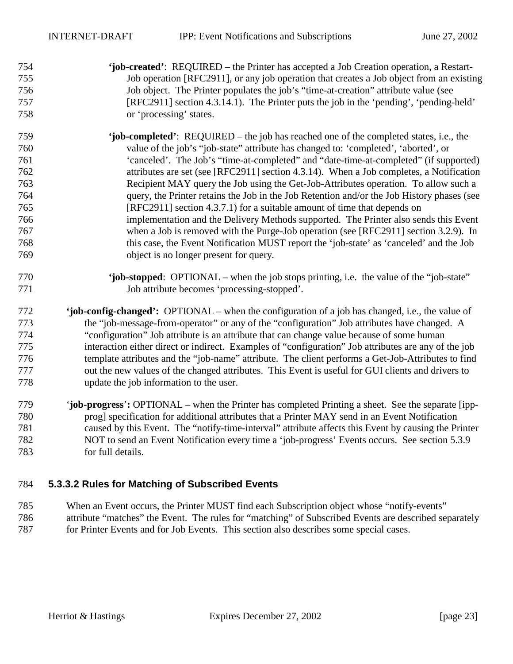## <span id="page-22-0"></span>754 **'job-created'**: REQUIRED – the Printer has accepted a Job Creation operation, a Restart-755 Job operation [RFC2911], or any job operation that creates a Job object from an existing 756 Job object. The Printer populates the job's "time-at-creation" attribute value (see 757 [RFC2911] section 4.3.14.1). The Printer puts the job in the 'pending', 'pending-held' 758 or 'processing' states.

- 759 **'job-completed'**: REQUIRED the job has reached one of the completed states, i.e., the 760 value of the job's "job-state" attribute has changed to: 'completed', 'aborted', or 761 'canceled'. The Job's "time-at-completed" and "date-time-at-completed" (if supported) 762 attributes are set (see [RFC2911] section 4.3.14). When a Job completes, a Notification 763 Recipient MAY query the Job using the Get-Job-Attributes operation. To allow such a 764 query, the Printer retains the Job in the Job Retention and/or the Job History phases (see 765 [RFC2911] section 4.3.7.1) for a suitable amount of time that depends on 766 implementation and the Delivery Methods supported. The Printer also sends this Event 767 when a Job is removed with the Purge-Job operation (see [RFC2911] section 3.2.9). In 768 this case, the Event Notification MUST report the 'job-state' as 'canceled' and the Job 769 object is no longer present for query.
- 770 **'job-stopped**: OPTIONAL when the job stops printing, i.e. the value of the "job-state" 771 Job attribute becomes 'processing-stopped'.
- 772 **'job-config-changed':** OPTIONAL when the configuration of a job has changed, i.e., the value of 773 the "job-message-from-operator" or any of the "configuration" Job attributes have changed. A 774 "configuration" Job attribute is an attribute that can change value because of some human 775 interaction either direct or indirect. Examples of "configuration" Job attributes are any of the job 776 template attributes and the "job-name" attribute. The client performs a Get-Job-Attributes to find 777 out the new values of the changed attributes. This Event is useful for GUI clients and drivers to 778 update the job information to the user.
- 779 '**job-progress**'**:** OPTIONAL when the Printer has completed Printing a sheet. See the separate [ipp-780 prog] specification for additional attributes that a Printer MAY send in an Event Notification 781 caused by this Event. The "notify-time-interval" attribute affects this Event by causing the Printer 782 NOT to send an Event Notification every time a 'job-progress' Events occurs. See section [5.3.9](#page-27-0)  783 for full details.

## 784 **5.3.3.2 Rules for Matching of Subscribed Events**

785 When an Event occurs, the Printer MUST find each Subscription object whose "notify-events" 786 attribute "matches" the Event. The rules for "matching" of Subscribed Events are described separately 787 for Printer Events and for Job Events. This section also describes some special cases.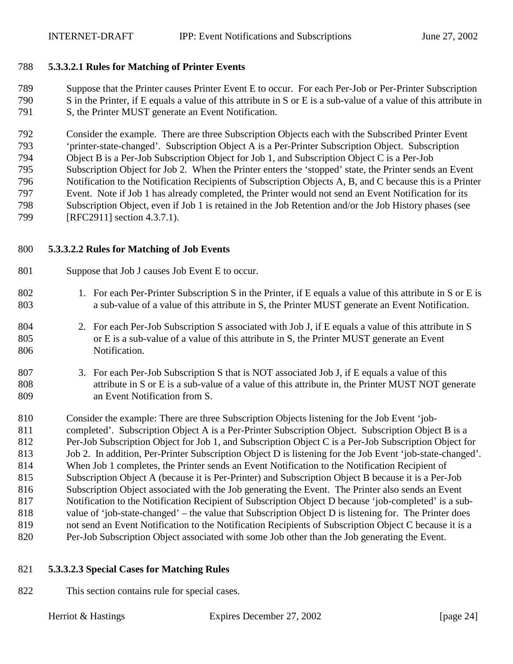#### <span id="page-23-0"></span>788 **5.3.3.2.1 Rules for Matching of Printer Events**

789 Suppose that the Printer causes Printer Event E to occur. For each Per-Job or Per-Printer Subscription 790 S in the Printer, if E equals a value of this attribute in S or E is a sub-value of a value of this attribute in 791 S, the Printer MUST generate an Event Notification.

792 Consider the example. There are three Subscription Objects each with the Subscribed Printer Event 793 'printer-state-changed'. Subscription Object A is a Per-Printer Subscription Object. Subscription 794 Object B is a Per-Job Subscription Object for Job 1, and Subscription Object C is a Per-Job 795 Subscription Object for Job 2. When the Printer enters the 'stopped' state, the Printer sends an Event 796 Notification to the Notification Recipients of Subscription Objects A, B, and C because this is a Printer 797 Event. Note if Job 1 has already completed, the Printer would not send an Event Notification for its 798 Subscription Object, even if Job 1 is retained in the Job Retention and/or the Job History phases (see 799 [RFC2911] section 4.3.7.1).

#### 800 **5.3.3.2.2 Rules for Matching of Job Events**

- 801 Suppose that Job J causes Job Event E to occur.
- 802 1. For each Per-Printer Subscription S in the Printer, if E equals a value of this attribute in S or E is 803 a sub-value of a value of this attribute in S, the Printer MUST generate an Event Notification.
- 804 2. For each Per-Job Subscription S associated with Job J, if E equals a value of this attribute in S 805 or E is a sub-value of a value of this attribute in S, the Printer MUST generate an Event 806 Notification.
- 807 3. For each Per-Job Subscription S that is NOT associated Job J, if E equals a value of this 808 attribute in S or E is a sub-value of a value of this attribute in, the Printer MUST NOT generate 809 an Event Notification from S.
- 810 Consider the example: There are three Subscription Objects listening for the Job Event 'job-811 completed'. Subscription Object A is a Per-Printer Subscription Object. Subscription Object B is a 812 Per-Job Subscription Object for Job 1, and Subscription Object C is a Per-Job Subscription Object for 813 Job 2. In addition, Per-Printer Subscription Object D is listening for the Job Event 'job-state-changed'. 814 When Job 1 completes, the Printer sends an Event Notification to the Notification Recipient of 815 Subscription Object A (because it is Per-Printer) and Subscription Object B because it is a Per-Job 816 Subscription Object associated with the Job generating the Event. The Printer also sends an Event 817 Notification to the Notification Recipient of Subscription Object D because 'job-completed' is a sub-818 value of 'job-state-changed' – the value that Subscription Object D is listening for. The Printer does 819 not send an Event Notification to the Notification Recipients of Subscription Object C because it is a 820 Per-Job Subscription Object associated with some Job other than the Job generating the Event.
- 821 **5.3.3.2.3 Special Cases for Matching Rules**
- 822 This section contains rule for special cases.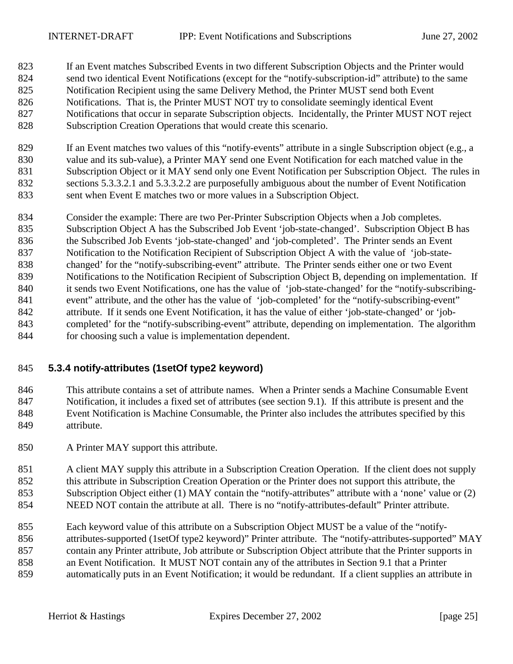- <span id="page-24-0"></span>823 If an Event matches Subscribed Events in two different Subscription Objects and the Printer would 824 send two identical Event Notifications (except for the "notify-subscription-id" attribute) to the same 825 Notification Recipient using the same Delivery Method, the Printer MUST send both Event 826 Notifications. That is, the Printer MUST NOT try to consolidate seemingly identical Event 827 Notifications that occur in separate Subscription objects. Incidentally, the Printer MUST NOT reject 828 Subscription Creation Operations that would create this scenario.
- 829 If an Event matches two values of this "notify-events" attribute in a single Subscription object (e.g., a 830 value and its sub-value), a Printer MAY send one Event Notification for each matched value in the 831 Subscription Object or it MAY send only one Event Notification per Subscription Object. The rules in 832 sections [5.3.3.2.1 a](#page-23-0)nd [5.3.3.2.2](#page-23-0) are purposefully ambiguous about the number of Event Notification 833 sent when Event E matches two or more values in a Subscription Object.
- 834 Consider the example: There are two Per-Printer Subscription Objects when a Job completes. 835 Subscription Object A has the Subscribed Job Event 'job-state-changed'. Subscription Object B has 836 the Subscribed Job Events 'job-state-changed' and 'job-completed'. The Printer sends an Event 837 Notification to the Notification Recipient of Subscription Object A with the value of 'job-state-838 changed' for the "notify-subscribing-event" attribute. The Printer sends either one or two Event 839 Notifications to the Notification Recipient of Subscription Object B, depending on implementation. If 840 it sends two Event Notifications, one has the value of 'job-state-changed' for the "notify-subscribing-841 event" attribute, and the other has the value of 'job-completed' for the "notify-subscribing-event" 842 attribute. If it sends one Event Notification, it has the value of either 'job-state-changed' or 'job-843 completed' for the "notify-subscribing-event" attribute, depending on implementation. The algorithm 844 for choosing such a value is implementation dependent.

## 845 **5.3.4 notify-attributes (1setOf type2 keyword)**

846 This attribute contains a set of attribute names. When a Printer sends a Machine Consumable Event 847 Notification, it includes a fixed set of attributes (see section [9.1\)](#page-36-0). If this attribute is present and the 848 Event Notification is Machine Consumable, the Printer also includes the attributes specified by this 849 attribute.

850 A Printer MAY support this attribute.

851 A client MAY supply this attribute in a Subscription Creation Operation. If the client does not supply 852 this attribute in Subscription Creation Operation or the Printer does not support this attribute, the 853 Subscription Object either (1) MAY contain the "notify-attributes" attribute with a 'none' value or (2) 854 NEED NOT contain the attribute at all. There is no "notify-attributes-default" Printer attribute.

855 Each keyword value of this attribute on a Subscription Object MUST be a value of the "notify-856 attributes-supported (1setOf type2 keyword)" Printer attribute. The "notify-attributes-supported" MAY 857 contain any Printer attribute, Job attribute or Subscription Object attribute that the Printer supports in 858 an Event Notification. It MUST NOT contain any of the attributes in Section [9.1](#page-36-0) that a Printer 859 automatically puts in an Event Notification; it would be redundant. If a client supplies an attribute in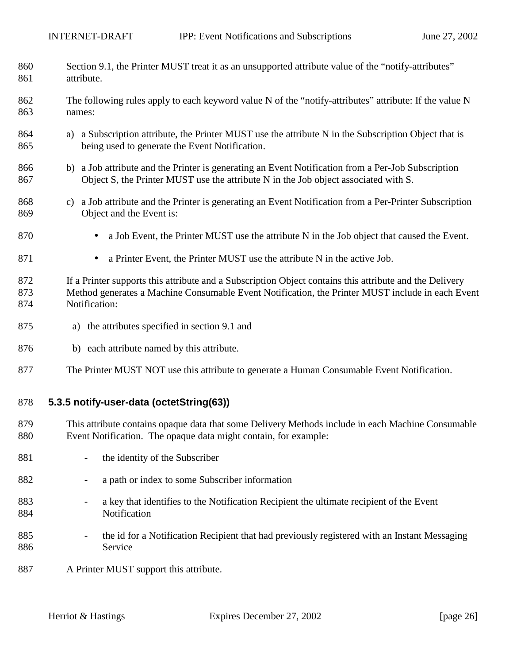<span id="page-25-0"></span>

| 860<br>861        | Section 9.1, the Printer MUST treat it as an unsupported attribute value of the "notify-attributes"<br>attribute.                                                                                                            |
|-------------------|------------------------------------------------------------------------------------------------------------------------------------------------------------------------------------------------------------------------------|
| 862<br>863        | The following rules apply to each keyword value N of the "notify-attributes" attribute: If the value N<br>names:                                                                                                             |
| 864<br>865        | a Subscription attribute, the Printer MUST use the attribute N in the Subscription Object that is<br>a)<br>being used to generate the Event Notification.                                                                    |
| 866<br>867        | b) a Job attribute and the Printer is generating an Event Notification from a Per-Job Subscription<br>Object S, the Printer MUST use the attribute N in the Job object associated with S.                                    |
| 868<br>869        | c) a Job attribute and the Printer is generating an Event Notification from a Per-Printer Subscription<br>Object and the Event is:                                                                                           |
| 870               | a Job Event, the Printer MUST use the attribute N in the Job object that caused the Event.                                                                                                                                   |
| 871               | a Printer Event, the Printer MUST use the attribute N in the active Job.                                                                                                                                                     |
| 872<br>873<br>874 | If a Printer supports this attribute and a Subscription Object contains this attribute and the Delivery<br>Method generates a Machine Consumable Event Notification, the Printer MUST include in each Event<br>Notification: |
| 875               | the attributes specified in section 9.1 and<br>a)                                                                                                                                                                            |
| 876               | b) each attribute named by this attribute.                                                                                                                                                                                   |
| 877               | The Printer MUST NOT use this attribute to generate a Human Consumable Event Notification.                                                                                                                                   |
| 878               | 5.3.5 notify-user-data (octetString(63))                                                                                                                                                                                     |
| 879<br>880        | This attribute contains opaque data that some Delivery Methods include in each Machine Consumable<br>Event Notification. The opaque data might contain, for example:                                                         |
| 881               | the identity of the Subscriber                                                                                                                                                                                               |
| 882               | a path or index to some Subscriber information<br>-                                                                                                                                                                          |
| 883<br>884        | a key that identifies to the Notification Recipient the ultimate recipient of the Event<br>Notification                                                                                                                      |
| 885<br>886        | the id for a Notification Recipient that had previously registered with an Instant Messaging<br>Service                                                                                                                      |

887 A Printer MUST support this attribute.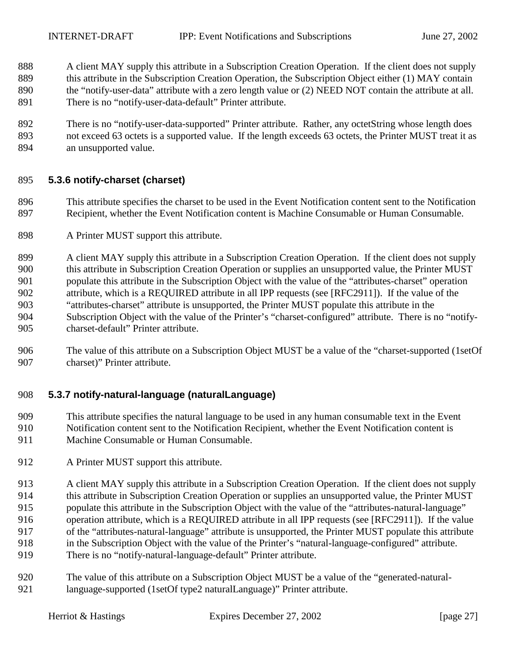- <span id="page-26-0"></span>888 A client MAY supply this attribute in a Subscription Creation Operation. If the client does not supply 889 this attribute in the Subscription Creation Operation, the Subscription Object either (1) MAY contain 890 the "notify-user-data" attribute with a zero length value or (2) NEED NOT contain the attribute at all. 891 There is no "notify-user-data-default" Printer attribute.
- 892 There is no "notify-user-data-supported" Printer attribute. Rather, any octetString whose length does 893 not exceed 63 octets is a supported value. If the length exceeds 63 octets, the Printer MUST treat it as 894 an unsupported value.

## 895 **5.3.6 notify-charset (charset)**

- 896 This attribute specifies the charset to be used in the Event Notification content sent to the Notification 897 Recipient, whether the Event Notification content is Machine Consumable or Human Consumable.
- 898 A Printer MUST support this attribute.
- 899 A client MAY supply this attribute in a Subscription Creation Operation. If the client does not supply 900 this attribute in Subscription Creation Operation or supplies an unsupported value, the Printer MUST 901 populate this attribute in the Subscription Object with the value of the "attributes-charset" operation 902 attribute, which is a REQUIRED attribute in all IPP requests (see [RFC2911]). If the value of the 903 "attributes-charset" attribute is unsupported, the Printer MUST populate this attribute in the 904 Subscription Object with the value of the Printer's "charset-configured" attribute. There is no "notify-905 charset-default" Printer attribute.
- 906 The value of this attribute on a Subscription Object MUST be a value of the "charset-supported (1setOf 907 charset)" Printer attribute.

## 908 **5.3.7 notify-natural-language (naturalLanguage)**

- 909 This attribute specifies the natural language to be used in any human consumable text in the Event 910 Notification content sent to the Notification Recipient, whether the Event Notification content is 911 Machine Consumable or Human Consumable.
- 912 A Printer MUST support this attribute.
- 913 A client MAY supply this attribute in a Subscription Creation Operation. If the client does not supply
- 914 this attribute in Subscription Creation Operation or supplies an unsupported value, the Printer MUST
- 915 populate this attribute in the Subscription Object with the value of the "attributes-natural-language"
- 916 operation attribute, which is a REQUIRED attribute in all IPP requests (see [RFC2911]). If the value
- 917 of the "attributes-natural-language" attribute is unsupported, the Printer MUST populate this attribute
- 918 in the Subscription Object with the value of the Printer's "natural-language-configured" attribute. 919 There is no "notify-natural-language-default" Printer attribute.
- 920 The value of this attribute on a Subscription Object MUST be a value of the "generated-natural-921 language-supported (1setOf type2 naturalLanguage)" Printer attribute.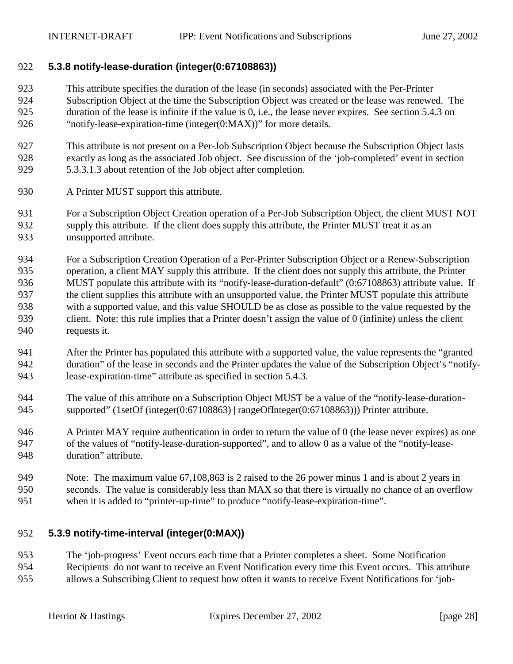## <span id="page-27-0"></span>922 **5.3.8 notify-lease-duration (integer(0:67108863))**

- 923 This attribute specifies the duration of the lease (in seconds) associated with the Per-Printer 924 Subscription Object at the time the Subscription Object was created or the lease was renewed. The 925 duration of the lease is infinite if the value is 0, i.e., the lease never expires. See section [5.4.3](#page-30-0) on 926 "[notify-lease-expiration-time \(integer\(0:MAX\)\)"](#page-30-0) for more details.
- 927 This attribute is not present on a Per-Job Subscription Object because the Subscription Object lasts 928 exactly as long as the associated Job object. See discussion of the 'job-completed' event in section 929 [5.3.3.1.3](#page-21-0) about retention of the Job object after completion.
- 930 A Printer MUST support this attribute.
- 931 For a Subscription Object Creation operation of a Per-Job Subscription Object, the client MUST NOT 932 supply this attribute. If the client does supply this attribute, the Printer MUST treat it as an 933 unsupported attribute.
- 934 For a Subscription Creation Operation of a Per-Printer Subscription Object or a Renew-Subscription 935 operation, a client MAY supply this attribute. If the client does not supply this attribute, the Printer 936 MUST populate this attribute with its "notify-lease-duration-default" (0:67108863) attribute value. If 937 the client supplies this attribute with an unsupported value, the Printer MUST populate this attribute 938 with a supported value, and this value SHOULD be as close as possible to the value requested by the 939 client. Note: this rule implies that a Printer doesn't assign the value of 0 (infinite) unless the client 940 requests it.
- 941 After the Printer has populated this attribute with a supported value, the value represents the "granted 942 duration" of the lease in seconds and the Printer updates the value of the Subscription Object's "notify-943 lease-expiration-time" attribute as specified in section [5.4.3.](#page-30-0)
- 944 The value of this attribute on a Subscription Object MUST be a value of the "notify-lease-duration-945 supported" (1setOf (integer(0:67108863) | rangeOfInteger(0:67108863))) Printer attribute.
- 946 A Printer MAY require authentication in order to return the value of 0 (the lease never expires) as one 947 of the values of "notify-lease-duration-supported", and to allow 0 as a value of the "notify-lease-948 duration" attribute.
- 949 Note: The maximum value 67,108,863 is 2 raised to the 26 power minus 1 and is about 2 years in 950 seconds. The value is considerably less than MAX so that there is virtually no chance of an overflow 951 when it is added to "printer-up-time" to produce "notify-lease-expiration-time".

## 952 **5.3.9 notify-time-interval (integer(0:MAX))**

953 The 'job-progress' Event occurs each time that a Printer completes a sheet. Some Notification 954 Recipients do not want to receive an Event Notification every time this Event occurs. This attribute 955 allows a Subscribing Client to request how often it wants to receive Event Notifications for 'job-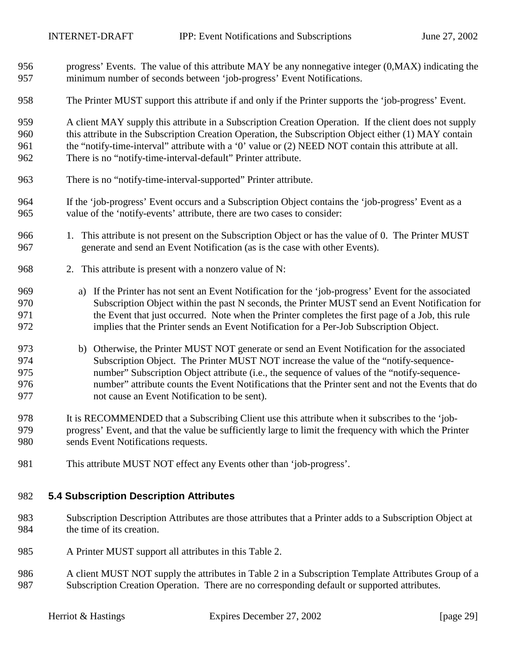- <span id="page-28-0"></span>956 progress' Events. The value of this attribute MAY be any nonnegative integer (0,MAX) indicating the 957 minimum number of seconds between 'job-progress' Event Notifications.
- 958 The Printer MUST support this attribute if and only if the Printer supports the 'job-progress' Event.

959 A client MAY supply this attribute in a Subscription Creation Operation. If the client does not supply 960 this attribute in the Subscription Creation Operation, the Subscription Object either (1) MAY contain 961 the "notify-time-interval" attribute with a '0' value or (2) NEED NOT contain this attribute at all. 962 There is no "notify-time-interval-default" Printer attribute.

- 963 There is no "notify-time-interval-supported" Printer attribute.
- 964 If the 'job-progress' Event occurs and a Subscription Object contains the 'job-progress' Event as a 965 value of the 'notify-events' attribute, there are two cases to consider:
- 966 1. This attribute is not present on the Subscription Object or has the value of 0. The Printer MUST 967 generate and send an Event Notification (as is the case with other Events).
- 968 2. This attribute is present with a nonzero value of N:
- 969 a) If the Printer has not sent an Event Notification for the 'job-progress' Event for the associated 970 Subscription Object within the past N seconds, the Printer MUST send an Event Notification for 971 the Event that just occurred. Note when the Printer completes the first page of a Job, this rule 972 implies that the Printer sends an Event Notification for a Per-Job Subscription Object.
- 973 b) Otherwise, the Printer MUST NOT generate or send an Event Notification for the associated 974 Subscription Object. The Printer MUST NOT increase the value of the "notify-sequence-975 number" Subscription Object attribute (i.e., the sequence of values of the "notify-sequence-976 number" attribute counts the Event Notifications that the Printer sent and not the Events that do 977 not cause an Event Notification to be sent).
- 978 It is RECOMMENDED that a Subscribing Client use this attribute when it subscribes to the 'job-979 progress' Event, and that the value be sufficiently large to limit the frequency with which the Printer 980 sends Event Notifications requests.
- 981 This attribute MUST NOT effect any Events other than 'job-progress'.

#### 982 **5.4 Subscription Description Attributes**

- 983 Subscription Description Attributes are those attributes that a Printer adds to a Subscription Object at 984 the time of its creation.
- 985 A Printer MUST support all attributes in this [Table 2.](#page-29-0)
- 986 A client MUST NOT supply the attributes in [Table 2 i](#page-29-0)n a Subscription Template Attributes Group of a 987 Subscription Creation Operation. There are no corresponding default or supported attributes.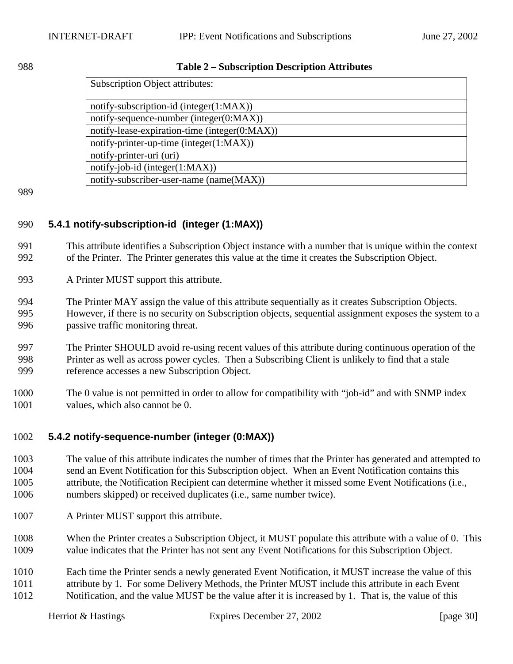#### <span id="page-29-0"></span>988 **Table 2 – Subscription Description Attributes**

| <b>Subscription Object attributes:</b>        |  |
|-----------------------------------------------|--|
|                                               |  |
| notify-subscription-id (integer(1:MAX))       |  |
| notify-sequence-number (integer $(0:MAX)$ )   |  |
| notify-lease-expiration-time (integer(0:MAX)) |  |
| notify-printer-up-time (integer(1:MAX))       |  |
| notify-printer-uri (uri)                      |  |
| $notify-job-id (integer(1:MAX))$              |  |
| notify-subscriber-user-name (name(MAX))       |  |

989

## 990 **5.4.1 notify-subscription-id (integer (1:MAX))**

991 This attribute identifies a Subscription Object instance with a number that is unique within the context 992 of the Printer. The Printer generates this value at the time it creates the Subscription Object.

- 993 A Printer MUST support this attribute.
- 994 The Printer MAY assign the value of this attribute sequentially as it creates Subscription Objects. 995 However, if there is no security on Subscription objects, sequential assignment exposes the system to a 996 passive traffic monitoring threat.
- 997 The Printer SHOULD avoid re-using recent values of this attribute during continuous operation of the 998 Printer as well as across power cycles. Then a Subscribing Client is unlikely to find that a stale 999 reference accesses a new Subscription Object.
- 1000 The 0 value is not permitted in order to allow for compatibility with "job-id" and with SNMP index 1001 values, which also cannot be 0.

## 1002 **5.4.2 notify-sequence-number (integer (0:MAX))**

- 1003 The value of this attribute indicates the number of times that the Printer has generated and attempted to 1004 send an Event Notification for this Subscription object. When an Event Notification contains this 1005 attribute, the Notification Recipient can determine whether it missed some Event Notifications (i.e., 1006 numbers skipped) or received duplicates (i.e., same number twice).
- 1007 A Printer MUST support this attribute.
- 1008 When the Printer creates a Subscription Object, it MUST populate this attribute with a value of 0. This 1009 value indicates that the Printer has not sent any Event Notifications for this Subscription Object.
- 1010 Each time the Printer sends a newly generated Event Notification, it MUST increase the value of this 1011 attribute by 1. For some Delivery Methods, the Printer MUST include this attribute in each Event 1012 Notification, and the value MUST be the value after it is increased by 1. That is, the value of this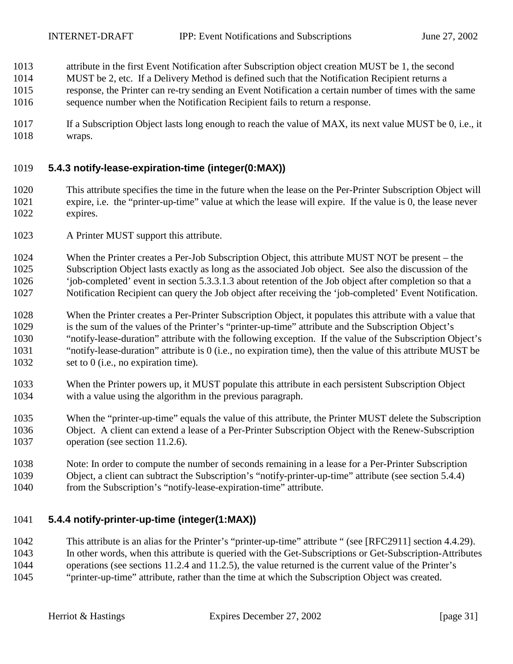- <span id="page-30-0"></span>1013 attribute in the first Event Notification after Subscription object creation MUST be 1, the second
- 1014 MUST be 2, etc. If a Delivery Method is defined such that the Notification Recipient returns a
- 1015 response, the Printer can re-try sending an Event Notification a certain number of times with the same
- 1016 sequence number when the Notification Recipient fails to return a response.
- 1017 If a Subscription Object lasts long enough to reach the value of MAX, its next value MUST be 0, i.e., it 1018 wraps.

## 1019 **5.4.3 notify-lease-expiration-time (integer(0:MAX))**

- 1020 This attribute specifies the time in the future when the lease on the Per-Printer Subscription Object will 1021 expire, i.e. the "printer-up-time" value at which the lease will expire. If the value is 0, the lease never 1022 expires.
- 1023 A Printer MUST support this attribute.
- 1024 When the Printer creates a Per-Job Subscription Object, this attribute MUST NOT be present the 1025 Subscription Object lasts exactly as long as the associated Job object. See also the discussion of the 1026 'job-completed' event in section [5.3.3.1.3](#page-21-0) about retention of the Job object after completion so that a 1027 Notification Recipient can query the Job object after receiving the 'job-completed' Event Notification.
- 1028 When the Printer creates a Per-Printer Subscription Object, it populates this attribute with a value that 1029 is the sum of the values of the Printer's "printer-up-time" attribute and the Subscription Object's 1030 "notify-lease-duration" attribute with the following exception. If the value of the Subscription Object's 1031 "notify-lease-duration" attribute is 0 (i.e., no expiration time), then the value of this attribute MUST be 1032 set to 0 (i.e., no expiration time).
- 1033 When the Printer powers up, it MUST populate this attribute in each persistent Subscription Object 1034 with a value using the algorithm in the previous paragraph.
- 1035 When the "printer-up-time" equals the value of this attribute, the Printer MUST delete the Subscription 1036 Object. A client can extend a lease of a Per-Printer Subscription Object with the Renew-Subscription 1037 operation (see section [11.2.6\)](#page-55-0).
- 1038 Note: In order to compute the number of seconds remaining in a lease for a Per-Printer Subscription 1039 Object, a client can subtract the Subscription's "notify-printer-up-time" attribute (see section 5.4.4) 1040 from the Subscription's "notify-lease-expiration-time" attribute.

## 1041 **5.4.4 notify-printer-up-time (integer(1:MAX))**

1042 This attribute is an alias for the Printer's "printer-up-time" attribute " (see [RFC2911] section 4.4.29). 1043 In other words, when this attribute is queried with the Get-Subscriptions or Get-Subscription-Attributes 1044 operations (see sections [11.2.4](#page-50-0) and [11.2.5\)](#page-53-0), the value returned is the current value of the Printer's 1045 "printer-up-time" attribute, rather than the time at which the Subscription Object was created.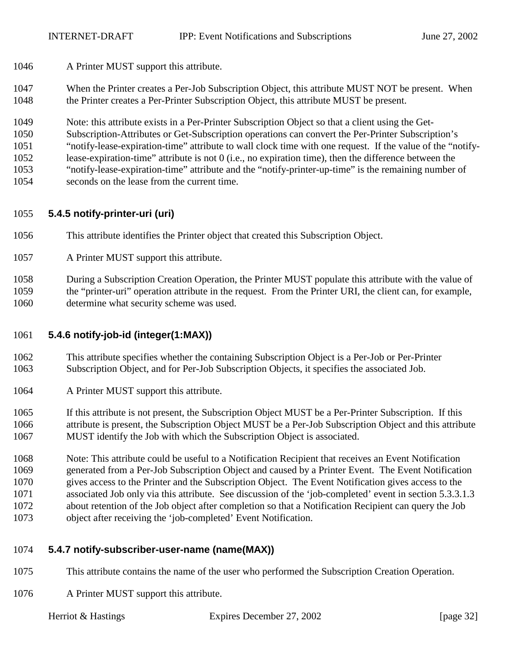- <span id="page-31-0"></span>1046 A Printer MUST support this attribute.
- 1047 When the Printer creates a Per-Job Subscription Object, this attribute MUST NOT be present. When 1048 the Printer creates a Per-Printer Subscription Object, this attribute MUST be present.
- 1049 Note: this attribute exists in a Per-Printer Subscription Object so that a client using the Get-
- 1050 Subscription-Attributes or Get-Subscription operations can convert the Per-Printer Subscription's
- 1051 "notify-lease-expiration-time" attribute to wall clock time with one request. If the value of the "notify-
- 1052 lease-expiration-time" attribute is not 0 (i.e., no expiration time), then the difference between the
- 1053 "notify-lease-expiration-time" attribute and the "notify-printer-up-time" is the remaining number of
- 1054 seconds on the lease from the current time.

## 1055 **5.4.5 notify-printer-uri (uri)**

- 1056 This attribute identifies the Printer object that created this Subscription Object.
- 1057 A Printer MUST support this attribute.

1058 During a Subscription Creation Operation, the Printer MUST populate this attribute with the value of 1059 the "printer-uri" operation attribute in the request. From the Printer URI, the client can, for example, 1060 determine what security scheme was used.

## 1061 **5.4.6 notify-job-id (integer(1:MAX))**

- 1062 This attribute specifies whether the containing Subscription Object is a Per-Job or Per-Printer 1063 Subscription Object, and for Per-Job Subscription Objects, it specifies the associated Job.
- 1064 A Printer MUST support this attribute.
- 1065 If this attribute is not present, the Subscription Object MUST be a Per-Printer Subscription. If this 1066 attribute is present, the Subscription Object MUST be a Per-Job Subscription Object and this attribute 1067 MUST identify the Job with which the Subscription Object is associated.

1068 Note: This attribute could be useful to a Notification Recipient that receives an Event Notification 1069 generated from a Per-Job Subscription Object and caused by a Printer Event. The Event Notification 1070 gives access to the Printer and the Subscription Object. The Event Notification gives access to the 1071 associated Job only via this attribute. See discussion of the 'job-completed' event in section [5.3.3.1.3](#page-21-0)  1072 about retention of the Job object after completion so that a Notification Recipient can query the Job 1073 object after receiving the 'job-completed' Event Notification.

## 1074 **5.4.7 notify-subscriber-user-name (name(MAX))**

- 1075 This attribute contains the name of the user who performed the Subscription Creation Operation.
- 1076 A Printer MUST support this attribute.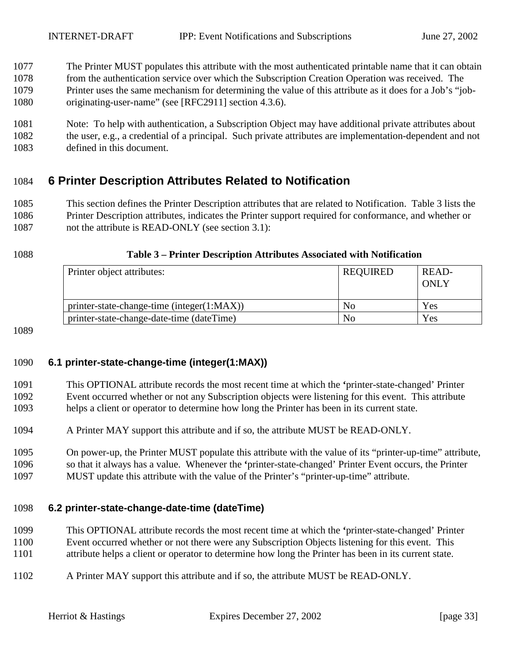- <span id="page-32-0"></span>1077 The Printer MUST populates this attribute with the most authenticated printable name that it can obtain 1078 from the authentication service over which the Subscription Creation Operation was received. The 1079 Printer uses the same mechanism for determining the value of this attribute as it does for a Job's "job-1080 originating-user-name" (see [RFC2911] section 4.3.6).
- 1081 Note: To help with authentication, a Subscription Object may have additional private attributes about 1082 the user, e.g., a credential of a principal. Such private attributes are implementation-dependent and not 1083 defined in this document.

## 1084 **6 Printer Description Attributes Related to Notification**

1085 This section defines the Printer Description attributes that are related to Notification. Table 3 lists the 1086 Printer Description attributes, indicates the Printer support required for conformance, and whether or 1087 not the attribute is READ-ONLY (see section [3.1\)](#page-9-0):

#### 1088 **Table 3 – Printer Description Attributes Associated with Notification**

| Printer object attributes:                 | <b>REQUIRED</b> | READ-<br><b>ONLY</b> |
|--------------------------------------------|-----------------|----------------------|
| printer-state-change-time (integer(1:MAX)) | No              | Yes                  |
| printer-state-change-date-time (dateTime)  | No.             | Yes                  |

1089

## 1090 **6.1 printer-state-change-time (integer(1:MAX))**

- 1091 This OPTIONAL attribute records the most recent time at which the **'**printer-state-changed' Printer 1092 Event occurred whether or not any Subscription objects were listening for this event. This attribute 1093 helps a client or operator to determine how long the Printer has been in its current state.
- 1094 A Printer MAY support this attribute and if so, the attribute MUST be READ-ONLY.
- 1095 On power-up, the Printer MUST populate this attribute with the value of its "printer-up-time" attribute, 1096 so that it always has a value. Whenever the **'**printer-state-changed' Printer Event occurs, the Printer 1097 MUST update this attribute with the value of the Printer's "printer-up-time" attribute.

## 1098 **6.2 printer-state-change-date-time (dateTime)**

- 1099 This OPTIONAL attribute records the most recent time at which the **'**printer-state-changed' Printer
- 1100 Event occurred whether or not there were any Subscription Objects listening for this event. This 1101 attribute helps a client or operator to determine how long the Printer has been in its current state.
- 1102 A Printer MAY support this attribute and if so, the attribute MUST be READ-ONLY.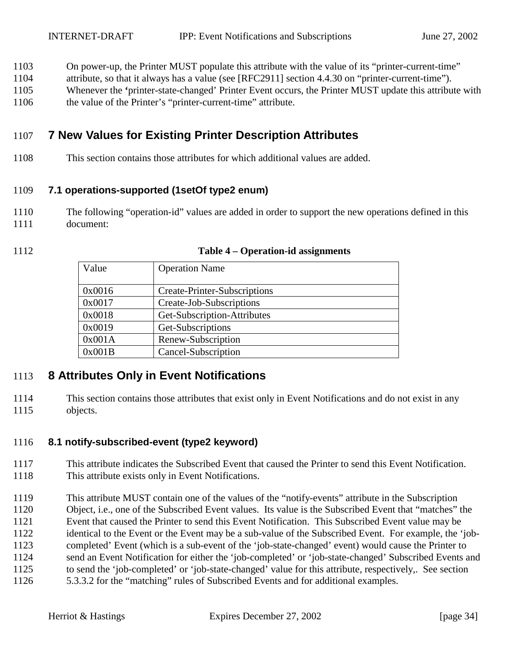- <span id="page-33-0"></span>1103 On power-up, the Printer MUST populate this attribute with the value of its "printer-current-time"
- 1104 attribute, so that it always has a value (see [RFC2911] section 4.4.30 on "printer-current-time").
- 1105 Whenever the **'**printer-state-changed' Printer Event occurs, the Printer MUST update this attribute with
- 1106 the value of the Printer's "printer-current-time" attribute.

# 1107 **7 New Values for Existing Printer Description Attributes**

1108 This section contains those attributes for which additional values are added.

## 1109 **7.1 operations-supported (1setOf type2 enum)**

- 1110 The following "operation-id" values are added in order to support the new operations defined in this 1111 document:
- 

| Value  | <b>Operation Name</b>        |
|--------|------------------------------|
| 0x0016 | Create-Printer-Subscriptions |
| 0x0017 | Create-Job-Subscriptions     |
| 0x0018 | Get-Subscription-Attributes  |
| 0x0019 | Get-Subscriptions            |
| 0x001A | Renew-Subscription           |
| 0x001B | Cancel-Subscription          |

#### 1112 **Table 4 – Operation-id assignments**

## 1113 **8 Attributes Only in Event Notifications**

1114 This section contains those attributes that exist only in Event Notifications and do not exist in any 1115 objects.

## 1116 **8.1 notify-subscribed-event (type2 keyword)**

- 1117 This attribute indicates the Subscribed Event that caused the Printer to send this Event Notification. 1118 This attribute exists only in Event Notifications.
- 1119 This attribute MUST contain one of the values of the "notify-events" attribute in the Subscription
- 1120 Object, i.e., one of the Subscribed Event values. Its value is the Subscribed Event that "matches" the
- 1121 Event that caused the Printer to send this Event Notification. This Subscribed Event value may be
- 1122 identical to the Event or the Event may be a sub-value of the Subscribed Event. For example, the 'job-
- 1123 completed' Event (which is a sub-event of the 'job-state-changed' event) would cause the Printer to
- 1124 send an Event Notification for either the 'job-completed' or 'job-state-changed' Subscribed Events and
- 1125 to send the 'job-completed' or 'job-state-changed' value for this attribute, respectively,. See section
- 1126 [5.3.3.2](#page-22-0) for the "matching" rules of Subscribed Events and for additional examples.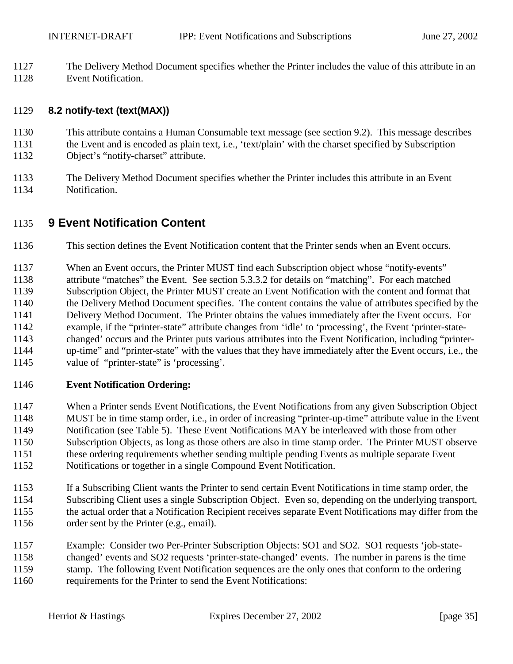<span id="page-34-0"></span>1127 The Delivery Method Document specifies whether the Printer includes the value of this attribute in an 1128 Event Notification.

## 1129 **8.2 notify-text (text(MAX))**

- 1130 This attribute contains a Human Consumable text message (see section [9.2\)](#page-38-0). This message describes 1131 the Event and is encoded as plain text, i.e., 'text/plain' with the charset specified by Subscription 1132 Object's "notify-charset" attribute.
- 1133 The Delivery Method Document specifies whether the Printer includes this attribute in an Event 1134 Notification.

## 1135 **9 Event Notification Content**

- 1136 This section defines the Event Notification content that the Printer sends when an Event occurs.
- 1137 When an Event occurs, the Printer MUST find each Subscription object whose "notify-events" 1138 attribute "matches" the Event. See section [5.3.3.2 f](#page-22-0)or details on "matching". For each matched 1139 Subscription Object, the Printer MUST create an Event Notification with the content and format that 1140 the Delivery Method Document specifies. The content contains the value of attributes specified by the
- 1141 Delivery Method Document. The Printer obtains the values immediately after the Event occurs. For 1142 example, if the "printer-state" attribute changes from 'idle' to 'processing', the Event 'printer-state-1143 changed' occurs and the Printer puts various attributes into the Event Notification, including "printer-1144 up-time" and "printer-state" with the values that they have immediately after the Event occurs, i.e., the
- 1145 value of "printer-state" is 'processing'.

## 1146 **Event Notification Ordering:**

- 1147 When a Printer sends Event Notifications, the Event Notifications from any given Subscription Object 1148 MUST be in time stamp order, i.e., in order of increasing "printer-up-time" attribute value in the Event 1149 Notification (see Table 5). These Event Notifications MAY be interleaved with those from other 1150 Subscription Objects, as long as those others are also in time stamp order. The Printer MUST observe 1151 these ordering requirements whether sending multiple pending Events as multiple separate Event 1152 Notifications or together in a single Compound Event Notification.
- 1153 If a Subscribing Client wants the Printer to send certain Event Notifications in time stamp order, the 1154 Subscribing Client uses a single Subscription Object. Even so, depending on the underlying transport, 1155 the actual order that a Notification Recipient receives separate Event Notifications may differ from the 1156 order sent by the Printer (e.g., email).
- 1157 Example: Consider two Per-Printer Subscription Objects: SO1 and SO2. SO1 requests 'job-state-1158 changed' events and SO2 requests 'printer-state-changed' events. The number in parens is the time 1159 stamp. The following Event Notification sequences are the only ones that conform to the ordering 1160 requirements for the Printer to send the Event Notifications: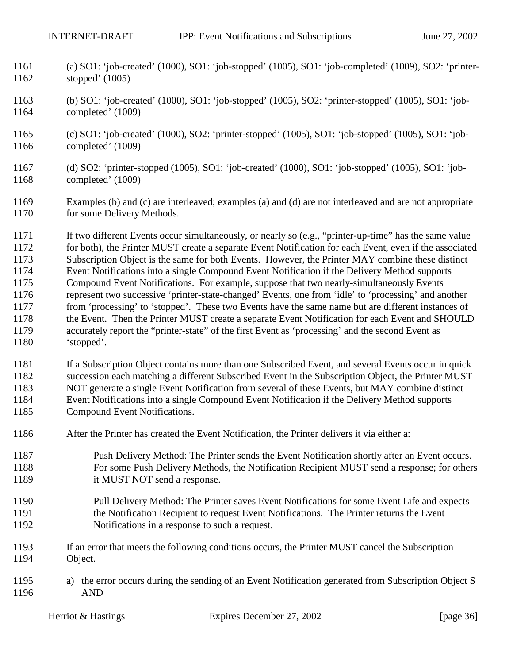- 1161 (a) SO1: 'job-created' (1000), SO1: 'job-stopped' (1005), SO1: 'job-completed' (1009), SO2: 'printer-1162 stopped' (1005)
- 1163 (b) SO1: 'job-created' (1000), SO1: 'job-stopped' (1005), SO2: 'printer-stopped' (1005), SO1: 'job-1164 completed' (1009)
- 1165 (c) SO1: 'job-created' (1000), SO2: 'printer-stopped' (1005), SO1: 'job-stopped' (1005), SO1: 'job-1166 completed' (1009)
- 1167 (d) SO2: 'printer-stopped (1005), SO1: 'job-created' (1000), SO1: 'job-stopped' (1005), SO1: 'job-1168 completed' (1009)
- 1169 Examples (b) and (c) are interleaved; examples (a) and (d) are not interleaved and are not appropriate 1170 for some Delivery Methods.
- 1171 If two different Events occur simultaneously, or nearly so (e.g., "printer-up-time" has the same value 1172 for both), the Printer MUST create a separate Event Notification for each Event, even if the associated 1173 Subscription Object is the same for both Events. However, the Printer MAY combine these distinct 1174 Event Notifications into a single Compound Event Notification if the Delivery Method supports 1175 Compound Event Notifications. For example, suppose that two nearly-simultaneously Events 1176 represent two successive 'printer-state-changed' Events, one from 'idle' to 'processing' and another 1177 from 'processing' to 'stopped'. These two Events have the same name but are different instances of 1178 the Event. Then the Printer MUST create a separate Event Notification for each Event and SHOULD 1179 accurately report the "printer-state" of the first Event as 'processing' and the second Event as 1180 'stopped'.
- 1181 If a Subscription Object contains more than one Subscribed Event, and several Events occur in quick 1182 succession each matching a different Subscribed Event in the Subscription Object, the Printer MUST 1183 NOT generate a single Event Notification from several of these Events, but MAY combine distinct
- 1184 Event Notifications into a single Compound Event Notification if the Delivery Method supports 1185 Compound Event Notifications.
	- 1186 After the Printer has created the Event Notification, the Printer delivers it via either a:
	- 1187 Push Delivery Method: The Printer sends the Event Notification shortly after an Event occurs. 1188 For some Push Delivery Methods, the Notification Recipient MUST send a response; for others 1189 it MUST NOT send a response.
	- 1190 Pull Delivery Method: The Printer saves Event Notifications for some Event Life and expects 1191 the Notification Recipient to request Event Notifications. The Printer returns the Event 1192 Notifications in a response to such a request.
	- 1193 If an error that meets the following conditions occurs, the Printer MUST cancel the Subscription 1194 Object.
	- 1195 a) the error occurs during the sending of an Event Notification generated from Subscription Object S 1196 AND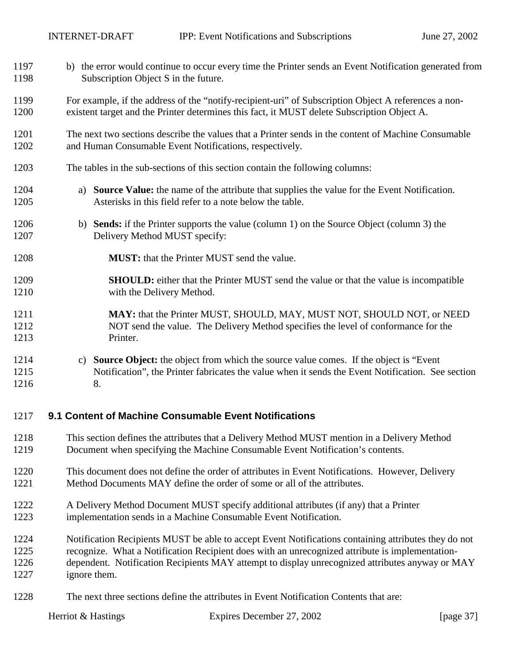<span id="page-36-0"></span>

| 1197                 | b) the error would continue to occur every time the Printer sends an Event Notification generated from                                                                                                        |
|----------------------|---------------------------------------------------------------------------------------------------------------------------------------------------------------------------------------------------------------|
| 1198                 | Subscription Object S in the future.                                                                                                                                                                          |
| 1199                 | For example, if the address of the "notify-recipient-uri" of Subscription Object A references a non-                                                                                                          |
| 1200                 | existent target and the Printer determines this fact, it MUST delete Subscription Object A.                                                                                                                   |
| 1201                 | The next two sections describe the values that a Printer sends in the content of Machine Consumable                                                                                                           |
| 1202                 | and Human Consumable Event Notifications, respectively.                                                                                                                                                       |
| 1203                 | The tables in the sub-sections of this section contain the following columns:                                                                                                                                 |
| 1204<br>1205         | <b>Source Value:</b> the name of the attribute that supplies the value for the Event Notification.<br>a)<br>Asterisks in this field refer to a note below the table.                                          |
| 1206                 | b) Sends: if the Printer supports the value (column 1) on the Source Object (column 3) the                                                                                                                    |
| 1207                 | Delivery Method MUST specify:                                                                                                                                                                                 |
| 1208                 | <b>MUST:</b> that the Printer MUST send the value.                                                                                                                                                            |
| 1209                 | <b>SHOULD:</b> either that the Printer MUST send the value or that the value is incompatible                                                                                                                  |
| 1210                 | with the Delivery Method.                                                                                                                                                                                     |
| 1211                 | MAY: that the Printer MUST, SHOULD, MAY, MUST NOT, SHOULD NOT, or NEED                                                                                                                                        |
| 1212                 | NOT send the value. The Delivery Method specifies the level of conformance for the                                                                                                                            |
| 1213                 | Printer.                                                                                                                                                                                                      |
| 1214<br>1215<br>1216 | <b>Source Object:</b> the object from which the source value comes. If the object is "Event"<br>C)<br>Notification", the Printer fabricates the value when it sends the Event Notification. See section<br>8. |
| 1217                 | 9.1 Content of Machine Consumable Event Notifications                                                                                                                                                         |
| 1218                 | This section defines the attributes that a Delivery Method MUST mention in a Delivery Method                                                                                                                  |
| 1219                 | Document when specifying the Machine Consumable Event Notification's contents.                                                                                                                                |
| 1220                 | This document does not define the order of attributes in Event Notifications. However, Delivery                                                                                                               |
| 1221                 | Method Documents MAY define the order of some or all of the attributes.                                                                                                                                       |
| 1222                 | A Delivery Method Document MUST specify additional attributes (if any) that a Printer                                                                                                                         |

- 1223 implementation sends in a Machine Consumable Event Notification.
- 1224 Notification Recipients MUST be able to accept Event Notifications containing attributes they do not 1225 recognize. What a Notification Recipient does with an unrecognized attribute is implementation-1226 dependent. Notification Recipients MAY attempt to display unrecognized attributes anyway or MAY 1227 ignore them.
- 1228 The next three sections define the attributes in Event Notification Contents that are: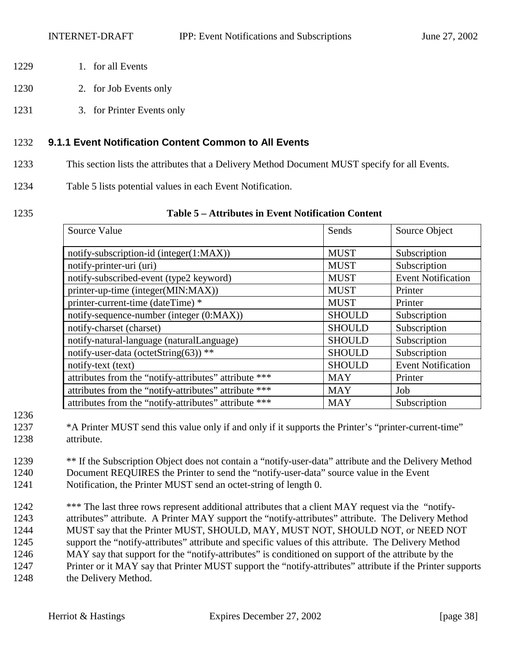- 1229 1. for all Events
- 1230 2. for Job Events only
- 1231 3. for Printer Events only

## 1232 **9.1.1 Event Notification Content Common to All Events**

- 1233 This section lists the attributes that a Delivery Method Document MUST specify for all Events.
- 1234 Table 5 lists potential values in each Event Notification.
- 

## 1235 **Table 5 – Attributes in Event Notification Content**

| Source Value                                          | Sends         | Source Object             |
|-------------------------------------------------------|---------------|---------------------------|
| notify-subscription-id (integer(1:MAX))               | <b>MUST</b>   | Subscription              |
| notify-printer-uri (uri)                              | <b>MUST</b>   | Subscription              |
| notify-subscribed-event (type2 keyword)               | <b>MUST</b>   | <b>Event Notification</b> |
| printer-up-time (integer(MIN:MAX))                    | <b>MUST</b>   | Printer                   |
| printer-current-time (dateTime) *                     | <b>MUST</b>   | Printer                   |
| notify-sequence-number (integer (0:MAX))              | <b>SHOULD</b> | Subscription              |
| notify-charset (charset)                              | <b>SHOULD</b> | Subscription              |
| notify-natural-language (naturalLanguage)             | <b>SHOULD</b> | Subscription              |
| notify-user-data (octetString(63)) **                 | <b>SHOULD</b> | Subscription              |
| notify-text (text)                                    | <b>SHOULD</b> | <b>Event Notification</b> |
| attributes from the "notify-attributes" attribute *** | <b>MAY</b>    | Printer                   |
| attributes from the "notify-attributes" attribute *** | <b>MAY</b>    | Job                       |
| attributes from the "notify-attributes" attribute *** | <b>MAY</b>    | Subscription              |

1236

- 1239 \*\* If the Subscription Object does not contain a "notify-user-data" attribute and the Delivery Method 1240 Document REQUIRES the Printer to send the "notify-user-data" source value in the Event 1241 Notification, the Printer MUST send an octet-string of length 0.
- 1242 \*\*\* The last three rows represent additional attributes that a client MAY request via the "notify-1243 attributes" attribute. A Printer MAY support the "notify-attributes" attribute. The Delivery Method 1244 MUST say that the Printer MUST, SHOULD, MAY, MUST NOT, SHOULD NOT, or NEED NOT 1245 support the "notify-attributes" attribute and specific values of this attribute. The Delivery Method 1246 MAY say that support for the "notify-attributes" is conditioned on support of the attribute by the 1247 Printer or it MAY say that Printer MUST support the "notify-attributes" attribute if the Printer supports 1248 the Delivery Method.

<sup>1237 \*</sup>A Printer MUST send this value only if and only if it supports the Printer's "printer-current-time" 1238 attribute.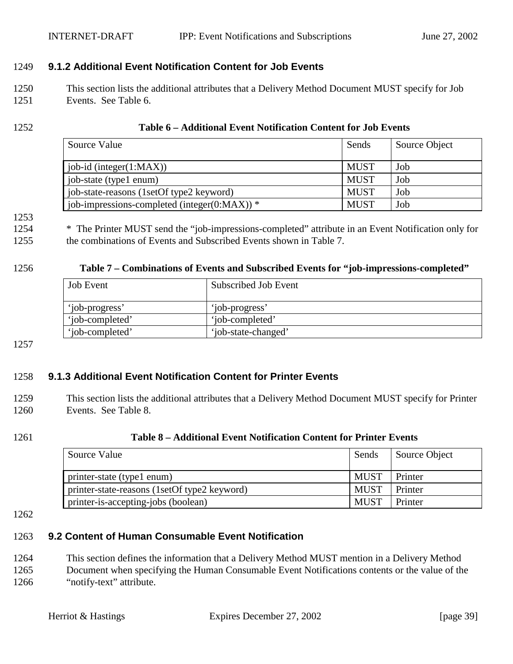# <span id="page-38-0"></span>1249 **9.1.2 Additional Event Notification Content for Job Events**

1250 This section lists the additional attributes that a Delivery Method Document MUST specify for Job 1251 Events. See Table 6.

## 1252 **Table 6 – Additional Event Notification Content for Job Events**

| Source Value                                 | Sends       | Source Object |
|----------------------------------------------|-------------|---------------|
| job-id (integer(1:MAX))                      | <b>MUST</b> | Job           |
| job-state (type1 enum)                       | <b>MUST</b> | Job           |
| job-state-reasons (1setOf type2 keyword)     | <b>MUST</b> | Job           |
| job-impressions-completed (integer(0:MAX)) * | <b>MUST</b> | Job           |

### 1253

1254 \* The Printer MUST send the "job-impressions-completed" attribute in an Event Notification only for 1255 the combinations of Events and Subscribed Events shown in Table 7.

## 1256 **Table 7 – Combinations of Events and Subscribed Events for "job-impressions-completed"**

| <b>Job Event</b> | Subscribed Job Event |
|------------------|----------------------|
| 'job-progress'   | 'job-progress'       |
| 'job-completed'  | 'job-completed'      |
| 'job-completed'  | 'job-state-changed'  |

1257

## 1258 **9.1.3 Additional Event Notification Content for Printer Events**

1259 This section lists the additional attributes that a Delivery Method Document MUST specify for Printer 1260 Events. See Table 8.

## 1261 **Table 8 – Additional Event Notification Content for Printer Events**

| Source Value                                 | Sends       | Source Object |
|----------------------------------------------|-------------|---------------|
| printer-state (type1 enum)                   | <b>MUST</b> | Printer       |
| printer-state-reasons (1setOf type2 keyword) | <b>MUST</b> | Printer       |
| printer-is-accepting-jobs (boolean)          | <b>MUST</b> | Printer       |

#### 1262

## 1263 **9.2 Content of Human Consumable Event Notification**

1264 This section defines the information that a Delivery Method MUST mention in a Delivery Method 1265 Document when specifying the Human Consumable Event Notifications contents or the value of the 1266 "notify-text" attribute.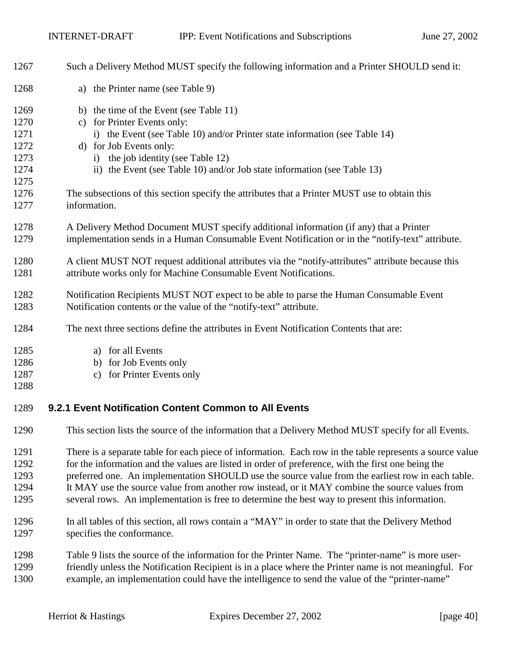| 1267                                                                 | Such a Delivery Method MUST specify the following information and a Printer SHOULD send it:                                                                                                                                                                                                                                                                                                                                                                                                                                                                                                                                                                 |
|----------------------------------------------------------------------|-------------------------------------------------------------------------------------------------------------------------------------------------------------------------------------------------------------------------------------------------------------------------------------------------------------------------------------------------------------------------------------------------------------------------------------------------------------------------------------------------------------------------------------------------------------------------------------------------------------------------------------------------------------|
| 1268                                                                 | a) the Printer name (see Table 9)                                                                                                                                                                                                                                                                                                                                                                                                                                                                                                                                                                                                                           |
| 1269<br>1270<br>1271<br>1272<br>1273<br>1274<br>1275<br>1276<br>1277 | b) the time of the Event (see Table 11)<br>c) for Printer Events only:<br>i) the Event (see Table 10) and/or Printer state information (see Table 14)<br>d) for Job Events only:<br>i) the job identity (see Table 12)<br>ii) the Event (see Table 10) and/or Job state information (see Table 13)<br>The subsections of this section specify the attributes that a Printer MUST use to obtain this<br>information.                                                                                                                                                                                                                                         |
| 1278<br>1279                                                         | A Delivery Method Document MUST specify additional information (if any) that a Printer<br>implementation sends in a Human Consumable Event Notification or in the "notify-text" attribute.                                                                                                                                                                                                                                                                                                                                                                                                                                                                  |
| 1280<br>1281                                                         | A client MUST NOT request additional attributes via the "notify-attributes" attribute because this<br>attribute works only for Machine Consumable Event Notifications.                                                                                                                                                                                                                                                                                                                                                                                                                                                                                      |
| 1282<br>1283                                                         | Notification Recipients MUST NOT expect to be able to parse the Human Consumable Event<br>Notification contents or the value of the "notify-text" attribute.                                                                                                                                                                                                                                                                                                                                                                                                                                                                                                |
| 1284                                                                 | The next three sections define the attributes in Event Notification Contents that are:                                                                                                                                                                                                                                                                                                                                                                                                                                                                                                                                                                      |
| 1285<br>1286<br>1287<br>1288                                         | a) for all Events<br>b) for Job Events only<br>c) for Printer Events only                                                                                                                                                                                                                                                                                                                                                                                                                                                                                                                                                                                   |
| 1289                                                                 | 9.2.1 Event Notification Content Common to All Events                                                                                                                                                                                                                                                                                                                                                                                                                                                                                                                                                                                                       |
| 1290                                                                 | This section lists the source of the information that a Delivery Method MUST specify for all Events.                                                                                                                                                                                                                                                                                                                                                                                                                                                                                                                                                        |
| 1291<br>1292<br>1293<br>1294<br>1295<br>1296<br>1297                 | There is a separate table for each piece of information. Each row in the table represents a source value<br>for the information and the values are listed in order of preference, with the first one being the<br>preferred one. An implementation SHOULD use the source value from the earliest row in each table.<br>It MAY use the source value from another row instead, or it MAY combine the source values from<br>several rows. An implementation is free to determine the best way to present this information.<br>In all tables of this section, all rows contain a "MAY" in order to state that the Delivery Method<br>specifies the conformance. |
| 1298                                                                 | Table 9 lists the source of the information for the Printer Name. The "printer-name" is more user-                                                                                                                                                                                                                                                                                                                                                                                                                                                                                                                                                          |

1299 friendly unless the Notification Recipient is in a place where the Printer name is not meaningful. For 1300 example, an implementation could have the intelligence to send the value of the "printer-name"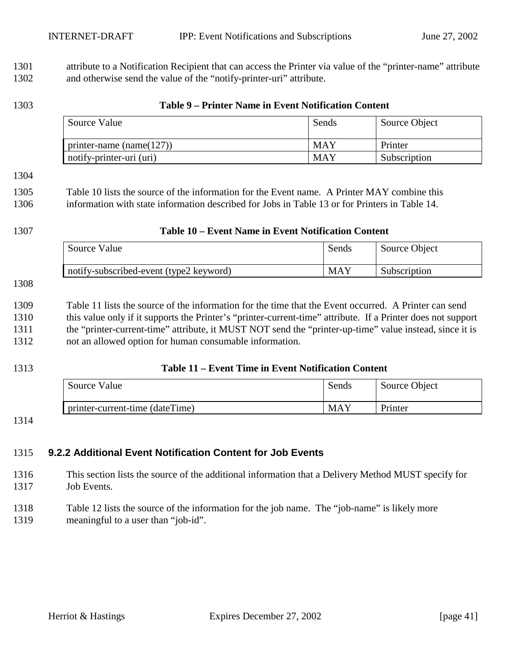<span id="page-40-0"></span>1301 attribute to a Notification Recipient that can access the Printer via value of the "printer-name" attribute 1302 and otherwise send the value of the "notify-printer-uri" attribute.

## 1303 **Table 9 – Printer Name in Event Notification Content**

| Source Value                 | Sends | Source Object |
|------------------------------|-------|---------------|
| printer-name (name( $127$ )) | MAY   | Printer       |
| notify-printer-uri (uri)     | MAY   | Subscription  |

#### 1304

1305 Table 10 lists the source of the information for the Event name. A Printer MAY combine this 1306 information with state information described for Jobs in [Table 13](#page-41-0) or for Printers in [Table 14.](#page-42-0)

## 1307 **Table 10 – Event Name in Event Notification Content**

| Source Value                            | Sends | Source Object |
|-----------------------------------------|-------|---------------|
| notify-subscribed-event (type2 keyword) | MAY   | Subscription  |

#### 1308

1309 Table 11 lists the source of the information for the time that the Event occurred. A Printer can send 1310 this value only if it supports the Printer's "printer-current-time" attribute. If a Printer does not support 1311 the "printer-current-time" attribute, it MUST NOT send the "printer-up-time" value instead, since it is 1312 not an allowed option for human consumable information.

## 1313 **Table 11 – Event Time in Event Notification Content**

| Source Value                    | Sends      | Source Object |
|---------------------------------|------------|---------------|
| printer-current-time (dateTime) | <b>MAY</b> | Printer       |

### 1314

## 1315 **9.2.2 Additional Event Notification Content for Job Events**

1316 This section lists the source of the additional information that a Delivery Method MUST specify for 1317 Job Events.

1318 [Table 12](#page-41-0) lists the source of the information for the job name. The "job-name" is likely more 1319 meaningful to a user than "job-id".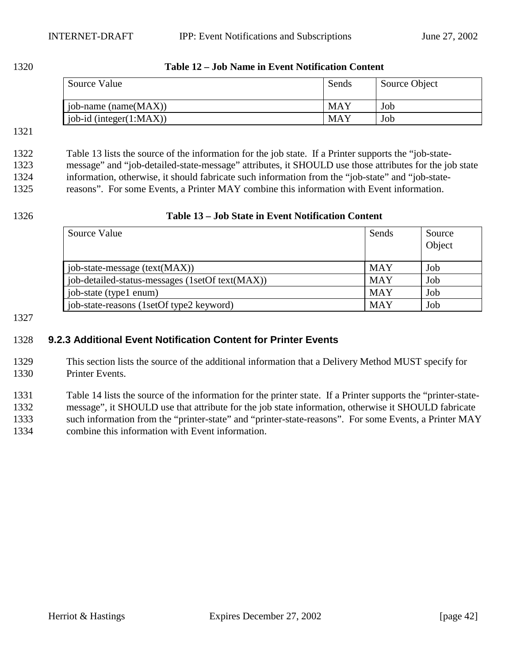<span id="page-41-0"></span>1320 **Table 12 – Job Name in Event Notification Content** 

| Source Value                  | Sends | Source Object |
|-------------------------------|-------|---------------|
| $job$ -name (name $(MAX)$ )   | MAY   | Job           |
| $job-id$ (integer $(1:MAX)$ ) | MAY   | Job           |

#### 1321

1322 Table 13 lists the source of the information for the job state. If a Printer supports the "job-state-1323 message" and "job-detailed-state-message" attributes, it SHOULD use those attributes for the job state 1324 information, otherwise, it should fabricate such information from the "job-state" and "job-state-1325 reasons". For some Events, a Printer MAY combine this information with Event information.

## 1326 **Table 13 – Job State in Event Notification Content**

| Source Value                                    | Sends      | Source<br>Object |
|-------------------------------------------------|------------|------------------|
| job-state-message (text(MAX))                   | <b>MAY</b> | Job              |
| job-detailed-status-messages (1setOf text(MAX)) | <b>MAY</b> | Job              |
| job-state (type1 enum)                          | <b>MAY</b> | Job              |
| job-state-reasons (1setOf type2 keyword)        | <b>MAY</b> | Job              |

#### 1327

## 1328 **9.2.3 Additional Event Notification Content for Printer Events**

1329 This section lists the source of the additional information that a Delivery Method MUST specify for 1330 Printer Events.

1331 [Table 14](#page-42-0) lists the source of the information for the printer state. If a Printer supports the "printer-state-1332 message", it SHOULD use that attribute for the job state information, otherwise it SHOULD fabricate 1333 such information from the "printer-state" and "printer-state-reasons". For some Events, a Printer MAY 1334 combine this information with Event information.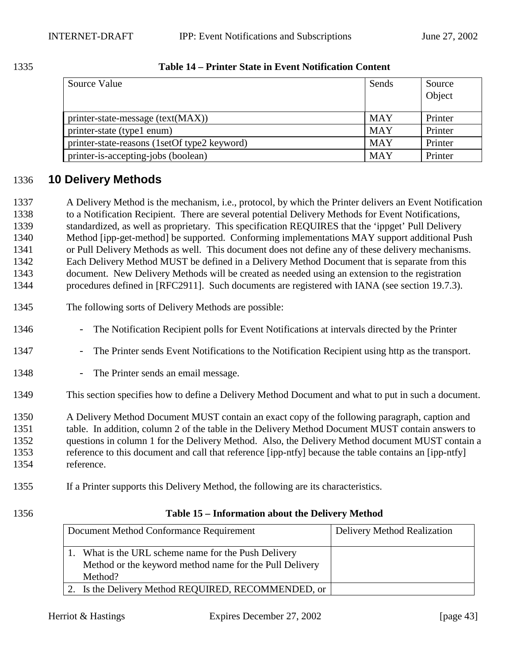<span id="page-42-0"></span>

| 1335 | Table 14 – Printer State in Event Notification Content |
|------|--------------------------------------------------------|
|      |                                                        |

| Source Value                                 | Sends      | Source<br>Object |
|----------------------------------------------|------------|------------------|
| printer-state-message (text(MAX))            | <b>MAY</b> | Printer          |
| printer-state (type1 enum)                   | <b>MAY</b> | Printer          |
| printer-state-reasons (1setOf type2 keyword) | <b>MAY</b> | Printer          |
| printer-is-accepting-jobs (boolean)          | <b>MAY</b> | Printer          |

# 1336 **10 Delivery Methods**

1337 A Delivery Method is the mechanism, i.e., protocol, by which the Printer delivers an Event Notification 1338 to a Notification Recipient. There are several potential Delivery Methods for Event Notifications, 1339 standardized, as well as proprietary. This specification REQUIRES that the 'ippget' Pull Delivery 1340 Method [ipp-get-method] be supported. Conforming implementations MAY support additional Push 1341 or Pull Delivery Methods as well. This document does not define any of these delivery mechanisms. 1342 Each Delivery Method MUST be defined in a Delivery Method Document that is separate from this 1343 document. New Delivery Methods will be created as needed using an extension to the registration 1344 procedures defined in [RFC2911]. Such documents are registered with IANA (see section [19.7.3\)](#page-72-0).

- 1345 The following sorts of Delivery Methods are possible:
- 1346 The Notification Recipient polls for Event Notifications at intervals directed by the Printer
- 1347 The Printer sends Event Notifications to the Notification Recipient using http as the transport.
- 1348 The Printer sends an email message.
- 1349 This section specifies how to define a Delivery Method Document and what to put in such a document.

1350 A Delivery Method Document MUST contain an exact copy of the following paragraph, caption and 1351 table. In addition, column 2 of the table in the Delivery Method Document MUST contain answers to 1352 questions in column 1 for the Delivery Method. Also, the Delivery Method document MUST contain a 1353 reference to this document and call that reference [ipp-ntfy] because the table contains an [ipp-ntfy] 1354 reference.

- 1355 If a Printer supports this Delivery Method, the following are its characteristics.
- 

## 1356 **Table 15 – Information about the Delivery Method**

| Document Method Conformance Requirement                                                                                    | <b>Delivery Method Realization</b> |
|----------------------------------------------------------------------------------------------------------------------------|------------------------------------|
| 1. What is the URL scheme name for the Push Delivery<br>Method or the keyword method name for the Pull Delivery<br>Method? |                                    |
| 2. Is the Delivery Method REQUIRED, RECOMMENDED, or                                                                        |                                    |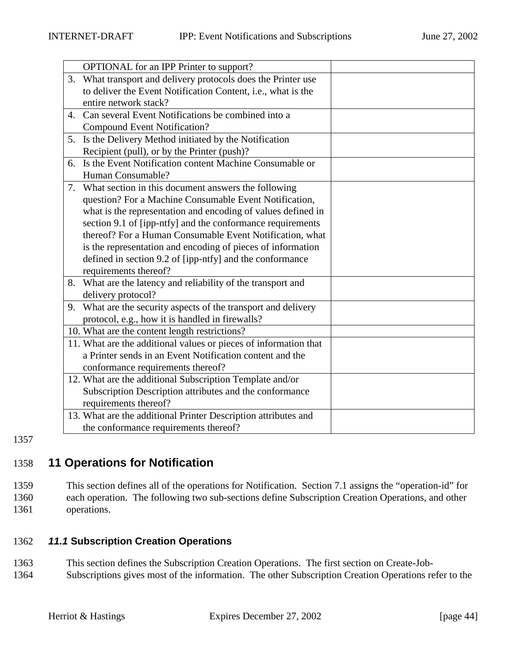<span id="page-43-0"></span>

|    | OPTIONAL for an IPP Printer to support?                          |  |
|----|------------------------------------------------------------------|--|
| 3. | What transport and delivery protocols does the Printer use       |  |
|    | to deliver the Event Notification Content, i.e., what is the     |  |
|    | entire network stack?                                            |  |
| 4. | Can several Event Notifications be combined into a               |  |
|    | <b>Compound Event Notification?</b>                              |  |
| 5. | Is the Delivery Method initiated by the Notification             |  |
|    | Recipient (pull), or by the Printer (push)?                      |  |
|    | 6. Is the Event Notification content Machine Consumable or       |  |
|    | Human Consumable?                                                |  |
|    | 7. What section in this document answers the following           |  |
|    | question? For a Machine Consumable Event Notification,           |  |
|    | what is the representation and encoding of values defined in     |  |
|    | section 9.1 of [ipp-ntfy] and the conformance requirements       |  |
|    | thereof? For a Human Consumable Event Notification, what         |  |
|    | is the representation and encoding of pieces of information      |  |
|    | defined in section 9.2 of [ipp-ntfy] and the conformance         |  |
|    | requirements thereof?                                            |  |
| 8. | What are the latency and reliability of the transport and        |  |
|    | delivery protocol?                                               |  |
|    | 9. What are the security aspects of the transport and delivery   |  |
|    | protocol, e.g., how it is handled in firewalls?                  |  |
|    | 10. What are the content length restrictions?                    |  |
|    | 11. What are the additional values or pieces of information that |  |
|    | a Printer sends in an Event Notification content and the         |  |
|    | conformance requirements thereof?                                |  |
|    | 12. What are the additional Subscription Template and/or         |  |
|    | Subscription Description attributes and the conformance          |  |
|    | requirements thereof?                                            |  |
|    | 13. What are the additional Printer Description attributes and   |  |
|    | the conformance requirements thereof?                            |  |

1357

# 1358 **11 Operations for Notification**

1359 This section defines all of the operations for Notification. Section [7.1](#page-33-0) assigns the "operation-id" for 1360 each operation. The following two sub-sections define Subscription Creation Operations, and other 1361 operations.

## 1362 *11.1* **Subscription Creation Operations**

- 1363 This section defines the Subscription Creation Operations. The first section on Create-Job-
- 1364 Subscriptions gives most of the information. The other Subscription Creation Operations refer to the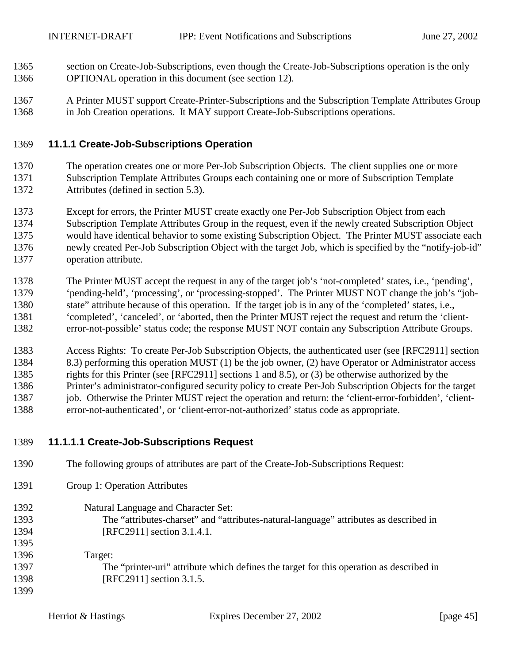- <span id="page-44-0"></span>1365 section on Create-Job-Subscriptions, even though the Create-Job-Subscriptions operation is the only 1366 OPTIONAL operation in this document (see section [12\)](#page-61-0).
- 1367 A Printer MUST support Create-Printer-Subscriptions and the Subscription Template Attributes Group 1368 in Job Creation operations. It MAY support Create-Job-Subscriptions operations.

## 1369 **11.1.1 Create-Job-Subscriptions Operation**

- 1370 The operation creates one or more Per-Job Subscription Objects. The client supplies one or more 1371 Subscription Template Attributes Groups each containing one or more of Subscription Template 1372 Attributes (defined in section [5.3\)](#page-17-0).
- 1373 Except for errors, the Printer MUST create exactly one Per-Job Subscription Object from each 1374 Subscription Template Attributes Group in the request, even if the newly created Subscription Object 1375 would have identical behavior to some existing Subscription Object. The Printer MUST associate each 1376 newly created Per-Job Subscription Object with the target Job, which is specified by the "notify-job-id" 1377 operation attribute.
- 1378 The Printer MUST accept the request in any of the target job's 'not-completed' states, i.e., 'pending', 1379 'pending-held', 'processing', or 'processing-stopped'. The Printer MUST NOT change the job's "job-1380 state" attribute because of this operation. If the target job is in any of the 'completed' states, i.e., 1381 'completed', 'canceled', or 'aborted, then the Printer MUST reject the request and return the 'client-1382 error-not-possible' status code; the response MUST NOT contain any Subscription Attribute Groups.
- 1383 Access Rights: To create Per-Job Subscription Objects, the authenticated user (see [RFC2911] section 1384 8.3) performing this operation MUST (1) be the job owner, (2) have Operator or Administrator access 1385 rights for this Printer (see [RFC2911] sections 1 and 8.5), or (3) be otherwise authorized by the 1386 Printer's administrator-configured security policy to create Per-Job Subscription Objects for the target 1387 job. Otherwise the Printer MUST reject the operation and return: the 'client-error-forbidden', 'client-1388 error-not-authenticated', or 'client-error-not-authorized' status code as appropriate.
- 1389 **11.1.1.1 Create-Job-Subscriptions Request**
- 1391 Group 1: Operation Attributes 1392 Natural Language and Character Set: 1393 The "attributes-charset" and "attributes-natural-language" attributes as described in 1394 [RFC2911] section 3.1.4.1. 1395 1396 Target: 1397 The "printer-uri" attribute which defines the target for this operation as described in 1398 [RFC2911] section 3.1.5. 1399

1390 The following groups of attributes are part of the Create-Job-Subscriptions Request: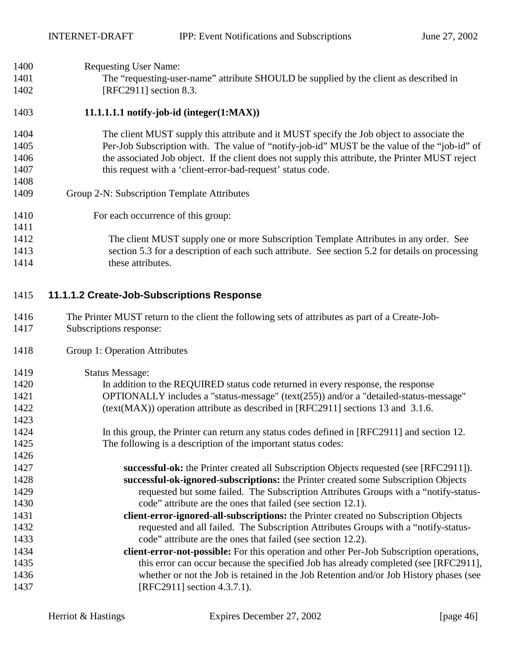<span id="page-45-0"></span>

| 1400 | <b>Requesting User Name:</b>                                                                                                                                               |
|------|----------------------------------------------------------------------------------------------------------------------------------------------------------------------------|
| 1401 | The "requesting-user-name" attribute SHOULD be supplied by the client as described in                                                                                      |
| 1402 | [RFC2911] section 8.3.                                                                                                                                                     |
| 1403 | $11.1.1.1.1$ notify-job-id (integer $(1:MAX)$ )                                                                                                                            |
| 1404 | The client MUST supply this attribute and it MUST specify the Job object to associate the                                                                                  |
| 1405 | Per-Job Subscription with. The value of "notify-job-id" MUST be the value of the "job-id" of                                                                               |
| 1406 | the associated Job object. If the client does not supply this attribute, the Printer MUST reject                                                                           |
| 1407 | this request with a 'client-error-bad-request' status code.                                                                                                                |
| 1408 |                                                                                                                                                                            |
| 1409 | Group 2-N: Subscription Template Attributes                                                                                                                                |
| 1410 | For each occurrence of this group:                                                                                                                                         |
| 1411 |                                                                                                                                                                            |
| 1412 | The client MUST supply one or more Subscription Template Attributes in any order. See                                                                                      |
| 1413 | section 5.3 for a description of each such attribute. See section 5.2 for details on processing                                                                            |
| 1414 | these attributes.                                                                                                                                                          |
|      |                                                                                                                                                                            |
| 1415 | 11.1.1.2 Create-Job-Subscriptions Response                                                                                                                                 |
| 1416 | The Printer MUST return to the client the following sets of attributes as part of a Create-Job-                                                                            |
| 1417 | Subscriptions response:                                                                                                                                                    |
| 1418 | Group 1: Operation Attributes                                                                                                                                              |
| 1419 | <b>Status Message:</b>                                                                                                                                                     |
| 1420 | In addition to the REQUIRED status code returned in every response, the response                                                                                           |
| 1421 | OPTIONALLY includes a "status-message" (text(255)) and/or a "detailed-status-message"                                                                                      |
| 1422 | (text(MAX)) operation attribute as described in [RFC2911] sections 13 and 3.1.6.                                                                                           |
| 1423 |                                                                                                                                                                            |
| 1424 |                                                                                                                                                                            |
| 1425 | In this group, the Printer can return any status codes defined in [RFC2911] and section 12.<br>The following is a description of the important status codes:               |
| 1426 |                                                                                                                                                                            |
| 1427 | successful-ok: the Printer created all Subscription Objects requested (see [RFC2911]).                                                                                     |
| 1428 |                                                                                                                                                                            |
| 1429 | successful-ok-ignored-subscriptions: the Printer created some Subscription Objects<br>requested but some failed. The Subscription Attributes Groups with a "notify-status- |

- 1431 **client-error-ignored-all-subscriptions:** the Printer created no Subscription Objects 1432 requested and all failed. The Subscription Attributes Groups with a "notify-status-1433 code" attribute are the ones that failed (see section [12.2\)](#page-60-0).
- 1434 **client-error-not-possible:** For this operation and other Per-Job Subscription operations, 1435 this error can occur because the specified Job has already completed (see [RFC2911], 1436 whether or not the Job is retained in the Job Retention and/or Job History phases (see 1437 [RFC2911] section 4.3.7.1).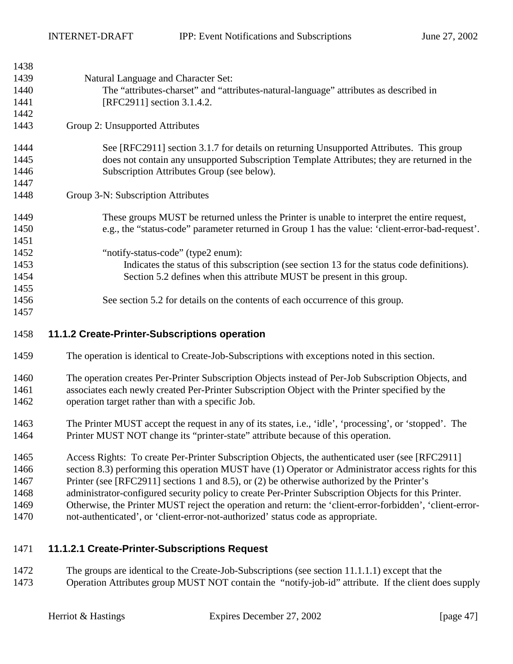<span id="page-46-0"></span>

| 1438 |                                                                                                  |
|------|--------------------------------------------------------------------------------------------------|
| 1439 | Natural Language and Character Set:                                                              |
| 1440 | The "attributes-charset" and "attributes-natural-language" attributes as described in            |
| 1441 | [RFC2911] section 3.1.4.2.                                                                       |
| 1442 |                                                                                                  |
| 1443 | Group 2: Unsupported Attributes                                                                  |
| 1444 | See [RFC2911] section 3.1.7 for details on returning Unsupported Attributes. This group          |
| 1445 | does not contain any unsupported Subscription Template Attributes; they are returned in the      |
| 1446 | Subscription Attributes Group (see below).                                                       |
| 1447 |                                                                                                  |
| 1448 | Group 3-N: Subscription Attributes                                                               |
| 1449 | These groups MUST be returned unless the Printer is unable to interpret the entire request,      |
| 1450 | e.g., the "status-code" parameter returned in Group 1 has the value: 'client-error-bad-request'. |
| 1451 |                                                                                                  |
| 1452 | "notify-status-code" (type2 enum):                                                               |
| 1453 | Indicates the status of this subscription (see section 13 for the status code definitions).      |
| 1454 | Section 5.2 defines when this attribute MUST be present in this group.                           |
| 1455 |                                                                                                  |
| 1456 | See section 5.2 for details on the contents of each occurrence of this group.                    |
| 1457 |                                                                                                  |

## 1458 **11.1.2 Create-Printer-Subscriptions operation**

- 1459 The operation is identical to Create-Job-Subscriptions with exceptions noted in this section.
- 1460 The operation creates Per-Printer Subscription Objects instead of Per-Job Subscription Objects, and 1461 associates each newly created Per-Printer Subscription Object with the Printer specified by the 1462 operation target rather than with a specific Job.
- 1463 The Printer MUST accept the request in any of its states, i.e., 'idle', 'processing', or 'stopped'. The 1464 Printer MUST NOT change its "printer-state" attribute because of this operation.
- 1465 Access Rights: To create Per-Printer Subscription Objects, the authenticated user (see [RFC2911]
- 1466 section 8.3) performing this operation MUST have (1) Operator or Administrator access rights for this
- 1467 Printer (see [RFC2911] sections 1 and 8.5), or (2) be otherwise authorized by the Printer's
- 1468 administrator-configured security policy to create Per-Printer Subscription Objects for this Printer. 1469 Otherwise, the Printer MUST reject the operation and return: the 'client-error-forbidden', 'client-error-
- 1470 not-authenticated', or 'client-error-not-authorized' status code as appropriate.

## 1471 **11.1.2.1 Create-Printer-Subscriptions Request**

1472 The groups are identical to the Create-Job-Subscriptions (see section [11.1.1.1\)](#page-44-0) except that the 1473 Operation Attributes group MUST NOT contain the "notify-job-id" attribute. If the client does supply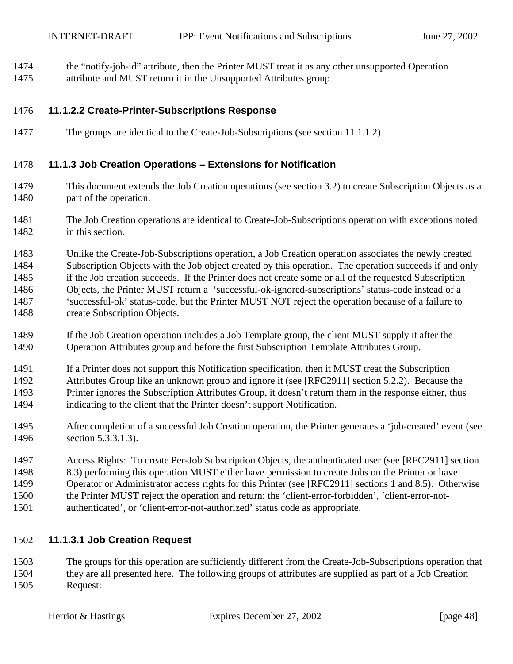- <span id="page-47-0"></span>1474 the "notify-job-id" attribute, then the Printer MUST treat it as any other unsupported Operation
- 1475 attribute and MUST return it in the Unsupported Attributes group.

## 1476 **11.1.2.2 Create-Printer-Subscriptions Response**

1477 The groups are identical to the Create-Job-Subscriptions (see section [11.1.1.2\)](#page-45-0).

## 1478 **11.1.3 Job Creation Operations – Extensions for Notification**

- 1479 This document extends the Job Creation operations (see section [3.2\)](#page-10-0) to create Subscription Objects as a 1480 part of the operation.
- 1481 The Job Creation operations are identical to Create-Job-Subscriptions operation with exceptions noted 1482 in this section.
- 1483 Unlike the Create-Job-Subscriptions operation, a Job Creation operation associates the newly created 1484 Subscription Objects with the Job object created by this operation. The operation succeeds if and only 1485 if the Job creation succeeds. If the Printer does not create some or all of the requested Subscription 1486 Objects, the Printer MUST return a 'successful-ok-ignored-subscriptions' status-code instead of a 1487 'successful-ok' status-code, but the Printer MUST NOT reject the operation because of a failure to 1488 create Subscription Objects.
- 1489 If the Job Creation operation includes a Job Template group, the client MUST supply it after the 1490 Operation Attributes group and before the first Subscription Template Attributes Group.
- 1491 If a Printer does not support this Notification specification, then it MUST treat the Subscription
- 1492 Attributes Group like an unknown group and ignore it (see [RFC2911] section 5.2.2). Because the 1493 Printer ignores the Subscription Attributes Group, it doesn't return them in the response either, thus
- 1494 indicating to the client that the Printer doesn't support Notification.
- 1495 After completion of a successful Job Creation operation, the Printer generates a 'job-created' event (see 1496 section [5.3.3.1.3\)](#page-21-0).
- 1497 Access Rights: To create Per-Job Subscription Objects, the authenticated user (see [RFC2911] section 1498 8.3) performing this operation MUST either have permission to create Jobs on the Printer or have 1499 Operator or Administrator access rights for this Printer (see [RFC2911] sections 1 and 8.5). Otherwise
- 1500 the Printer MUST reject the operation and return: the 'client-error-forbidden', 'client-error-not-
- 1501 authenticated', or 'client-error-not-authorized' status code as appropriate.

## 1502 **11.1.3.1 Job Creation Request**

1503 The groups for this operation are sufficiently different from the Create-Job-Subscriptions operation that 1504 they are all presented here. The following groups of attributes are supplied as part of a Job Creation 1505 Request: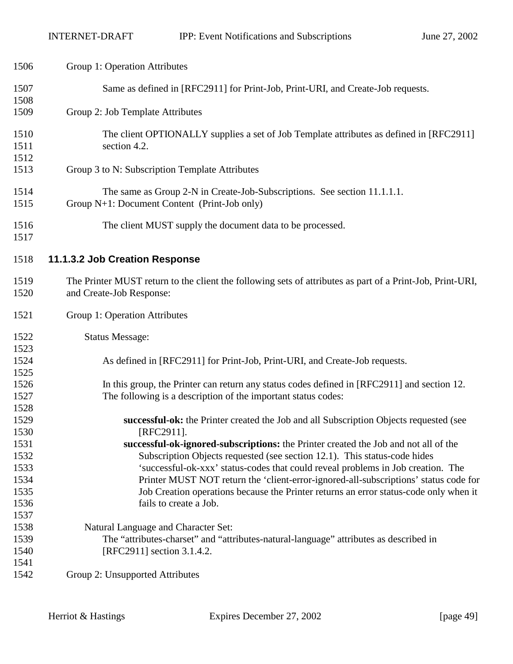| 1506         | Group 1: Operation Attributes                                                                                                         |
|--------------|---------------------------------------------------------------------------------------------------------------------------------------|
| 1507<br>1508 | Same as defined in [RFC2911] for Print-Job, Print-URI, and Create-Job requests.                                                       |
| 1509         | Group 2: Job Template Attributes                                                                                                      |
| 1510<br>1511 | The client OPTIONALLY supplies a set of Job Template attributes as defined in [RFC2911]<br>section 4.2.                               |
| 1512<br>1513 | Group 3 to N: Subscription Template Attributes                                                                                        |
| 1514<br>1515 | The same as Group 2-N in Create-Job-Subscriptions. See section 11.1.1.1.<br>Group N+1: Document Content (Print-Job only)              |
| 1516<br>1517 | The client MUST supply the document data to be processed.                                                                             |
| 1518         | 11.1.3.2 Job Creation Response                                                                                                        |
| 1519<br>1520 | The Printer MUST return to the client the following sets of attributes as part of a Print-Job, Print-URI,<br>and Create-Job Response: |
| 1521         | Group 1: Operation Attributes                                                                                                         |
| 1522         | <b>Status Message:</b>                                                                                                                |
| 1523<br>1524 | As defined in [RFC2911] for Print-Job, Print-URI, and Create-Job requests.                                                            |
| 1525         |                                                                                                                                       |
| 1526         | In this group, the Printer can return any status codes defined in [RFC2911] and section 12.                                           |
| 1527         | The following is a description of the important status codes:                                                                         |
| 1528<br>1529 | successful-ok: the Printer created the Job and all Subscription Objects requested (see                                                |
| 1530         | [RFC2911].                                                                                                                            |
| 1531         | successful-ok-ignored-subscriptions: the Printer created the Job and not all of the                                                   |
| 1532         | Subscription Objects requested (see section 12.1). This status-code hides                                                             |
| 1533         | 'successful-ok-xxx' status-codes that could reveal problems in Job creation. The                                                      |
| 1534         | Printer MUST NOT return the 'client-error-ignored-all-subscriptions' status code for                                                  |
| 1535         | Job Creation operations because the Printer returns an error status-code only when it                                                 |
| 1536         | fails to create a Job.                                                                                                                |
| 1537         |                                                                                                                                       |
| 1538         | Natural Language and Character Set:                                                                                                   |
| 1539         | The "attributes-charset" and "attributes-natural-language" attributes as described in                                                 |
| 1540         | [RFC2911] section 3.1.4.2.                                                                                                            |
| 1541         |                                                                                                                                       |
| 1542         | Group 2: Unsupported Attributes                                                                                                       |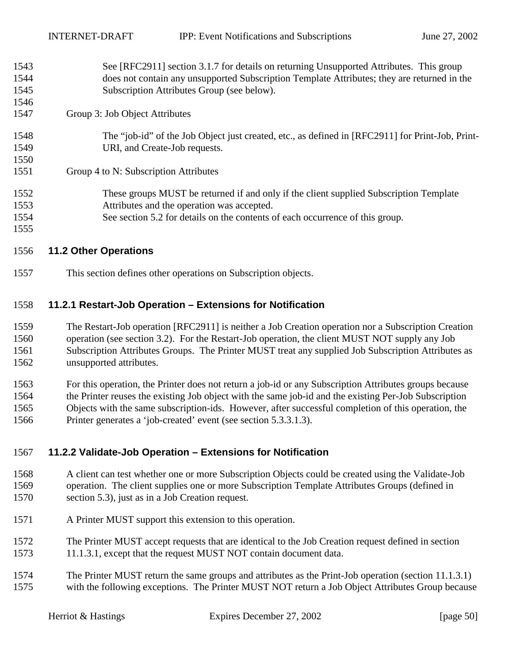<span id="page-49-0"></span>

| 1543 | See [RFC2911] section 3.1.7 for details on returning Unsupported Attributes. This group          |
|------|--------------------------------------------------------------------------------------------------|
| 1544 | does not contain any unsupported Subscription Template Attributes; they are returned in the      |
| 1545 | Subscription Attributes Group (see below).                                                       |
| 1546 |                                                                                                  |
| 1547 | Group 3: Job Object Attributes                                                                   |
| 1548 | The "job-id" of the Job Object just created, etc., as defined in [RFC2911] for Print-Job, Print- |
| 1549 | URI, and Create-Job requests.                                                                    |
| 1550 |                                                                                                  |
| 1551 | Group 4 to N: Subscription Attributes                                                            |
| 1552 | These groups MUST be returned if and only if the client supplied Subscription Template           |
| 1553 | Attributes and the operation was accepted.                                                       |
| 1554 | See section 5.2 for details on the contents of each occurrence of this group.                    |
| 1555 |                                                                                                  |

## 1556 **11.2 Other Operations**

1557 This section defines other operations on Subscription objects.

## 1558 **11.2.1 Restart-Job Operation – Extensions for Notification**

1559 The Restart-Job operation [RFC2911] is neither a Job Creation operation nor a Subscription Creation 1560 operation (see section [3.2\)](#page-10-0). For the Restart-Job operation, the client MUST NOT supply any Job 1561 Subscription Attributes Groups. The Printer MUST treat any supplied Job Subscription Attributes as 1562 unsupported attributes.

1563 For this operation, the Printer does not return a job-id or any Subscription Attributes groups because 1564 the Printer reuses the existing Job object with the same job-id and the existing Per-Job Subscription 1565 Objects with the same subscription-ids. However, after successful completion of this operation, the 1566 Printer generates a 'job-created' event (see section [5.3.3.1.3\)](#page-21-0).

## 1567 **11.2.2 Validate-Job Operation – Extensions for Notification**

- 1568 A client can test whether one or more Subscription Objects could be created using the Validate-Job 1569 operation. The client supplies one or more Subscription Template Attributes Groups (defined in 1570 section [5.3\)](#page-17-0), just as in a Job Creation request.
- 1571 A Printer MUST support this extension to this operation.
- 1572 The Printer MUST accept requests that are identical to the Job Creation request defined in section 1573 [11.1.3.1,](#page-47-0) except that the request MUST NOT contain document data.
- 1574 The Printer MUST return the same groups and attributes as the Print-Job operation (section [11.1.3.1\)](#page-47-0) 1575 with the following exceptions. The Printer MUST NOT return a Job Object Attributes Group because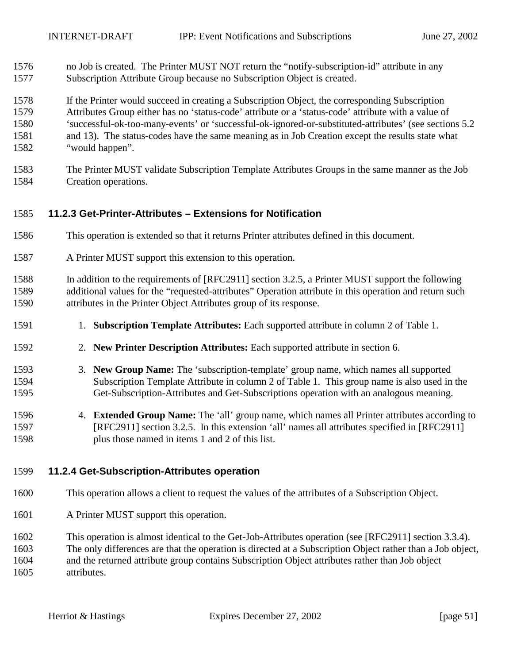- <span id="page-50-0"></span>1576 no Job is created. The Printer MUST NOT return the "notify-subscription-id" attribute in any 1577 Subscription Attribute Group because no Subscription Object is created.
- 1578 If the Printer would succeed in creating a Subscription Object, the corresponding Subscription 1579 Attributes Group either has no 'status-code' attribute or a 'status-code' attribute with a value of 1580 'successful-ok-too-many-events' or 'successful-ok-ignored-or-substituted-attributes' (see sections [5.2](#page-14-0)  1581 and [13\)](#page-60-0). The status-codes have the same meaning as in Job Creation except the results state what 1582 "would happen".
- 1583 The Printer MUST validate Subscription Template Attributes Groups in the same manner as the Job 1584 Creation operations.

## 1585 **11.2.3 Get-Printer-Attributes – Extensions for Notification**

- 1586 This operation is extended so that it returns Printer attributes defined in this document.
- 1587 A Printer MUST support this extension to this operation.
- 1588 In addition to the requirements of [RFC2911] section 3.2.5, a Printer MUST support the following 1589 additional values for the "requested-attributes" Operation attribute in this operation and return such 1590 attributes in the Printer Object Attributes group of its response.
- 1591 1. **Subscription Template Attributes:** Each supported attribute in column 2 of [Table 1.](#page-18-0)
- 1592 2. **New Printer Description Attributes:** Each supported attribute in section [6.](#page-32-0)
- 1593 3. **New Group Name:** The 'subscription-template' group name, which names all supported 1594 Subscription Template Attribute in column 2 of [Table 1.](#page-18-0) This group name is also used in the 1595 Get-Subscription-Attributes and Get-Subscriptions operation with an analogous meaning.
- 1596 4. **Extended Group Name:** The 'all' group name, which names all Printer attributes according to 1597 [RFC2911] section 3.2.5. In this extension 'all' names all attributes specified in [RFC2911] 1598 plus those named in items 1 and 2 of this list.

## 1599 **11.2.4 Get-Subscription-Attributes operation**

- 1600 This operation allows a client to request the values of the attributes of a Subscription Object.
- 1601 A Printer MUST support this operation.
- 1602 This operation is almost identical to the Get-Job-Attributes operation (see [RFC2911] section 3.3.4).
- 1603 The only differences are that the operation is directed at a Subscription Object rather than a Job object,

1604 and the returned attribute group contains Subscription Object attributes rather than Job object 1605 attributes.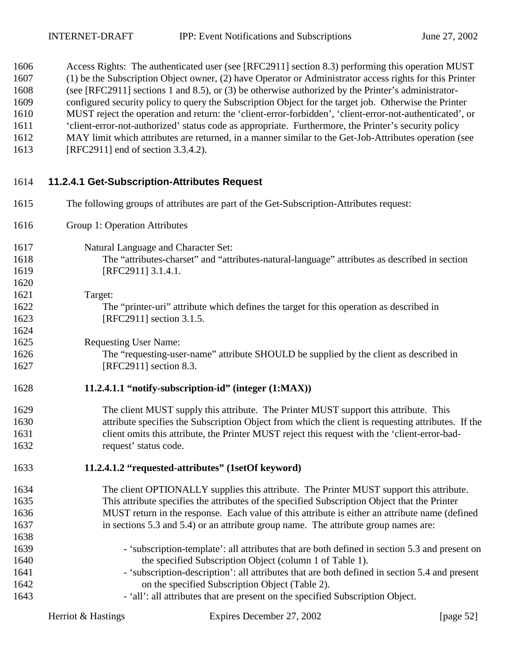<span id="page-51-0"></span>1606 Access Rights: The authenticated user (see [RFC2911] section 8.3) performing this operation MUST 1607 (1) be the Subscription Object owner, (2) have Operator or Administrator access rights for this Printer

| 1608 | (see [RFC2911] sections 1 and 8.5), or (3) be otherwise authorized by the Printer's administrator-       |
|------|----------------------------------------------------------------------------------------------------------|
| 1609 | configured security policy to query the Subscription Object for the target job. Otherwise the Printer    |
| 1610 | MUST reject the operation and return: the 'client-error-forbidden', 'client-error-not-authenticated', or |
| 1611 | 'client-error-not-authorized' status code as appropriate. Furthermore, the Printer's security policy     |
| 1612 | MAY limit which attributes are returned, in a manner similar to the Get-Job-Attributes operation (see    |
| 1613 | [RFC2911] end of section 3.3.4.2).                                                                       |
| 1614 | 11.2.4.1 Get-Subscription-Attributes Request                                                             |
| 1615 | The following groups of attributes are part of the Get-Subscription-Attributes request:                  |
| 1616 | Group 1: Operation Attributes                                                                            |
| 1617 | Natural Language and Character Set:                                                                      |
| 1618 | The "attributes-charset" and "attributes-natural-language" attributes as described in section            |
| 1619 | [RFC2911] 3.1.4.1.                                                                                       |
| 1620 |                                                                                                          |
| 1621 | Target:                                                                                                  |
| 1622 | The "printer-uri" attribute which defines the target for this operation as described in                  |
| 1623 | [RFC2911] section 3.1.5.                                                                                 |
| 1624 |                                                                                                          |
| 1625 | <b>Requesting User Name:</b>                                                                             |
| 1626 | The "requesting-user-name" attribute SHOULD be supplied by the client as described in                    |
| 1627 | [RFC2911] section 8.3.                                                                                   |
| 1628 | 11.2.4.1.1 "notify-subscription-id" (integer (1:MAX))                                                    |
| 1629 | The client MUST supply this attribute. The Printer MUST support this attribute. This                     |
| 1630 | attribute specifies the Subscription Object from which the client is requesting attributes. If the       |
| 1631 | client omits this attribute, the Printer MUST reject this request with the 'client-error-bad-            |
| 1632 | request' status code.                                                                                    |
| 1633 | 11.2.4.1.2 "requested-attributes" (1setOf keyword)                                                       |
| 1634 | The client OPTIONALLY supplies this attribute. The Printer MUST support this attribute.                  |
| 1635 | This attribute specifies the attributes of the specified Subscription Object that the Printer            |
| 1636 | MUST return in the response. Each value of this attribute is either an attribute name (defined           |
| 1637 | in sections 5.3 and 5.4) or an attribute group name. The attribute group names are:                      |
| 1638 |                                                                                                          |
| 1639 | - 'subscription-template': all attributes that are both defined in section 5.3 and present on            |

- 1640 the specified Subscription Object (column 1 of [Table 1\)](#page-18-0). 1641 - 'subscription-description': all attributes that are both defined in section [5.4](#page-28-0) and present
- 1642 on the specified Subscription Object ([Table 2\)](#page-29-0).
- 1643 'all': all attributes that are present on the specified Subscription Object.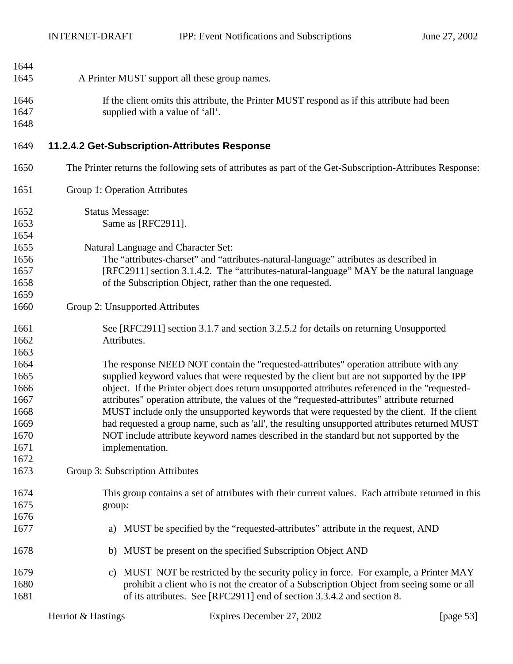<span id="page-52-0"></span>

| 1644 |                                                                                                           |
|------|-----------------------------------------------------------------------------------------------------------|
| 1645 | A Printer MUST support all these group names.                                                             |
| 1646 | If the client omits this attribute, the Printer MUST respond as if this attribute had been                |
| 1647 | supplied with a value of 'all'.                                                                           |
| 1648 |                                                                                                           |
|      |                                                                                                           |
| 1649 | 11.2.4.2 Get-Subscription-Attributes Response                                                             |
| 1650 | The Printer returns the following sets of attributes as part of the Get-Subscription-Attributes Response: |
| 1651 | Group 1: Operation Attributes                                                                             |
| 1652 | <b>Status Message:</b>                                                                                    |
| 1653 | Same as [RFC2911].                                                                                        |
| 1654 |                                                                                                           |
| 1655 | Natural Language and Character Set:                                                                       |
| 1656 | The "attributes-charset" and "attributes-natural-language" attributes as described in                     |
| 1657 | [RFC2911] section 3.1.4.2. The "attributes-natural-language" MAY be the natural language                  |
| 1658 | of the Subscription Object, rather than the one requested.                                                |
| 1659 |                                                                                                           |
| 1660 | Group 2: Unsupported Attributes                                                                           |
| 1661 | See [RFC2911] section 3.1.7 and section 3.2.5.2 for details on returning Unsupported                      |
| 1662 | Attributes.                                                                                               |
| 1663 |                                                                                                           |
| 1664 | The response NEED NOT contain the "requested-attributes" operation attribute with any                     |
| 1665 | supplied keyword values that were requested by the client but are not supported by the IPP                |
| 1666 | object. If the Printer object does return unsupported attributes referenced in the "requested-            |
| 1667 | attributes" operation attribute, the values of the "requested-attributes" attribute returned              |
| 1668 | MUST include only the unsupported keywords that were requested by the client. If the client               |
| 1669 | had requested a group name, such as 'all', the resulting unsupported attributes returned MUST             |
| 1670 | NOT include attribute keyword names described in the standard but not supported by the                    |
| 1671 | implementation.                                                                                           |
| 1672 |                                                                                                           |
| 1673 | Group 3: Subscription Attributes                                                                          |
| 1674 | This group contains a set of attributes with their current values. Each attribute returned in this        |
| 1675 | group:                                                                                                    |
| 1676 |                                                                                                           |
| 1677 | MUST be specified by the "requested-attributes" attribute in the request, AND<br>a)                       |
| 1678 | MUST be present on the specified Subscription Object AND<br>b)                                            |
| 1679 | MUST NOT be restricted by the security policy in force. For example, a Printer MAY<br>C)                  |
| 1680 | prohibit a client who is not the creator of a Subscription Object from seeing some or all                 |
| 1681 | of its attributes. See [RFC2911] end of section 3.3.4.2 and section 8.                                    |
|      |                                                                                                           |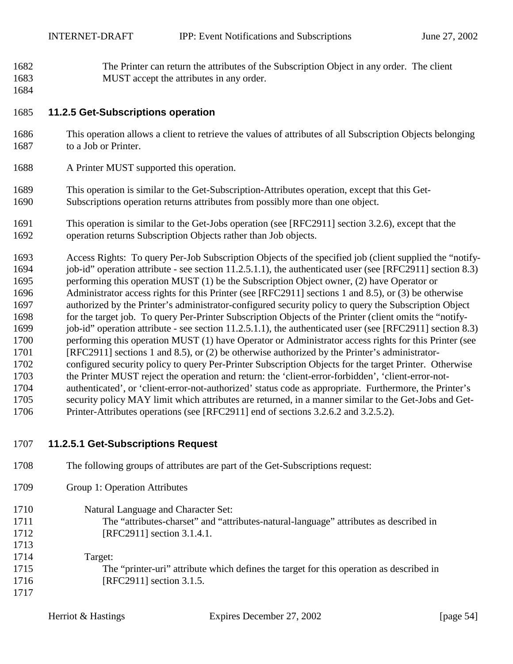- <span id="page-53-0"></span>1682 The Printer can return the attributes of the Subscription Object in any order. The client 1683 MUST accept the attributes in any order.
- 1684

## 1685 **11.2.5 Get-Subscriptions operation**

- 1686 This operation allows a client to retrieve the values of attributes of all Subscription Objects belonging 1687 to a Job or Printer.
- 1688 A Printer MUST supported this operation.
- 1689 This operation is similar to the Get-Subscription-Attributes operation, except that this Get-1690 Subscriptions operation returns attributes from possibly more than one object.
- 1691 This operation is similar to the Get-Jobs operation (see [RFC2911] section 3.2.6), except that the 1692 operation returns Subscription Objects rather than Job objects.
- 1693 Access Rights: To query Per-Job Subscription Objects of the specified job (client supplied the "notify-1694 job-id" operation attribute - see section [11.2.5.1.1\)](#page-54-0), the authenticated user (see [RFC2911] section 8.3) 1695 performing this operation MUST (1) be the Subscription Object owner, (2) have Operator or 1696 Administrator access rights for this Printer (see [RFC2911] sections 1 and 8.5), or (3) be otherwise 1697 authorized by the Printer's administrator-configured security policy to query the Subscription Object 1698 for the target job. To query Per-Printer Subscription Objects of the Printer (client omits the "notify-1699 job-id" operation attribute - see section [11.2.5.1.1\)](#page-54-0), the authenticated user (see [RFC2911] section 8.3) 1700 performing this operation MUST (1) have Operator or Administrator access rights for this Printer (see 1701 [RFC2911] sections 1 and 8.5), or (2) be otherwise authorized by the Printer's administrator-1702 configured security policy to query Per-Printer Subscription Objects for the target Printer. Otherwise 1703 the Printer MUST reject the operation and return: the 'client-error-forbidden', 'client-error-not-1704 authenticated', or 'client-error-not-authorized' status code as appropriate. Furthermore, the Printer's 1705 security policy MAY limit which attributes are returned, in a manner similar to the Get-Jobs and Get-1706 Printer-Attributes operations (see [RFC2911] end of sections 3.2.6.2 and 3.2.5.2).
- 1707 **11.2.5.1 Get-Subscriptions Request**
- 1708 The following groups of attributes are part of the Get-Subscriptions request: 1709 Group 1: Operation Attributes
- 1710 Natural Language and Character Set: 1711 The "attributes-charset" and "attributes-natural-language" attributes as described in 1712 **[RFC2911]** section 3.1.4.1.
- 1713 1714 Target: 1715 The "printer-uri" attribute which defines the target for this operation as described in 1716 [RFC2911] section 3.1.5. 1717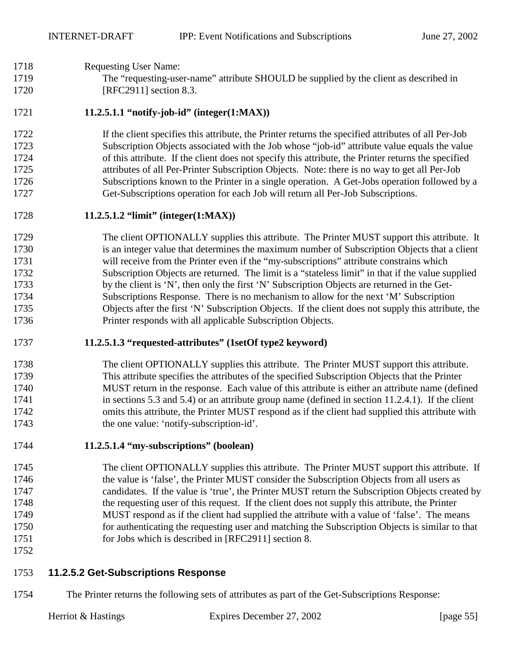## <span id="page-54-0"></span>1718 Requesting User Name:

1719 The "requesting-user-name" attribute SHOULD be supplied by the client as described in 1720 [RFC2911] section 8.3.

## 1721 **11.2.5.1.1 "notify-job-id" (integer(1:MAX))**

1722 If the client specifies this attribute, the Printer returns the specified attributes of all Per-Job 1723 Subscription Objects associated with the Job whose "job-id" attribute value equals the value 1724 of this attribute. If the client does not specify this attribute, the Printer returns the specified 1725 attributes of all Per-Printer Subscription Objects. Note: there is no way to get all Per-Job 1726 Subscriptions known to the Printer in a single operation. A Get-Jobs operation followed by a 1727 Get-Subscriptions operation for each Job will return all Per-Job Subscriptions.

## 1728 **11.2.5.1.2 "limit" (integer(1:MAX))**

1729 The client OPTIONALLY supplies this attribute. The Printer MUST support this attribute. It 1730 is an integer value that determines the maximum number of Subscription Objects that a client 1731 will receive from the Printer even if the "my-subscriptions" attribute constrains which 1732 Subscription Objects are returned. The limit is a "stateless limit" in that if the value supplied 1733 by the client is 'N', then only the first 'N' Subscription Objects are returned in the Get-1734 Subscriptions Response. There is no mechanism to allow for the next 'M' Subscription 1735 Objects after the first 'N' Subscription Objects. If the client does not supply this attribute, the 1736 Printer responds with all applicable Subscription Objects.

## 1737 **11.2.5.1.3 "requested-attributes" (1setOf type2 keyword)**

## 1738 The client OPTIONALLY supplies this attribute. The Printer MUST support this attribute. 1739 This attribute specifies the attributes of the specified Subscription Objects that the Printer 1740 MUST return in the response. Each value of this attribute is either an attribute name (defined 1741 in sections [5.3](#page-17-0) and [5.4\)](#page-28-0) or an attribute group name (defined in section [11.2.4.1\)](#page-51-0). If the client 1742 omits this attribute, the Printer MUST respond as if the client had supplied this attribute with 1743 the one value: 'notify-subscription-id'.

## 1744 **11.2.5.1.4 "my-subscriptions" (boolean)**

- 1745 The client OPTIONALLY supplies this attribute. The Printer MUST support this attribute. If 1746 the value is 'false', the Printer MUST consider the Subscription Objects from all users as 1747 candidates. If the value is 'true', the Printer MUST return the Subscription Objects created by 1748 the requesting user of this request. If the client does not supply this attribute, the Printer 1749 MUST respond as if the client had supplied the attribute with a value of 'false'. The means 1750 for authenticating the requesting user and matching the Subscription Objects is similar to that 1751 for Jobs which is described in [RFC2911] section 8.
- 1752

## 1753 **11.2.5.2 Get-Subscriptions Response**

1754 The Printer returns the following sets of attributes as part of the Get-Subscriptions Response: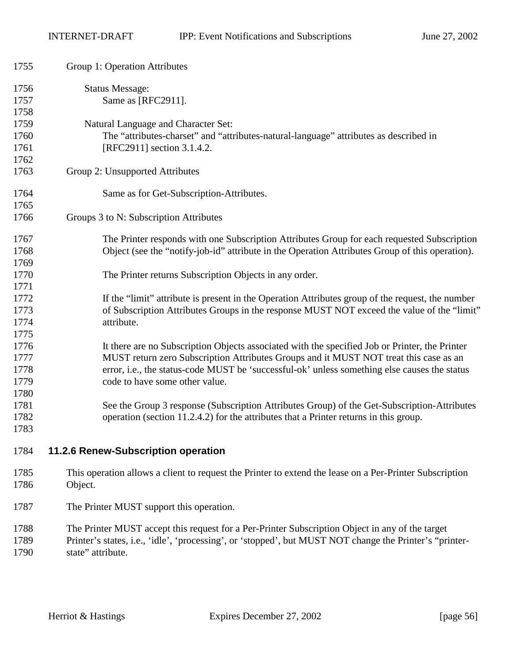<span id="page-55-0"></span>

| 1755                                 | Group 1: Operation Attributes                                                                                                                                                                                                                                                                                             |
|--------------------------------------|---------------------------------------------------------------------------------------------------------------------------------------------------------------------------------------------------------------------------------------------------------------------------------------------------------------------------|
| 1756<br>1757<br>1758                 | <b>Status Message:</b><br>Same as [RFC2911].                                                                                                                                                                                                                                                                              |
| 1759<br>1760<br>1761                 | Natural Language and Character Set:<br>The "attributes-charset" and "attributes-natural-language" attributes as described in<br>[RFC2911] section 3.1.4.2.                                                                                                                                                                |
| 1762<br>1763                         | Group 2: Unsupported Attributes                                                                                                                                                                                                                                                                                           |
| 1764<br>1765                         | Same as for Get-Subscription-Attributes.                                                                                                                                                                                                                                                                                  |
| 1766                                 | Groups 3 to N: Subscription Attributes                                                                                                                                                                                                                                                                                    |
| 1767<br>1768<br>1769                 | The Printer responds with one Subscription Attributes Group for each requested Subscription<br>Object (see the "notify-job-id" attribute in the Operation Attributes Group of this operation).                                                                                                                            |
| 1770<br>1771                         | The Printer returns Subscription Objects in any order.                                                                                                                                                                                                                                                                    |
| 1772<br>1773<br>1774                 | If the "limit" attribute is present in the Operation Attributes group of the request, the number<br>of Subscription Attributes Groups in the response MUST NOT exceed the value of the "limit"<br>attribute.                                                                                                              |
| 1775<br>1776<br>1777<br>1778<br>1779 | It there are no Subscription Objects associated with the specified Job or Printer, the Printer<br>MUST return zero Subscription Attributes Groups and it MUST NOT treat this case as an<br>error, i.e., the status-code MUST be 'successful-ok' unless something else causes the status<br>code to have some other value. |
| 1780<br>1781<br>1782<br>1783         | See the Group 3 response (Subscription Attributes Group) of the Get-Subscription-Attributes<br>operation (section 11.2.4.2) for the attributes that a Printer returns in this group.                                                                                                                                      |
| 1784                                 | 11.2.6 Renew-Subscription operation                                                                                                                                                                                                                                                                                       |
| 1785<br>1786                         | This operation allows a client to request the Printer to extend the lease on a Per-Printer Subscription<br>Object.                                                                                                                                                                                                        |
| 1787                                 | The Printer MUST support this operation.                                                                                                                                                                                                                                                                                  |
| 1788<br>1789<br>1790                 | The Printer MUST accept this request for a Per-Printer Subscription Object in any of the target<br>Printer's states, i.e., 'idle', 'processing', or 'stopped', but MUST NOT change the Printer's "printer-<br>state" attribute.                                                                                           |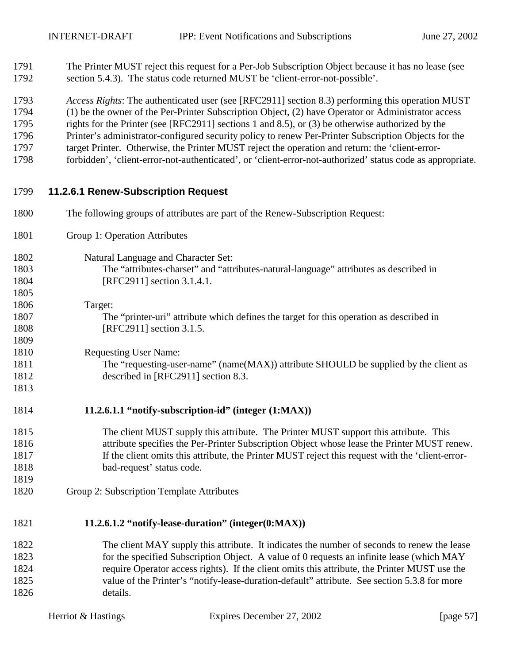1791 The Printer MUST reject this request for a Per-Job Subscription Object because it has no lease (see 1792 section [5.4.3\)](#page-30-0). The status code returned MUST be 'client-error-not-possible'.

1793 *Access Rights*: The authenticated user (see [RFC2911] section 8.3) performing this operation MUST

1794 (1) be the owner of the Per-Printer Subscription Object, (2) have Operator or Administrator access

- 1795 rights for the Printer (see [RFC2911] sections 1 and 8.5), or (3) be otherwise authorized by the
- 1796 Printer's administrator-configured security policy to renew Per-Printer Subscription Objects for the
- 1797 target Printer. Otherwise, the Printer MUST reject the operation and return: the 'client-error-
- 1798 forbidden', 'client-error-not-authenticated', or 'client-error-not-authorized' status code as appropriate.

## 1799 **11.2.6.1 Renew-Subscription Request**

- 1800 The following groups of attributes are part of the Renew-Subscription Request:
- 1801 Group 1: Operation Attributes
- 1802 Natural Language and Character Set: 1803 The "attributes-charset" and "attributes-natural-language" attributes as described in 1804 [RFC2911] section 3.1.4.1.
- 1806 Target: 1807 The "printer-uri" attribute which defines the target for this operation as described in 1808 [RFC2911] section 3.1.5.

1810 Requesting User Name:

1805

1809

1813

1819

1811 The "requesting-user-name" (name(MAX)) attribute SHOULD be supplied by the client as 1812 described in [RFC2911] section 8.3.

## 1814 **11.2.6.1.1 "notify-subscription-id" (integer (1:MAX))**

- 1815 The client MUST supply this attribute. The Printer MUST support this attribute. This 1816 attribute specifies the Per-Printer Subscription Object whose lease the Printer MUST renew. 1817 If the client omits this attribute, the Printer MUST reject this request with the 'client-error-1818 bad-request' status code.
- 1820 Group 2: Subscription Template Attributes

# 1821 **11.2.6.1.2 "notify-lease-duration" (integer(0:MAX))**

1822 The client MAY supply this attribute. It indicates the number of seconds to renew the lease 1823 for the specified Subscription Object. A value of 0 requests an infinite lease (which MAY 1824 require Operator access rights). If the client omits this attribute, the Printer MUST use the 1825 value of the Printer's "notify-lease-duration-default" attribute. See section [5.3.8](#page-27-0) for more 1826 details.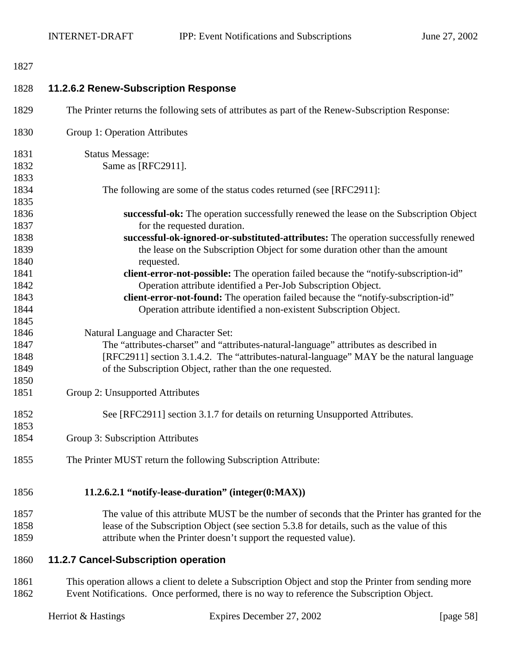<span id="page-57-0"></span>

| 1827         |                                                                                                                                                       |
|--------------|-------------------------------------------------------------------------------------------------------------------------------------------------------|
| 1828         | 11.2.6.2 Renew-Subscription Response                                                                                                                  |
| 1829         | The Printer returns the following sets of attributes as part of the Renew-Subscription Response:                                                      |
| 1830         | Group 1: Operation Attributes                                                                                                                         |
| 1831         | <b>Status Message:</b>                                                                                                                                |
| 1832         | Same as [RFC2911].                                                                                                                                    |
| 1833         |                                                                                                                                                       |
| 1834         | The following are some of the status codes returned (see [RFC2911]:                                                                                   |
| 1835         |                                                                                                                                                       |
| 1836         | successful-ok: The operation successfully renewed the lease on the Subscription Object                                                                |
| 1837         | for the requested duration.                                                                                                                           |
| 1838         | successful-ok-ignored-or-substituted-attributes: The operation successfully renewed                                                                   |
| 1839<br>1840 | the lease on the Subscription Object for some duration other than the amount<br>requested.                                                            |
| 1841         |                                                                                                                                                       |
| 1842         | client-error-not-possible: The operation failed because the "notify-subscription-id"<br>Operation attribute identified a Per-Job Subscription Object. |
| 1843         | client-error-not-found: The operation failed because the "notify-subscription-id"                                                                     |
| 1844         | Operation attribute identified a non-existent Subscription Object.                                                                                    |
| 1845         |                                                                                                                                                       |
| 1846         | Natural Language and Character Set:                                                                                                                   |
| 1847         | The "attributes-charset" and "attributes-natural-language" attributes as described in                                                                 |
| 1848         | [RFC2911] section 3.1.4.2. The "attributes-natural-language" MAY be the natural language                                                              |
| 1849         | of the Subscription Object, rather than the one requested.                                                                                            |
| 1850         |                                                                                                                                                       |
| 1851         | Group 2: Unsupported Attributes                                                                                                                       |
|              |                                                                                                                                                       |
| 1852         | See [RFC2911] section 3.1.7 for details on returning Unsupported Attributes.                                                                          |
| 1853         |                                                                                                                                                       |
| 1854         | Group 3: Subscription Attributes                                                                                                                      |
| 1855         | The Printer MUST return the following Subscription Attribute:                                                                                         |
| 1856         | 11.2.6.2.1 "notify-lease-duration" (integer(0:MAX))                                                                                                   |
| 1857         | The value of this attribute MUST be the number of seconds that the Printer has granted for the                                                        |
| 1858         | lease of the Subscription Object (see section 5.3.8 for details, such as the value of this                                                            |
| 1859         | attribute when the Printer doesn't support the requested value).                                                                                      |
| 1860         | 11.2.7 Cancel-Subscription operation                                                                                                                  |
| 1861         | This operation allows a client to delete a Subscription Object and stop the Printer from sending more                                                 |
| 1862         | Event Notifications. Once performed, there is no way to reference the Subscription Object.                                                            |

|  |  | Herriot & Hastings |
|--|--|--------------------|
|--|--|--------------------|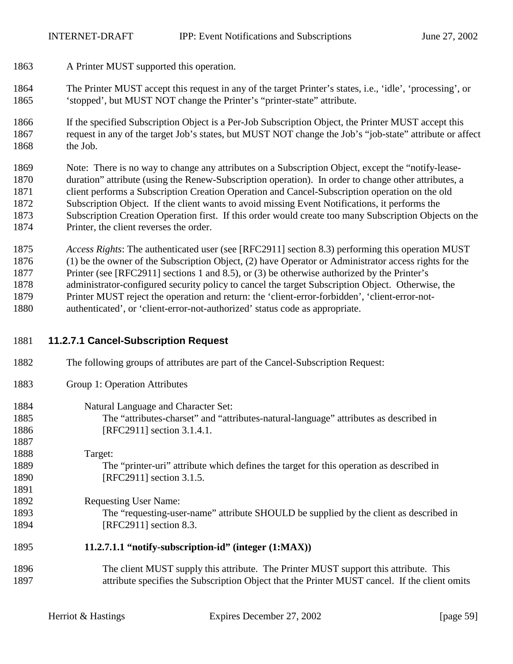- 1863 A Printer MUST supported this operation.
- 1864 The Printer MUST accept this request in any of the target Printer's states, i.e., 'idle', 'processing', or 1865 'stopped', but MUST NOT change the Printer's "printer-state" attribute.
- 1866 If the specified Subscription Object is a Per-Job Subscription Object, the Printer MUST accept this 1867 request in any of the target Job's states, but MUST NOT change the Job's "job-state" attribute or affect 1868 the Job.

1869 Note: There is no way to change any attributes on a Subscription Object, except the "notify-lease-1870 duration" attribute (using the Renew-Subscription operation). In order to change other attributes, a 1871 client performs a Subscription Creation Operation and Cancel-Subscription operation on the old 1872 Subscription Object. If the client wants to avoid missing Event Notifications, it performs the 1873 Subscription Creation Operation first. If this order would create too many Subscription Objects on the 1874 Printer, the client reverses the order.

1875 *Access Rights*: The authenticated user (see [RFC2911] section 8.3) performing this operation MUST 1876 (1) be the owner of the Subscription Object, (2) have Operator or Administrator access rights for the 1877 Printer (see [RFC2911] sections 1 and 8.5), or (3) be otherwise authorized by the Printer's 1878 administrator-configured security policy to cancel the target Subscription Object. Otherwise, the 1879 Printer MUST reject the operation and return: the 'client-error-forbidden', 'client-error-not-1880 authenticated', or 'client-error-not-authorized' status code as appropriate.

## 1881 **11.2.7.1 Cancel-Subscription Request**

- 1882 The following groups of attributes are part of the Cancel-Subscription Request:
- 1883 Group 1: Operation Attributes
- 1884 Natural Language and Character Set: 1885 The "attributes-charset" and "attributes-natural-language" attributes as described in 1886 **IRFC29111** section 3.1.4.1. 1887
- 1888 Target: 1889 The "printer-uri" attribute which defines the target for this operation as described in 1890 [RFC2911] section 3.1.5. 1891
- 1892 Requesting User Name: 1893 The "requesting-user-name" attribute SHOULD be supplied by the client as described in 1894 [RFC2911] section 8.3.

## 1895 **11.2.7.1.1 "notify-subscription-id" (integer (1:MAX))**

1896 The client MUST supply this attribute. The Printer MUST support this attribute. This 1897 attribute specifies the Subscription Object that the Printer MUST cancel. If the client omits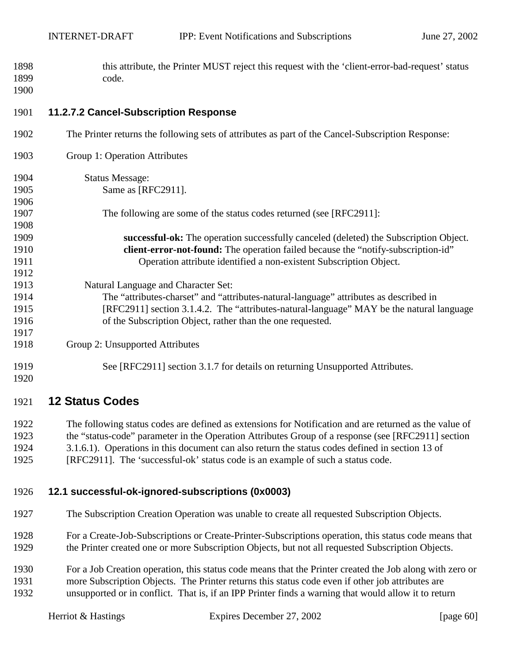<span id="page-59-0"></span>1898 this attribute, the Printer MUST reject this request with the 'client-error-bad-request' status 1899 code. 1900

## 1901 **11.2.7.2 Cancel-Subscription Response**

1902 The Printer returns the following sets of attributes as part of the Cancel-Subscription Response: 1903 Group 1: Operation Attributes 1904 Status Message: 1905 **Same as [RFC2911].** 1906 1907 The following are some of the status codes returned (see [RFC2911]: 1908 1909 **successful-ok:** The operation successfully canceled (deleted) the Subscription Object. 1910 **client-error-not-found:** The operation failed because the "notify-subscription-id" 1911 Operation attribute identified a non-existent Subscription Object. 1912 1913 Natural Language and Character Set: 1914 The "attributes-charset" and "attributes-natural-language" attributes as described in 1915 [RFC2911] section 3.1.4.2. The "attributes-natural-language" MAY be the natural language 1916 of the Subscription Object, rather than the one requested. 1917 1918 Group 2: Unsupported Attributes 1919 See [RFC2911] section 3.1.7 for details on returning Unsupported Attributes. 1920

## 1921 **12 Status Codes**

1922 The following status codes are defined as extensions for Notification and are returned as the value of 1923 the "status-code" parameter in the Operation Attributes Group of a response (see [RFC2911] section 1924 3.1.6.1). Operations in this document can also return the status codes defined in section 13 of 1925 [RFC2911]. The 'successful-ok' status code is an example of such a status code.

## 1926 **12.1 successful-ok-ignored-subscriptions (0x0003)**

- 1927 The Subscription Creation Operation was unable to create all requested Subscription Objects.
- 1928 For a Create-Job-Subscriptions or Create-Printer-Subscriptions operation, this status code means that 1929 the Printer created one or more Subscription Objects, but not all requested Subscription Objects.
- 1930 For a Job Creation operation, this status code means that the Printer created the Job along with zero or 1931 more Subscription Objects. The Printer returns this status code even if other job attributes are 1932 unsupported or in conflict. That is, if an IPP Printer finds a warning that would allow it to return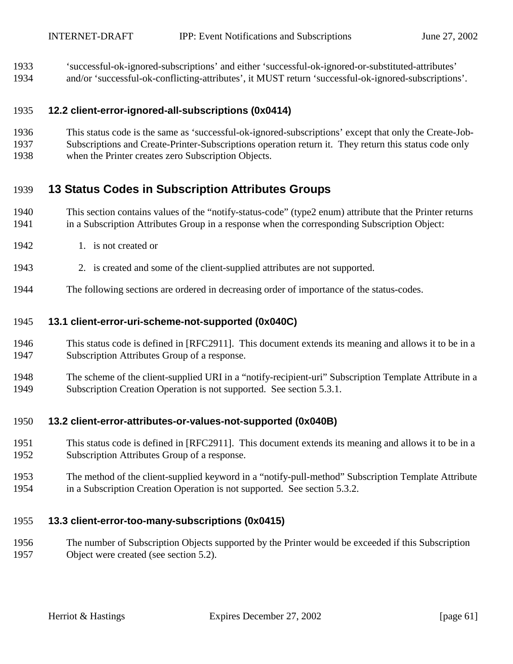- <span id="page-60-0"></span>1933 'successful-ok-ignored-subscriptions' and either 'successful-ok-ignored-or-substituted-attributes'
- 1934 and/or 'successful-ok-conflicting-attributes', it MUST return 'successful-ok-ignored-subscriptions'.

## 1935 **12.2 client-error-ignored-all-subscriptions (0x0414)**

- 1936 This status code is the same as 'successful-ok-ignored-subscriptions' except that only the Create-Job-
- 1937 Subscriptions and Create-Printer-Subscriptions operation return it. They return this status code only
- 1938 when the Printer creates zero Subscription Objects.

# 1939 **13 Status Codes in Subscription Attributes Groups**

- 1940 This section contains values of the "notify-status-code" (type2 enum) attribute that the Printer returns 1941 in a Subscription Attributes Group in a response when the corresponding Subscription Object:
- 1942 1. is not created or
- 1943 2. is created and some of the client-supplied attributes are not supported.
- 1944 The following sections are ordered in decreasing order of importance of the status-codes.

## 1945 **13.1 client-error-uri-scheme-not-supported (0x040C)**

- 1946 This status code is defined in [RFC2911]. This document extends its meaning and allows it to be in a 1947 Subscription Attributes Group of a response.
- 1948 The scheme of the client-supplied URI in a "notify-recipient-uri" Subscription Template Attribute in a 1949 Subscription Creation Operation is not supported. See section [5.3.1.](#page-18-0)

## 1950 **13.2 client-error-attributes-or-values-not-supported (0x040B)**

- 1951 This status code is defined in [RFC2911]. This document extends its meaning and allows it to be in a 1952 Subscription Attributes Group of a response.
- 1953 The method of the client-supplied keyword in a "notify-pull-method" Subscription Template Attribute 1954 in a Subscription Creation Operation is not supported. See section [5.3.2.](#page-19-0)

## 1955 **13.3 client-error-too-many-subscriptions (0x0415)**

1956 The number of Subscription Objects supported by the Printer would be exceeded if this Subscription 1957 Object were created (see section [5.2\)](#page-14-0).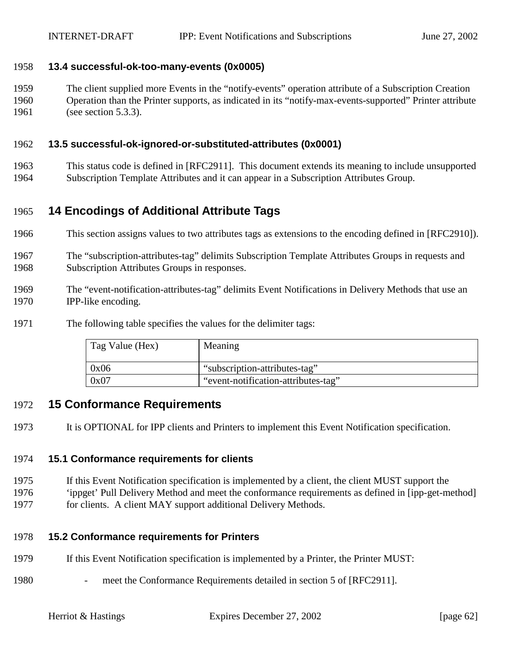## <span id="page-61-0"></span>1958 **13.4 successful-ok-too-many-events (0x0005)**

1959 The client supplied more Events in the "notify-events" operation attribute of a Subscription Creation 1960 Operation than the Printer supports, as indicated in its "notify-max-events-supported" Printer attribute 1961 (see section [5.3.3\)](#page-19-0).

## 1962 **13.5 successful-ok-ignored-or-substituted-attributes (0x0001)**

1963 This status code is defined in [RFC2911]. This document extends its meaning to include unsupported 1964 Subscription Template Attributes and it can appear in a Subscription Attributes Group.

# 1965 **14 Encodings of Additional Attribute Tags**

- 1966 This section assigns values to two attributes tags as extensions to the encoding defined in [RFC2910]).
- 1967 The "subscription-attributes-tag" delimits Subscription Template Attributes Groups in requests and 1968 Subscription Attributes Groups in responses.
- 1969 The "event-notification-attributes-tag" delimits Event Notifications in Delivery Methods that use an 1970 IPP-like encoding.
- 1971 The following table specifies the values for the delimiter tags:

| Tag Value (Hex) | Meaning                             |
|-----------------|-------------------------------------|
| 0x06            | "subscription-attributes-tag"       |
| 0x07            | "event-notification-attributes-tag" |

## 1972 **15 Conformance Requirements**

1973 It is OPTIONAL for IPP clients and Printers to implement this Event Notification specification.

## 1974 **15.1 Conformance requirements for clients**

- 1975 If this Event Notification specification is implemented by a client, the client MUST support the
- 1976 'ippget' Pull Delivery Method and meet the conformance requirements as defined in [ipp-get-method]
- 1977 for clients. A client MAY support additional Delivery Methods.

## 1978 **15.2 Conformance requirements for Printers**

- 1979 If this Event Notification specification is implemented by a Printer, the Printer MUST:
- 1980 meet the Conformance Requirements detailed in section 5 of [RFC2911].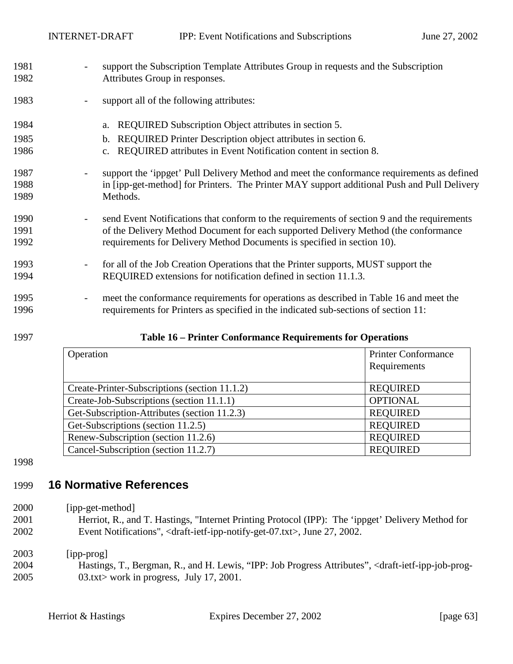- 1981 support the Subscription Template Attributes Group in requests and the Subscription 1982 Attributes Group in responses.
- 1983 support all of the following attributes:
- 1984 a. REQUIRED Subscription Object attributes in section [5.](#page-13-0)
- 1985 b. REQUIRED Printer Description object attributes in section [6.](#page-32-0)
- 1986 c. REQUIRED attributes in Event Notification content in section [8.](#page-33-0)
- 1987 support the 'ippget' Pull Delivery Method and meet the conformance requirements as defined 1988 in [ipp-get-method] for Printers. The Printer MAY support additional Push and Pull Delivery 1989 Methods.
- 1990 send Event Notifications that conform to the requirements of section [9](#page-34-0) and the requirements 1991 of the Delivery Method Document for each supported Delivery Method (the conformance 1992 requirements for Delivery Method Documents is specified in section [10\)](#page-42-0).
- 1993 for all of the Job Creation Operations that the Printer supports, MUST support the 1994 REQUIRED extensions for notification defined in section [11.1.3.](#page-47-0)
- 1995 meet the conformance requirements for operations as described in Table 16 and meet the 1996 requirements for Printers as specified in the indicated sub-sections of section [11:](#page-43-0)

1997 **Table 16 – Printer Conformance Requirements for Operations** 

| Operation                                     | <b>Printer Conformance</b><br>Requirements |
|-----------------------------------------------|--------------------------------------------|
| Create-Printer-Subscriptions (section 11.1.2) | <b>REQUIRED</b>                            |
| Create-Job-Subscriptions (section 11.1.1)     | <b>OPTIONAL</b>                            |
| Get-Subscription-Attributes (section 11.2.3)  | <b>REQUIRED</b>                            |
| Get-Subscriptions (section 11.2.5)            | <b>REQUIRED</b>                            |
| Renew-Subscription (section 11.2.6)           | <b>REQUIRED</b>                            |
| Cancel-Subscription (section 11.2.7)          | <b>REQUIRED</b>                            |

1998

# 1999 **16 Normative References**

2000 [ipp-get-method]

2001 Herriot, R., and T. Hastings, "Internet Printing Protocol (IPP): The 'ippget' Delivery Method for 2002 Event Notifications", <draft-ietf-ipp-notify-get-07.txt>, June 27, 2002.

# 2003 [ipp-prog]

2004 Hastings, T., Bergman, R., and H. Lewis, "IPP: Job Progress Attributes", <draft-ietf-ipp-job-prog-2005 03.txt> work in progress, July 17, 2001.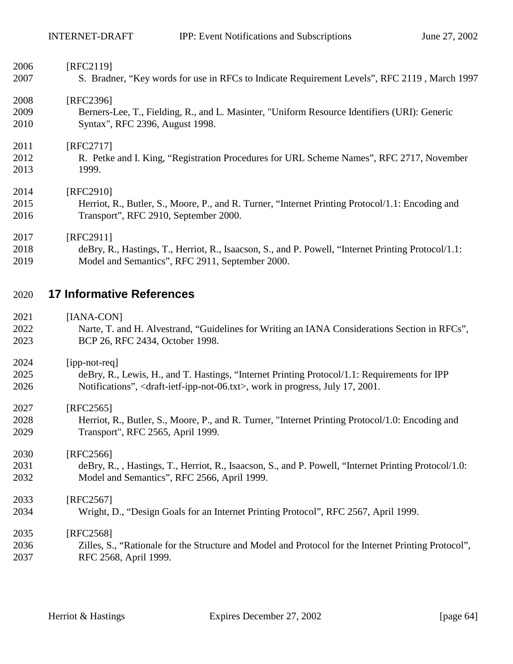| 2006 | [RFC2119]                                                                                           |
|------|-----------------------------------------------------------------------------------------------------|
| 2007 | S. Bradner, "Key words for use in RFCs to Indicate Requirement Levels", RFC 2119, March 1997        |
| 2008 | [RFC2396]                                                                                           |
| 2009 | Berners-Lee, T., Fielding, R., and L. Masinter, "Uniform Resource Identifiers (URI): Generic        |
| 2010 | Syntax", RFC 2396, August 1998.                                                                     |
| 2011 | [RFC2717]                                                                                           |
| 2012 | R. Petke and I. King, "Registration Procedures for URL Scheme Names", RFC 2717, November            |
| 2013 | 1999.                                                                                               |
| 2014 | [RFC2910]                                                                                           |
| 2015 | Herriot, R., Butler, S., Moore, P., and R. Turner, "Internet Printing Protocol/1.1: Encoding and    |
| 2016 | Transport", RFC 2910, September 2000.                                                               |
| 2017 | [RFC2911]                                                                                           |
| 2018 | deBry, R., Hastings, T., Herriot, R., Isaacson, S., and P. Powell, "Internet Printing Protocol/1.1: |
| 2019 | Model and Semantics", RFC 2911, September 2000.                                                     |
| 2020 | <b>17 Informative References</b>                                                                    |
| 2021 | [IANA-CON]                                                                                          |

- 2022 Narte, T. and H. Alvestrand, "Guidelines for Writing an IANA Considerations Section in RFCs", 2023 BCP 26, RFC 2434, October 1998.
- 2024 [ipp-not-req] 2025 deBry, R., Lewis, H., and T. Hastings, "Internet Printing Protocol/1.1: Requirements for IPP 2026 Notifications", <draft-ietf-ipp-not-06.txt>, work in progress, July 17, 2001.

2027 [RFC2565]

2028 Herriot, R., Butler, S., Moore, P., and R. Turner, "Internet Printing Protocol/1.0: Encoding and 2029 Transport", RFC 2565, April 1999.

2030 [RFC2566] 2031 deBry, R., , Hastings, T., Herriot, R., Isaacson, S., and P. Powell, "Internet Printing Protocol/1.0: 2032 Model and Semantics", RFC 2566, April 1999.

2033 [RFC2567] 2034 Wright, D., "Design Goals for an Internet Printing Protocol", RFC 2567, April 1999. 2035 [RFC2568]

2036 Zilles, S., "Rationale for the Structure and Model and Protocol for the Internet Printing Protocol", 2037 RFC 2568, April 1999.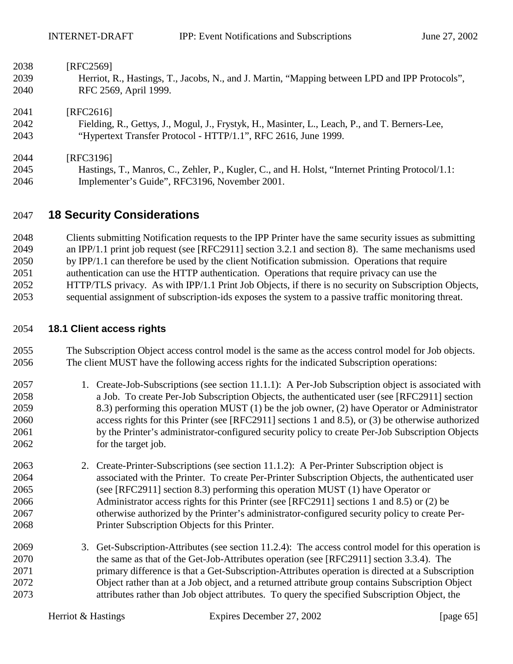| 2038 | [RFC2569]                                                                                        |
|------|--------------------------------------------------------------------------------------------------|
| 2039 | Herriot, R., Hastings, T., Jacobs, N., and J. Martin, "Mapping between LPD and IPP Protocols",   |
| 2040 | RFC 2569, April 1999.                                                                            |
| 2041 | [RFC2616]                                                                                        |
| 2042 | Fielding, R., Gettys, J., Mogul, J., Frystyk, H., Masinter, L., Leach, P., and T. Berners-Lee,   |
| 2043 | "Hypertext Transfer Protocol - HTTP/1.1", RFC 2616, June 1999.                                   |
| 2044 | [RFC3196]                                                                                        |
| 2045 | Hastings, T., Manros, C., Zehler, P., Kugler, C., and H. Holst, "Internet Printing Protocol/1.1: |
| 2046 | Implementer's Guide", RFC3196, November 2001.                                                    |

# 2047 **18 Security Considerations**

2048 Clients submitting Notification requests to the IPP Printer have the same security issues as submitting 2049 an IPP/1.1 print job request (see [RFC2911] section 3.2.1 and section 8). The same mechanisms used 2050 by IPP/1.1 can therefore be used by the client Notification submission. Operations that require 2051 authentication can use the HTTP authentication. Operations that require privacy can use the 2052 HTTP/TLS privacy. As with IPP/1.1 Print Job Objects, if there is no security on Subscription Objects, 2053 sequential assignment of subscription-ids exposes the system to a passive traffic monitoring threat.

## 2054 **18.1 Client access rights**

- 2055 The Subscription Object access control model is the same as the access control model for Job objects. 2056 The client MUST have the following access rights for the indicated Subscription operations:
- 2057 1. Create-Job-Subscriptions (see section [11.1.1\)](#page-44-0): A Per-Job Subscription object is associated with 2058 a Job. To create Per-Job Subscription Objects, the authenticated user (see [RFC2911] section 2059 8.3) performing this operation MUST (1) be the job owner, (2) have Operator or Administrator 2060 access rights for this Printer (see [RFC2911] sections 1 and 8.5), or (3) be otherwise authorized 2061 by the Printer's administrator-configured security policy to create Per-Job Subscription Objects 2062 for the target job.
- 2063 2. Create-Printer-Subscriptions (see section [11.1.2\)](#page-46-0): A Per-Printer Subscription object is 2064 associated with the Printer. To create Per-Printer Subscription Objects, the authenticated user 2065 (see [RFC2911] section 8.3) performing this operation MUST (1) have Operator or 2066 Administrator access rights for this Printer (see [RFC2911] sections 1 and 8.5) or (2) be 2067 otherwise authorized by the Printer's administrator-configured security policy to create Per-2068 Printer Subscription Objects for this Printer.
- 2069 3. Get-Subscription-Attributes (see section [11.2.4\)](#page-50-0): The access control model for this operation is 2070 the same as that of the Get-Job-Attributes operation (see [RFC2911] section 3.3.4). The 2071 primary difference is that a Get-Subscription-Attributes operation is directed at a Subscription 2072 Object rather than at a Job object, and a returned attribute group contains Subscription Object 2073 attributes rather than Job object attributes. To query the specified Subscription Object, the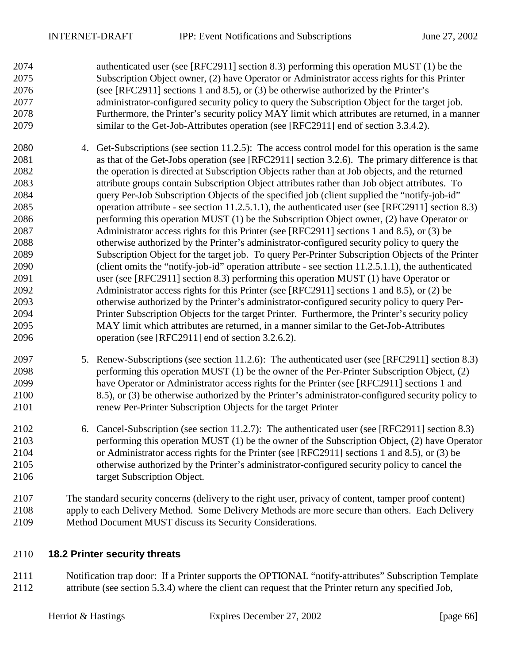2074 authenticated user (see [RFC2911] section 8.3) performing this operation MUST (1) be the 2075 Subscription Object owner, (2) have Operator or Administrator access rights for this Printer 2076 (see [RFC2911] sections 1 and 8.5), or (3) be otherwise authorized by the Printer's 2077 administrator-configured security policy to query the Subscription Object for the target job. 2078 Furthermore, the Printer's security policy MAY limit which attributes are returned, in a manner 2079 similar to the Get-Job-Attributes operation (see [RFC2911] end of section 3.3.4.2).

- 2080 4. Get-Subscriptions (see section [11.2.5\)](#page-53-0): The access control model for this operation is the same 2081 as that of the Get-Jobs operation (see [RFC2911] section 3.2.6). The primary difference is that 2082 the operation is directed at Subscription Objects rather than at Job objects, and the returned 2083 attribute groups contain Subscription Object attributes rather than Job object attributes. To 2084 query Per-Job Subscription Objects of the specified job (client supplied the "notify-job-id" 2085 operation attribute - see section [11.2.5.1.1\)](#page-54-0), the authenticated user (see [RFC2911] section 8.3) 2086 performing this operation MUST (1) be the Subscription Object owner, (2) have Operator or 2087 Administrator access rights for this Printer (see [RFC2911] sections 1 and 8.5), or (3) be 2088 otherwise authorized by the Printer's administrator-configured security policy to query the 2089 Subscription Object for the target job. To query Per-Printer Subscription Objects of the Printer 2090 (client omits the "notify-job-id" operation attribute - see section [11.2.5.1.1\)](#page-54-0), the authenticated 2091 user (see [RFC2911] section 8.3) performing this operation MUST (1) have Operator or 2092 Administrator access rights for this Printer (see [RFC2911] sections 1 and 8.5), or (2) be 2093 otherwise authorized by the Printer's administrator-configured security policy to query Per-2094 Printer Subscription Objects for the target Printer. Furthermore, the Printer's security policy 2095 MAY limit which attributes are returned, in a manner similar to the Get-Job-Attributes 2096 operation (see [RFC2911] end of section 3.2.6.2).
- 2097 5. Renew-Subscriptions (see section [11.2.6\)](#page-55-0): The authenticated user (see [RFC2911] section 8.3) 2098 performing this operation MUST (1) be the owner of the Per-Printer Subscription Object, (2) 2099 have Operator or Administrator access rights for the Printer (see [RFC2911] sections 1 and 2100 8.5), or (3) be otherwise authorized by the Printer's administrator-configured security policy to 2101 renew Per-Printer Subscription Objects for the target Printer
- 2102 6. Cancel-Subscription (see section [11.2.7\)](#page-57-0): The authenticated user (see [RFC2911] section 8.3) 2103 performing this operation MUST (1) be the owner of the Subscription Object, (2) have Operator 2104 or Administrator access rights for the Printer (see [RFC2911] sections 1 and 8.5), or (3) be 2105 otherwise authorized by the Printer's administrator-configured security policy to cancel the 2106 target Subscription Object.
- 2107 The standard security concerns (delivery to the right user, privacy of content, tamper proof content) 2108 apply to each Delivery Method. Some Delivery Methods are more secure than others. Each Delivery
- 2109 Method Document MUST discuss its Security Considerations.

## 2110 **18.2 Printer security threats**

2111 Notification trap door: If a Printer supports the OPTIONAL "notify-attributes" Subscription Template 2112 attribute (see section [5.3.4\)](#page-24-0) where the client can request that the Printer return any specified Job,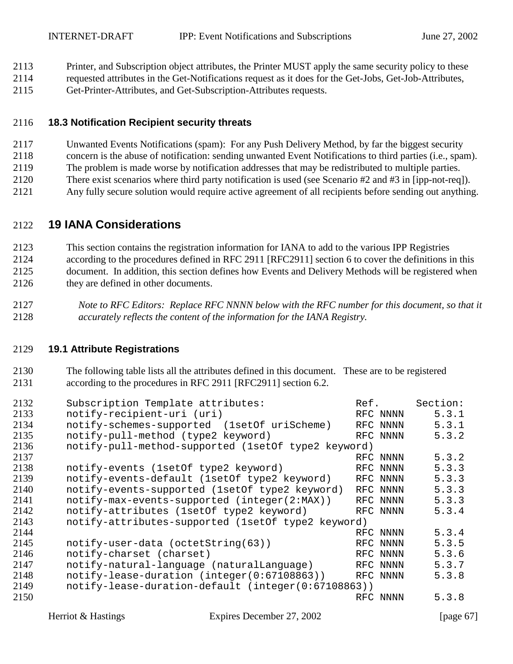- 2113 Printer, and Subscription object attributes, the Printer MUST apply the same security policy to these
- 2114 requested attributes in the Get-Notifications request as it does for the Get-Jobs, Get-Job-Attributes,
- 2115 Get-Printer-Attributes, and Get-Subscription-Attributes requests.

## 2116 **18.3 Notification Recipient security threats**

- 2117 Unwanted Events Notifications (spam): For any Push Delivery Method, by far the biggest security
- 2118 concern is the abuse of notification: sending unwanted Event Notifications to third parties (i.e., spam).
- 2119 The problem is made worse by notification addresses that may be redistributed to multiple parties.
- 2120 There exist scenarios where third party notification is used (see Scenario #2 and #3 in [ipp-not-req]).
- 2121 Any fully secure solution would require active agreement of all recipients before sending out anything.

# 2122 **19 IANA Considerations**

- 2123 This section contains the registration information for IANA to add to the various IPP Registries 2124 according to the procedures defined in RFC 2911 [RFC2911] section 6 to cover the definitions in this 2125 document. In addition, this section defines how Events and Delivery Methods will be registered when
- 2126 they are defined in other documents.
- 2127 *Note to RFC Editors: Replace RFC NNNN below with the RFC number for this document, so that it*  2128 *accurately reflects the content of the information for the IANA Registry.*

## 2129 **19.1 Attribute Registrations**

2130 The following table lists all the attributes defined in this document. These are to be registered 2131 according to the procedures in RFC 2911 [RFC2911] section 6.2.

| 2132 | Subscription Template attributes:                   | Ref. |          | Section: |
|------|-----------------------------------------------------|------|----------|----------|
| 2133 | notify-recipient-uri (uri)                          |      | RFC NNNN | 5.3.1    |
| 2134 | notify-schemes-supported (1setOf uriScheme)         |      | RFC NNNN | 5.3.1    |
| 2135 | notify-pull-method (type2 keyword)                  |      | RFC NNNN | 5.3.2    |
| 2136 | notify-pull-method-supported (1setOf type2 keyword) |      |          |          |
| 2137 |                                                     |      | RFC NNNN | 5.3.2    |
| 2138 | notify-events (1setOf type2 keyword)                |      | RFC NNNN | 5.3.3    |
| 2139 | notify-events-default (1setOf type2 keyword)        |      | RFC NNNN | 5.3.3    |
| 2140 | notify-events-supported (1setOf type2 keyword)      |      | RFC NNNN | 5.3.3    |
| 2141 | notify-max-events-supported (integer(2:MAX))        |      | RFC NNNN | 5.3.3    |
| 2142 | notify-attributes (1setOf type2 keyword)            |      | RFC NNNN | 5.3.4    |
| 2143 | notify-attributes-supported (1setOf type2 keyword)  |      |          |          |
| 2144 |                                                     |      | RFC NNNN | 5.3.4    |
| 2145 | notify-user-data (octetString(63))                  |      | RFC NNNN | 5.3.5    |
| 2146 | notify-charset (charset)                            |      | RFC NNNN | 5.3.6    |
| 2147 | notify-natural-language (naturalLanguage)           |      | RFC NNNN | 5.3.7    |
| 2148 | notify-lease-duration (integer(0:67108863))         |      | RFC NNNN | 5.3.8    |
| 2149 | notify-lease-duration-default (integer(0:67108863)) |      |          |          |
| 2150 |                                                     |      | RFC NNNN | 5.3.8    |
|      |                                                     |      |          |          |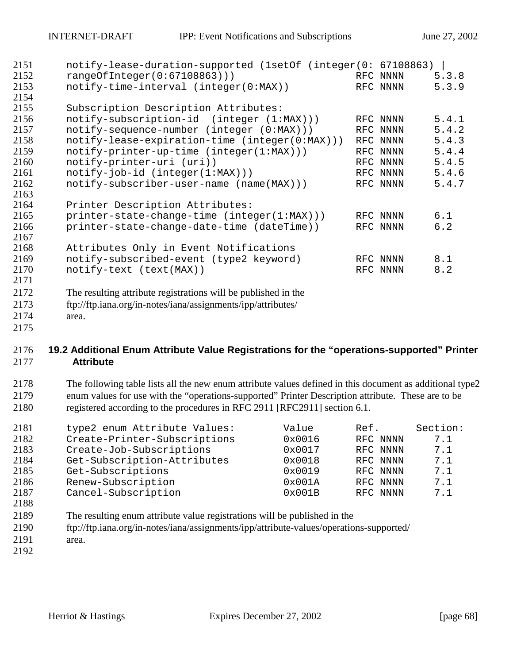| 2151 | notify-lease-duration-supported (1setOf (integer(0: 67108863)  |          |       |
|------|----------------------------------------------------------------|----------|-------|
| 2152 | rangeOfInteger(0:67108863))                                    | RFC NNNN | 5.3.8 |
| 2153 | notify-time-interval (integer(0:MAX))                          | RFC NNNN | 5.3.9 |
| 2154 |                                                                |          |       |
| 2155 | Subscription Description Attributes:                           |          |       |
| 2156 | notify-subscription-id (integer (1:MAX)))                      | RFC NNNN | 5.4.1 |
| 2157 | notify-sequence-number (integer (0:MAX)))                      | RFC NNNN | 5.4.2 |
| 2158 | notify-lease-expiration-time (integer(0:MAX)))                 | RFC NNNN | 5.4.3 |
| 2159 | $notify-printer-up-time (integer(1:MAX)))$                     | RFC NNNN | 5.4.4 |
| 2160 | notify-printer-uri (uri))                                      | RFC NNNN | 5.4.5 |
| 2161 | $notify-job-id (integer(1:MAX)))$                              | RFC NNNN | 5.4.6 |
| 2162 | notify-subscriber-user-name (name(MAX)))                       | RFC NNNN | 5.4.7 |
| 2163 |                                                                |          |       |
| 2164 | Printer Description Attributes:                                |          |       |
| 2165 | printer-state-change-time (integer(1:MAX)))                    | RFC NNNN | 6.1   |
| 2166 | printer-state-change-date-time (dateTime))                     | RFC NNNN | 6.2   |
| 2167 |                                                                |          |       |
| 2168 | Attributes Only in Event Notifications                         |          |       |
| 2169 | notify-subscribed-event (type2 keyword)                        | RFC NNNN | 8.1   |
| 2170 | notify-text (text(MAX))                                        | RFC NNNN | 8.2   |
| 2171 |                                                                |          |       |
| 2172 | The resulting attribute registrations will be published in the |          |       |
| 2173 | ftp://ftp.iana.org/in-notes/iana/assignments/ipp/attributes/   |          |       |
| 2174 | area.                                                          |          |       |
| 2175 |                                                                |          |       |

## **19.2 Additional Enum Attribute Value Registrations for the "operations-supported" Printer Attribute**

2178 The following table lists all the new enum attribute values defined in this document as additional type2 2179 enum values for use with the "operations-supported" Printer Description attribute. These are to be 2180 registered according to the procedures in RFC 2911 [RFC2911] section 6.1.

| 2181 | type2 enum Attribute Values: | Value  | Ref.     | Section: |
|------|------------------------------|--------|----------|----------|
| 2182 | Create-Printer-Subscriptions | 0x0016 | RFC NNNN | 7.1      |
| 2183 | Create-Job-Subscriptions     | 0x0017 | RFC NNNN | 7.1      |
| 2184 | Get-Subscription-Attributes  | 0x0018 | RFC NNNN | 7.1      |
| 2185 | Get-Subscriptions            | 0x0019 | RFC NNNN | 7.1      |
| 2186 | Renew-Subscription           | 0x001A | RFC NNNN | 7.1      |
| 2187 | Cancel-Subscription          | 0x001B | RFC NNNN | 7.1      |
| 2188 |                              |        |          |          |

- 2189 The resulting enum attribute value registrations will be published in the
- 2190 ftp://ftp.iana.org/in-notes/iana/assignments/ipp/attribute-values/operations-supported/
- 2191 area.
-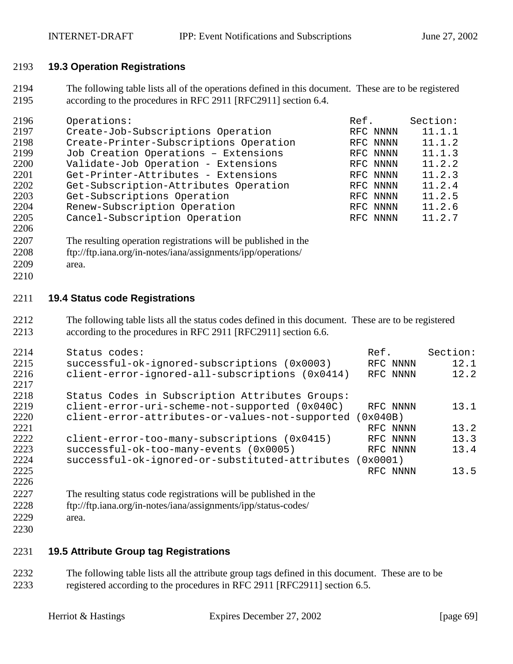## **19.3 Operation Registrations**

2194 The following table lists all of the operations defined in this document. These are to be registered 2195 according to the procedures in RFC 2911 [RFC2911] section 6.4.

| 2196 | Operations:                            | Ref.     | Section: |
|------|----------------------------------------|----------|----------|
| 2197 | Create-Job-Subscriptions Operation     | RFC NNNN | 11.1.1   |
| 2198 | Create-Printer-Subscriptions Operation | RFC NNNN | 11.1.2   |
| 2199 | Job Creation Operations - Extensions   | RFC NNNN | 11.1.3   |
| 2200 | Validate-Job Operation - Extensions    | RFC NNNN | 11.2.2   |
| 2201 | Get-Printer-Attributes - Extensions    | RFC NNNN | 11.2.3   |
| 2202 | Get-Subscription-Attributes Operation  | RFC NNNN | 11.2.4   |
| 2203 | Get-Subscriptions Operation            | RFC NNNN | 11.2.5   |
| 2204 | Renew-Subscription Operation           | RFC NNNN | 11.2.6   |
| 2205 | Cancel-Subscription Operation          | RFC NNNN | 11.2.7   |

- 2207 The resulting operation registrations will be published in the
- 2208 ftp://ftp.iana.org/in-notes/iana/assignments/ipp/operations/
- 2209 area.
- 

## **19.4 Status code Registrations**

2212 The following table lists all the status codes defined in this document. These are to be registered 2213 according to the procedures in RFC 2911 [RFC2911] section 6.6.

| 2214 | Status codes:                                   | Ref.       | Section: |
|------|-------------------------------------------------|------------|----------|
| 2215 | successful-ok-ignored-subscriptions (0x0003)    | RFC NNNN   | 12.1     |
| 2216 | client-error-ignored-all-subscriptions (0x0414) | RFC NNNN   | 12.2     |
| 2217 |                                                 |            |          |
| 2218 | Status Codes in Subscription Attributes Groups: |            |          |
| 2219 | client-error-uri-scheme-not-supported (0x040C)  | RFC NNNN   | 13.1     |
| 2220 | client-error-attributes-or-values-not-supported | 0x040B)    |          |
| 2221 |                                                 | RFC NNNN   | 13.2     |
| 2222 | client-error-too-many-subscriptions (0x0415)    | RFC NNNN   | 13.3     |
| 2223 | successful-ok-too-many-events (0x0005)          | RFC NNNN   | 13.4     |
| 2224 | successful-ok-ignored-or-substituted-attributes | $0x0001$ ) |          |
| 2225 |                                                 | RFC NNNN   | 13.5     |
| 2226 |                                                 |            |          |

- 2227 The resulting status code registrations will be published in the
- 2228 ftp://ftp.iana.org/in-notes/iana/assignments/ipp/status-codes/ 2229 area.
- 

## **19.5 Attribute Group tag Registrations**

2232 The following table lists all the attribute group tags defined in this document. These are to be 2233 registered according to the procedures in RFC 2911 [RFC2911] section 6.5.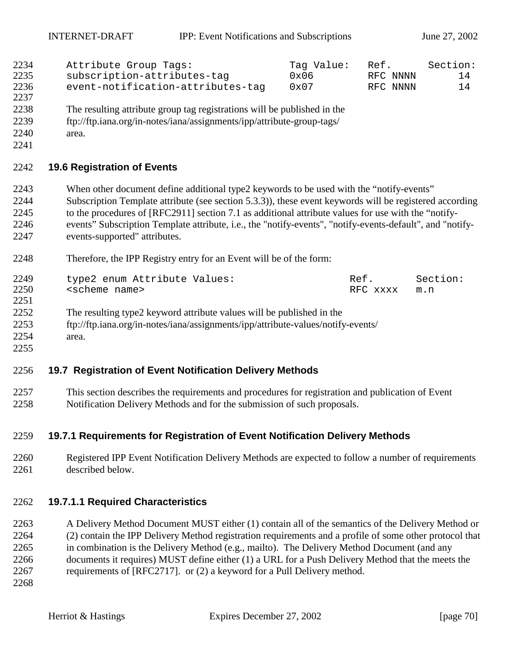| 2234 | Attribute Group Tags:             | Tag Value:    | Ref.     | Section: |
|------|-----------------------------------|---------------|----------|----------|
| 2235 | subscription-attributes-tag       | $0 \times 06$ | RFC NNNN | 14       |
| 2236 | event-notification-attributes-tag | 0x07          | RFC NNNN | 14       |
| 2237 |                                   |               |          |          |

- 2238 The resulting attribute group tag registrations will be published in the
- 2239 ftp://ftp.iana.org/in-notes/iana/assignments/ipp/attribute-group-tags/
- 2240 area.
- 2241

## 2242 **19.6 Registration of Events**

- 2243 When other document define additional type2 keywords to be used with the "notify-events"
- 2244 Subscription Template attribute (see section [5.3.3\)](#page-19-0)), these event keywords will be registered according 2245 to the procedures of [RFC2911] section 7.1 as additional attribute values for use with the "notify-2246 events" Subscription Template attribute, i.e., the "notify-events", "notify-events-default", and "notify-2247 events-supported" attributes.
- 2248 Therefore, the IPP Registry entry for an Event will be of the form:

| 2249 | type2 enum Attribute Values:                                                     | Ref.     | Section: |
|------|----------------------------------------------------------------------------------|----------|----------|
| 2250 | <scheme name=""></scheme>                                                        | RFC xxxx | m.n      |
| 2251 |                                                                                  |          |          |
| 2252 | The resulting type2 keyword attribute values will be published in the            |          |          |
| 2253 | ftp://ftp.iana.org/in-notes/iana/assignments/ipp/attribute-values/notify-events/ |          |          |
| 2254 | area.                                                                            |          |          |
| 2255 |                                                                                  |          |          |

## 2256 **19.7 Registration of Event Notification Delivery Methods**

2257 This section describes the requirements and procedures for registration and publication of Event 2258 Notification Delivery Methods and for the submission of such proposals.

## 2259 **19.7.1 Requirements for Registration of Event Notification Delivery Methods**

2260 Registered IPP Event Notification Delivery Methods are expected to follow a number of requirements 2261 described below.

## 2262 **19.7.1.1 Required Characteristics**

2263 A Delivery Method Document MUST either (1) contain all of the semantics of the Delivery Method or 2264 (2) contain the IPP Delivery Method registration requirements and a profile of some other protocol that 2265 in combination is the Delivery Method (e.g., mailto). The Delivery Method Document (and any 2266 documents it requires) MUST define either (1) a URL for a Push Delivery Method that the meets the 2267 requirements of [RFC2717]. or (2) a keyword for a Pull Delivery method.

2268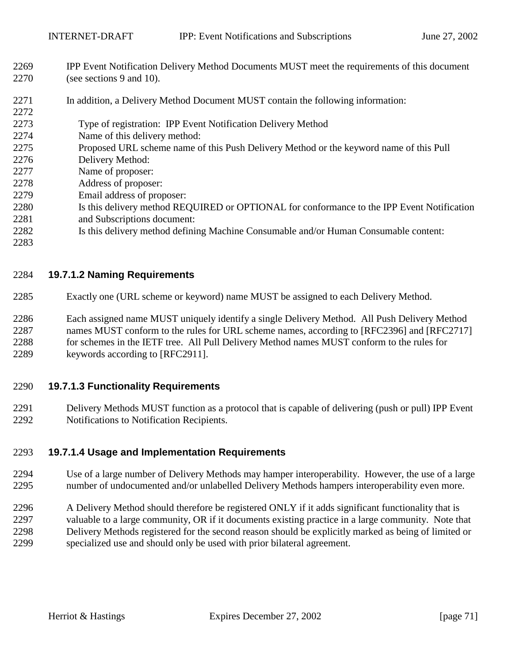2269 IPP Event Notification Delivery Method Documents MUST meet the requirements of this document 2270 (see sections [9](#page-34-0) and [10\)](#page-42-0).

## 2271 In addition, a Delivery Method Document MUST contain the following information:

- 2273 Type of registration: IPP Event Notification Delivery Method
- 2274 Name of this delivery method:
- 2275 Proposed URL scheme name of this Push Delivery Method or the keyword name of this Pull
- 2276 Delivery Method:
- 2277 Name of proposer:
- 2278 Address of proposer:
- 2279 Email address of proposer:
- 2280 Is this delivery method REQUIRED or OPTIONAL for conformance to the IPP Event Notification 2281 and Subscriptions document:
- 2282 Is this delivery method defining Machine Consumable and/or Human Consumable content:
- 2283

2272

## 2284 **19.7.1.2 Naming Requirements**

- 2285 Exactly one (URL scheme or keyword) name MUST be assigned to each Delivery Method.
- 2286 Each assigned name MUST uniquely identify a single Delivery Method. All Push Delivery Method 2287 names MUST conform to the rules for URL scheme names, according to [RFC2396] and [RFC2717] 2288 for schemes in the IETF tree. All Pull Delivery Method names MUST conform to the rules for 2289 keywords according to [RFC2911].

## 2290 **19.7.1.3 Functionality Requirements**

2291 Delivery Methods MUST function as a protocol that is capable of delivering (push or pull) IPP Event 2292 Notifications to Notification Recipients.

## 2293 **19.7.1.4 Usage and Implementation Requirements**

- 2294 Use of a large number of Delivery Methods may hamper interoperability. However, the use of a large 2295 number of undocumented and/or unlabelled Delivery Methods hampers interoperability even more.
- 2296 A Delivery Method should therefore be registered ONLY if it adds significant functionality that is 2297 valuable to a large community, OR if it documents existing practice in a large community. Note that 2298 Delivery Methods registered for the second reason should be explicitly marked as being of limited or 2299 specialized use and should only be used with prior bilateral agreement.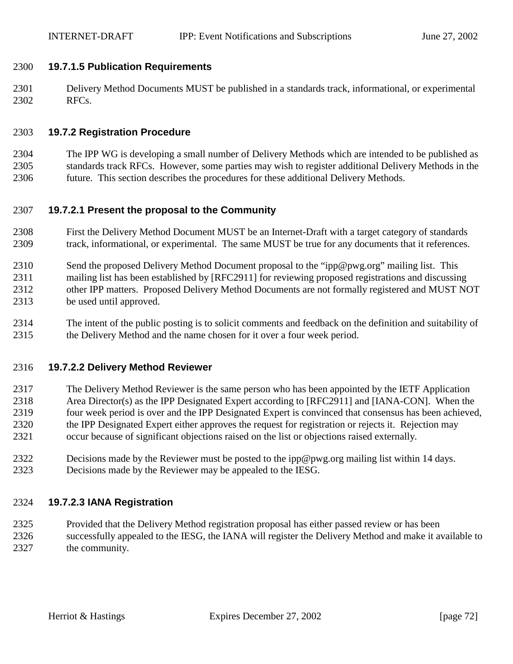## 2300 **19.7.1.5 Publication Requirements**

2301 Delivery Method Documents MUST be published in a standards track, informational, or experimental 2302 RFCs.

## 2303 **19.7.2 Registration Procedure**

2304 The IPP WG is developing a small number of Delivery Methods which are intended to be published as 2305 standards track RFCs. However, some parties may wish to register additional Delivery Methods in the 2306 future. This section describes the procedures for these additional Delivery Methods.

## 2307 **19.7.2.1 Present the proposal to the Community**

- 2308 First the Delivery Method Document MUST be an Internet-Draft with a target category of standards 2309 track, informational, or experimental. The same MUST be true for any documents that it references.
- 2310 Send the proposed Delivery Method Document proposal to the "ipp@pwg.org" mailing list. This 2311 mailing list has been established by [RFC2911] for reviewing proposed registrations and discussing 2312 other IPP matters. Proposed Delivery Method Documents are not formally registered and MUST NOT 2313 be used until approved.
- 2314 The intent of the public posting is to solicit comments and feedback on the definition and suitability of 2315 the Delivery Method and the name chosen for it over a four week period.

## 2316 **19.7.2.2 Delivery Method Reviewer**

- 2317 The Delivery Method Reviewer is the same person who has been appointed by the IETF Application 2318 Area Director(s) as the IPP Designated Expert according to [RFC2911] and [IANA-CON]. When the 2319 four week period is over and the IPP Designated Expert is convinced that consensus has been achieved, 2320 the IPP Designated Expert either approves the request for registration or rejects it. Rejection may 2321 occur because of significant objections raised on the list or objections raised externally.
- 2322 Decisions made by the Reviewer must be posted to the ipp@pwg.org mailing list within 14 days. 2323 Decisions made by the Reviewer may be appealed to the IESG.

## 2324 **19.7.2.3 IANA Registration**

2325 Provided that the Delivery Method registration proposal has either passed review or has been 2326 successfully appealed to the IESG, the IANA will register the Delivery Method and make it available to 2327 the community.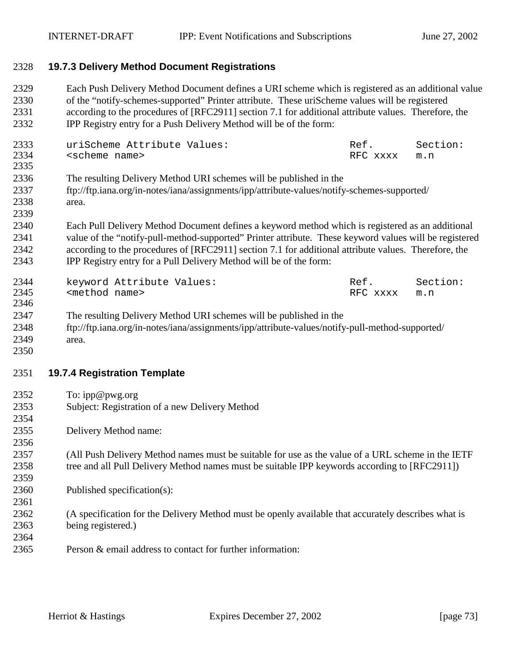#### 2328 **19.7.3 Delivery Method Document Registrations**

2329 Each Push Delivery Method Document defines a URI scheme which is registered as an additional value 2330 of the "notify-schemes-supported" Printer attribute. These uriScheme values will be registered 2331 according to the procedures of [RFC2911] section 7.1 for additional attribute values. Therefore, the 2332 IPP Registry entry for a Push Delivery Method will be of the form:

| 2333 | uriScheme Attribute Values: | Ref.         | Section: |
|------|-----------------------------|--------------|----------|
| 2334 | <scheme name=""></scheme>   | RFC xxxx m.n |          |
| 2335 |                             |              |          |

- 2336 The resulting Delivery Method URI schemes will be published in the
- 2337 ftp://ftp.iana.org/in-notes/iana/assignments/ipp/attribute-values/notify-schemes-supported/ 2338 area.
- 2339
- 2340 Each Pull Delivery Method Document defines a keyword method which is registered as an additional 2341 value of the "notify-pull-method-supported" Printer attribute. These keyword values will be registered 2342 according to the procedures of [RFC2911] section 7.1 for additional attribute values. Therefore, the 2343 IPP Registry entry for a Pull Delivery Method will be of the form:

| 2344 |                           | keyword Attribute Values: | Ref.     | Section: |
|------|---------------------------|---------------------------|----------|----------|
| 2345 | <method name=""></method> |                           | RFC xxxx | m.n      |
| 2346 |                           |                           |          |          |

- 2347 The resulting Delivery Method URI schemes will be published in the
- 2348 ftp://ftp.iana.org/in-notes/iana/assignments/ipp/attribute-values/notify-pull-method-supported/ 2349 area.
- 2350

2354

2356

2359

2361

2364

#### 2351 **19.7.4 Registration Template**

- 2352 To: ipp@pwg.org
- 2353 Subject: Registration of a new Delivery Method
- 2355 Delivery Method name:
- 2357 (All Push Delivery Method names must be suitable for use as the value of a URL scheme in the IETF 2358 tree and all Pull Delivery Method names must be suitable IPP keywords according to [RFC2911])
- 2360 Published specification(s):
- 2362 (A specification for the Delivery Method must be openly available that accurately describes what is 2363 being registered.)
- 2365 Person & email address to contact for further information: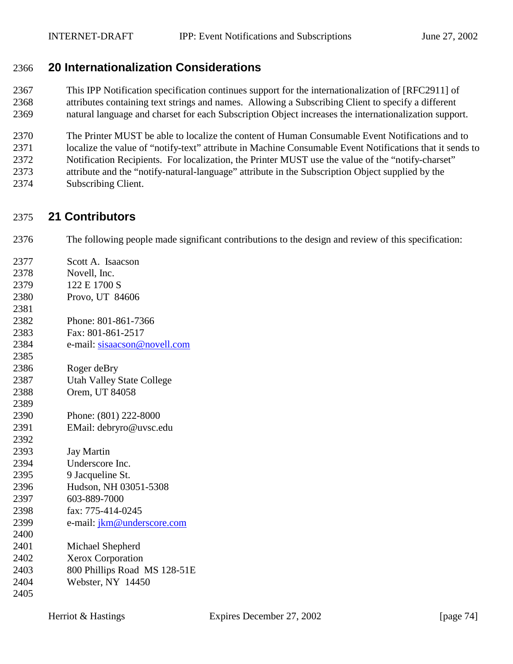# 2366 **20 Internationalization Considerations**

2367 This IPP Notification specification continues support for the internationalization of [RFC2911] of 2368 attributes containing text strings and names. Allowing a Subscribing Client to specify a different 2369 natural language and charset for each Subscription Object increases the internationalization support.

2370 The Printer MUST be able to localize the content of Human Consumable Event Notifications and to 2371 localize the value of "notify-text" attribute in Machine Consumable Event Notifications that it sends to 2372 Notification Recipients. For localization, the Printer MUST use the value of the "notify-charset" 2373 attribute and the "notify-natural-language" attribute in the Subscription Object supplied by the 2374 Subscribing Client.

# 2375 **21 Contributors**

2376 The following people made significant contributions to the design and review of this specification:

| 2377 | Scott A. Isaacson                 |
|------|-----------------------------------|
| 2378 | Novell, Inc.                      |
| 2379 | 122 E 1700 S                      |
| 2380 | Provo, UT 84606                   |
| 2381 |                                   |
| 2382 | Phone: 801-861-7366               |
| 2383 | Fax: 801-861-2517                 |
| 2384 | e-mail: sisaacson@novell.com      |
| 2385 |                                   |
| 2386 | Roger deBry                       |
| 2387 | <b>Utah Valley State College</b>  |
| 2388 | Orem, UT 84058                    |
| 2389 |                                   |
| 2390 | Phone: (801) 222-8000             |
| 2391 | EMail: debryro@uvsc.edu           |
| 2392 |                                   |
| 2393 | <b>Jay Martin</b>                 |
| 2394 | Underscore Inc.                   |
| 2395 | 9 Jacqueline St.                  |
| 2396 | Hudson, NH 03051-5308             |
| 2397 | 603-889-7000                      |
| 2398 | fax: 775-414-0245                 |
| 2399 | e-mail: <i>jkm@underscore.com</i> |
| 2400 |                                   |
| 2401 | Michael Shepherd                  |
| 2402 | <b>Xerox Corporation</b>          |
| 2403 | 800 Phillips Road MS 128-51E      |
| 2404 | Webster, NY 14450                 |
| 2405 |                                   |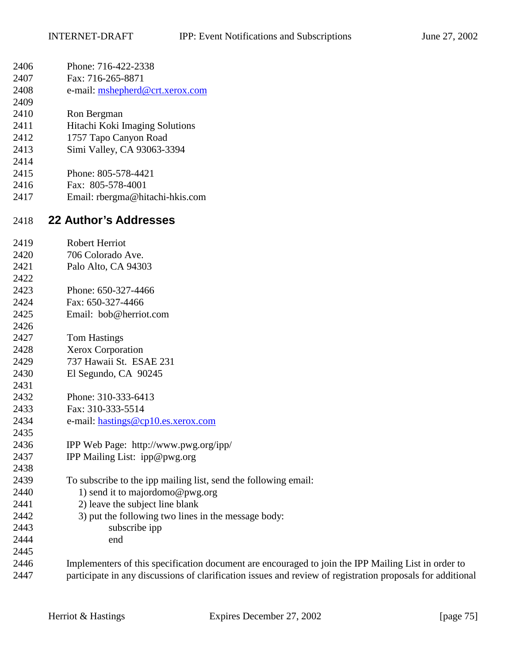| 2406 | Phone: 716-422-2338                                                                                        |
|------|------------------------------------------------------------------------------------------------------------|
| 2407 | Fax: 716-265-8871                                                                                          |
| 2408 | e-mail: mshepherd@crt.xerox.com                                                                            |
| 2409 |                                                                                                            |
| 2410 | Ron Bergman                                                                                                |
| 2411 | Hitachi Koki Imaging Solutions                                                                             |
| 2412 | 1757 Tapo Canyon Road                                                                                      |
| 2413 | Simi Valley, CA 93063-3394                                                                                 |
| 2414 |                                                                                                            |
| 2415 | Phone: 805-578-4421                                                                                        |
| 2416 | Fax: 805-578-4001                                                                                          |
| 2417 | Email: rbergma@hitachi-hkis.com                                                                            |
| 2418 | <b>22 Author's Addresses</b>                                                                               |
| 2419 | <b>Robert Herriot</b>                                                                                      |
| 2420 | 706 Colorado Ave.                                                                                          |
| 2421 | Palo Alto, CA 94303                                                                                        |
| 2422 |                                                                                                            |
| 2423 | Phone: 650-327-4466                                                                                        |
| 2424 | Fax: 650-327-4466                                                                                          |
| 2425 | Email: bob@herriot.com                                                                                     |
| 2426 |                                                                                                            |
| 2427 | <b>Tom Hastings</b>                                                                                        |
| 2428 | Xerox Corporation                                                                                          |
| 2429 | 737 Hawaii St. ESAE 231                                                                                    |
| 2430 | El Segundo, CA 90245                                                                                       |
| 2431 |                                                                                                            |
| 2432 | Phone: 310-333-6413                                                                                        |
| 2433 | Fax: 310-333-5514                                                                                          |
| 2434 | e-mail: hastings@cp10.es.xerox.com                                                                         |
| 2435 |                                                                                                            |
| 2436 | IPP Web Page: http://www.pwg.org/ipp/                                                                      |
| 2437 | IPP Mailing List: ipp@pwg.org                                                                              |
| 2438 |                                                                                                            |
| 2439 | To subscribe to the ipp mailing list, send the following email:                                            |
| 2440 | 1) send it to majordomo@pwg.org                                                                            |
| 2441 | 2) leave the subject line blank                                                                            |
| 2442 | 3) put the following two lines in the message body:                                                        |
| 2443 | subscribe ipp                                                                                              |
| 2444 | end                                                                                                        |
| 2445 |                                                                                                            |
| 2446 | Implementers of this specification document are encouraged to join the IPP Mailing List in order to        |
| 2447 | participate in any discussions of clarification issues and review of registration proposals for additional |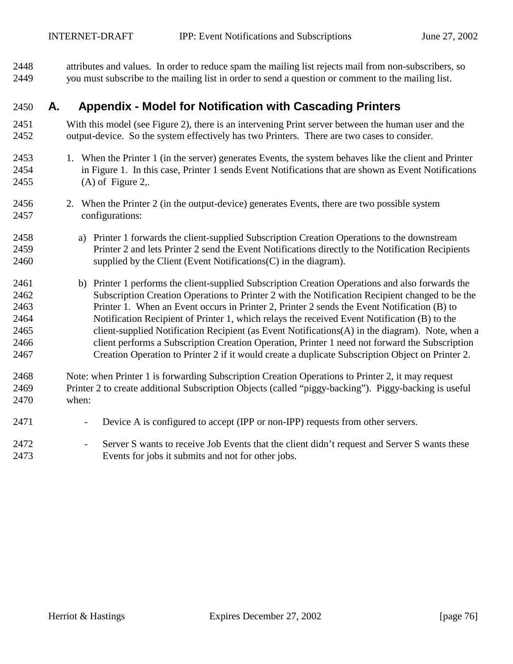2448 attributes and values. In order to reduce spam the mailing list rejects mail from non-subscribers, so 2449 you must subscribe to the mailing list in order to send a question or comment to the mailing list.

## 2450 **A. Appendix - Model for Notification with Cascading Printers**

- 2451 With this model (see [Figure 2\)](#page-76-0), there is an intervening Print server between the human user and the 2452 output-device. So the system effectively has two Printers. There are two cases to consider.
- 2453 1. When the Printer 1 (in the server) generates Events, the system behaves like the client and Printer 2454 in [Figure 1.](#page-8-0) In this case, Printer 1 sends Event Notifications that are shown as Event Notifications 2455 (A) of [Figure 2,](#page-76-0).
- 2456 2. When the Printer 2 (in the output-device) generates Events, there are two possible system 2457 configurations:
- 2458 a) Printer 1 forwards the client-supplied Subscription Creation Operations to the downstream 2459 Printer 2 and lets Printer 2 send the Event Notifications directly to the Notification Recipients 2460 supplied by the Client (Event Notifications(C) in the diagram).
- 2461 b) Printer 1 performs the client-supplied Subscription Creation Operations and also forwards the 2462 Subscription Creation Operations to Printer 2 with the Notification Recipient changed to be the 2463 Printer 1. When an Event occurs in Printer 2, Printer 2 sends the Event Notification (B) to 2464 Notification Recipient of Printer 1, which relays the received Event Notification (B) to the 2465 client-supplied Notification Recipient (as Event Notifications(A) in the diagram). Note, when a 2466 client performs a Subscription Creation Operation, Printer 1 need not forward the Subscription 2467 Creation Operation to Printer 2 if it would create a duplicate Subscription Object on Printer 2.
- 2468 Note: when Printer 1 is forwarding Subscription Creation Operations to Printer 2, it may request 2469 Printer 2 to create additional Subscription Objects (called "piggy-backing"). Piggy-backing is useful 2470 when:
- 2471 Device A is configured to accept (IPP or non-IPP) requests from other servers.
- 2472 Server S wants to receive Job Events that the client didn't request and Server S wants these 2473 Events for jobs it submits and not for other jobs.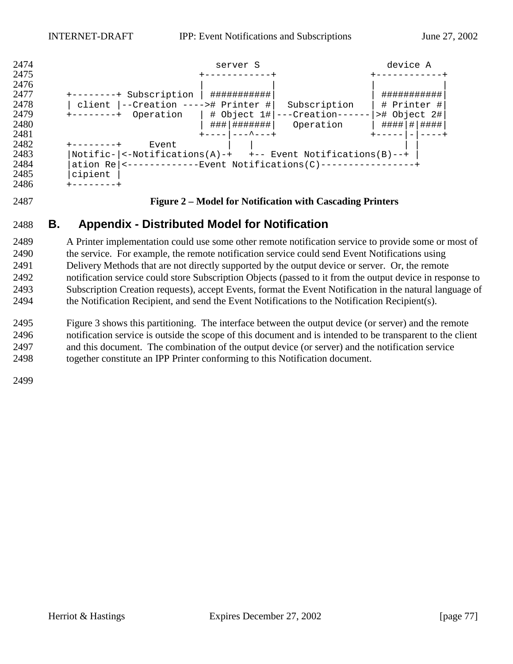<span id="page-76-0"></span>

#### **Figure 2 – Model for Notification with Cascading Printers**

# **B. Appendix - Distributed Model for Notification**

2489 A Printer implementation could use some other remote notification service to provide some or most of 2490 the service. For example, the remote notification service could send Event Notifications using 2491 Delivery Methods that are not directly supported by the output device or server. Or, the remote 2492 notification service could store Subscription Objects (passed to it from the output device in response to 2493 Subscription Creation requests), accept Events, format the Event Notification in the natural language of 2494 the Notification Recipient, and send the Event Notifications to the Notification Recipient(s).

[Figure 3](#page-77-0) shows this partitioning. The interface between the output device (or server) and the remote 2496 notification service is outside the scope of this document and is intended to be transparent to the client 2497 and this document. The combination of the output device (or server) and the notification service 2498 together constitute an IPP Printer conforming to this Notification document.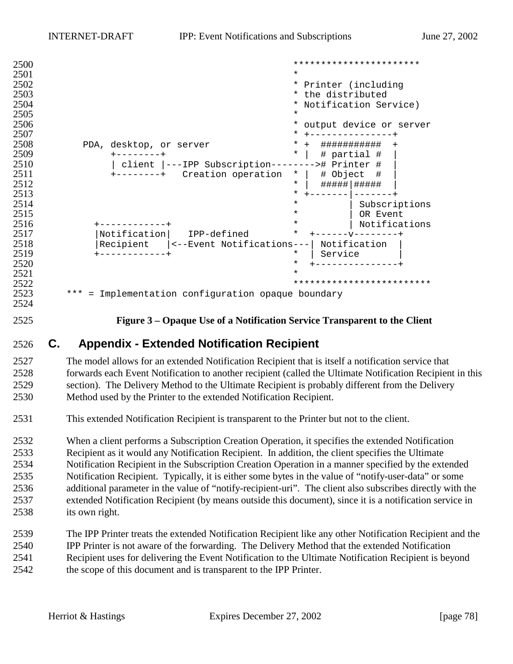<span id="page-77-0"></span>

| 2500                                         |                                                    | ***********************                       |
|----------------------------------------------|----------------------------------------------------|-----------------------------------------------|
| 2501                                         |                                                    | $\ast$                                        |
| 2502                                         |                                                    | * Printer (including                          |
| 2503                                         |                                                    | * the distributed                             |
| 2504                                         |                                                    | * Notification Service)                       |
| 2505                                         |                                                    | $\star$                                       |
| 2506                                         |                                                    | output device or server                       |
| 2507                                         |                                                    | *<br>--------                                 |
| 2508                                         | PDA, desktop, or server                            | ###########<br>$\star$<br>$+$<br>$\mathrm{+}$ |
| 2509                                         |                                                    | $\star$<br># partial #                        |
| 2510                                         | client  ---IPP Subscription-------                 | -># Printer #                                 |
| 2511                                         | +--------+ Creation operation                      | # Object<br>$\star$<br>- #                    |
| 2512                                         |                                                    | $^\star$<br>#####   #####                     |
| 2513                                         |                                                    | *                                             |
| 2514                                         |                                                    | $^\star$<br>Subscriptions                     |
| 2515                                         |                                                    | $^\star$<br>OR Event                          |
| 2516                                         |                                                    | Notifications<br>$^\star$                     |
| 2517                                         | Notification<br>IPP-defined                        | $\ast$                                        |
| 2518                                         | Recipient<br><--Event Notifications---             | Notification                                  |
| 2519                                         |                                                    | *<br>Service                                  |
| 2520                                         |                                                    | $\star$                                       |
| 2521                                         |                                                    | $\star$                                       |
| 2522                                         |                                                    | *************************                     |
| 2523<br>$\Omega$ $\Gamma$ $\Omega$ $\Lambda$ | *** = Implementation configuration opaque boundary |                                               |
|                                              |                                                    |                                               |

2524

2525 **Figure 3 – Opaque Use of a Notification Service Transparent to the Client** 

## 2526 **C. Appendix - Extended Notification Recipient**

2527 The model allows for an extended Notification Recipient that is itself a notification service that 2528 forwards each Event Notification to another recipient (called the Ultimate Notification Recipient in this 2529 section). The Delivery Method to the Ultimate Recipient is probably different from the Delivery 2530 Method used by the Printer to the extended Notification Recipient.

2531 This extended Notification Recipient is transparent to the Printer but not to the client.

2532 When a client performs a Subscription Creation Operation, it specifies the extended Notification 2533 Recipient as it would any Notification Recipient. In addition, the client specifies the Ultimate 2534 Notification Recipient in the Subscription Creation Operation in a manner specified by the extended 2535 Notification Recipient. Typically, it is either some bytes in the value of "notify-user-data" or some 2536 additional parameter in the value of "notify-recipient-uri". The client also subscribes directly with the 2537 extended Notification Recipient (by means outside this document), since it is a notification service in 2538 its own right.

2539 The IPP Printer treats the extended Notification Recipient like any other Notification Recipient and the 2540 IPP Printer is not aware of the forwarding. The Delivery Method that the extended Notification 2541 Recipient uses for delivering the Event Notification to the Ultimate Notification Recipient is beyond 2542 the scope of this document and is transparent to the IPP Printer.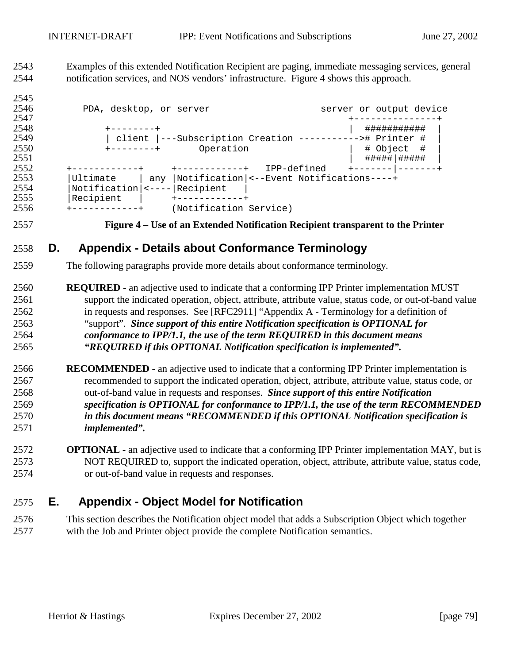2543 Examples of this extended Notification Recipient are paging, immediate messaging services, general 2544 notification services, and NOS vendors' infrastructure. Figure 4 shows this approach.

2545 2546 PDA, desktop, or server server server or output device 2547 +---------------+ 2548 +--------+ | ########### | | client |---Subscription Creation ----------># Printer # 2550 +--------+ Operation | # Object # | 2551 | #####|##### | 2552 +------------+ +------------+ IPP-defined +-------|-------+ 2553 |Ultimate | any |Notification|<--Event Notifications----+ 2554 | Notification | <---- | Recipient |<br>2555 | Recipient | +------------+ |Recipient | +------------+ 2556 +------------+ (Notification Service)

#### 2557 **Figure 4 – Use of an Extended Notification Recipient transparent to the Printer**

# 2558 **D. Appendix - Details about Conformance Terminology**

- 2559 The following paragraphs provide more details about conformance terminology.
- 2560 **REQUIRED**  an adjective used to indicate that a conforming IPP Printer implementation MUST 2561 support the indicated operation, object, attribute, attribute value, status code, or out-of-band value 2562 in requests and responses. See [RFC2911] "Appendix A - Terminology for a definition of 2563 "support". *Since support of this entire Notification specification is OPTIONAL for*  2564 *conformance to IPP/1.1, the use of the term REQUIRED in this document means*  2565 *"REQUIRED if this OPTIONAL Notification specification is implemented".*
- 2566 **RECOMMENDED**  an adjective used to indicate that a conforming IPP Printer implementation is 2567 recommended to support the indicated operation, object, attribute, attribute value, status code, or 2568 out-of-band value in requests and responses. *Since support of this entire Notification*  2569 *specification is OPTIONAL for conformance to IPP/1.1, the use of the term RECOMMENDED*  2570 *in this document means "RECOMMENDED if this OPTIONAL Notification specification is*  2571 *implemented".*
- 2572 **OPTIONAL**  an adjective used to indicate that a conforming IPP Printer implementation MAY, but is 2573 NOT REQUIRED to, support the indicated operation, object, attribute, attribute value, status code, 2574 or out-of-band value in requests and responses.

# 2575 **E. Appendix - Object Model for Notification**

2576 This section describes the Notification object model that adds a Subscription Object which together 2577 with the Job and Printer object provide the complete Notification semantics.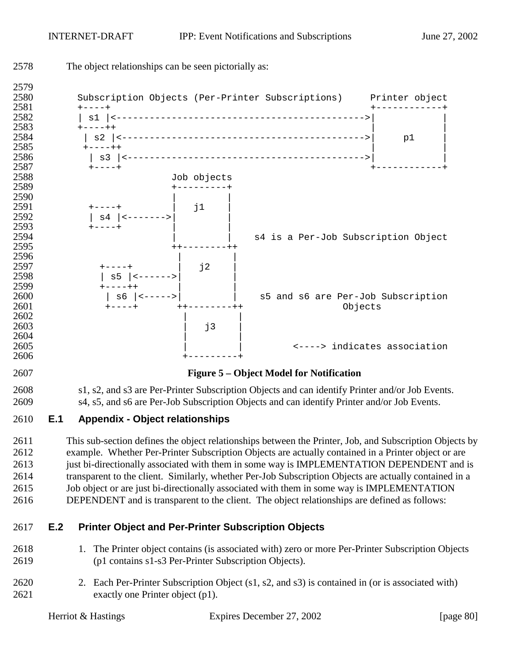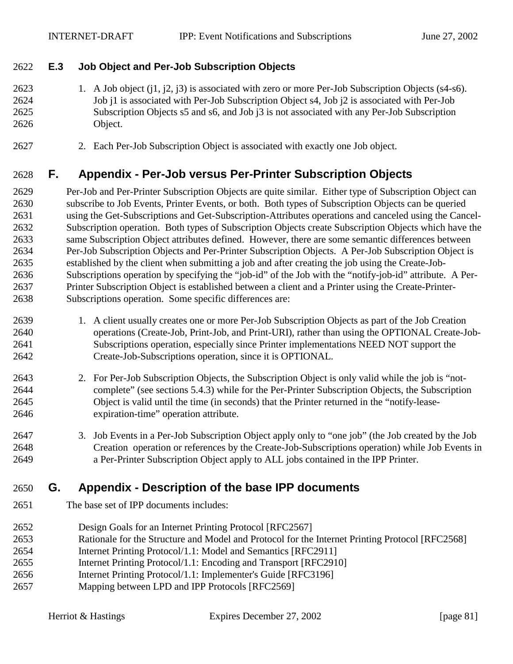### 2622 **E.3 Job Object and Per-Job Subscription Objects**

2623 1. A Job object (j1, j2, j3) is associated with zero or more Per-Job Subscription Objects (s4-s6). 2624 Job j1 is associated with Per-Job Subscription Object s4, Job j2 is associated with Per-Job 2625 Subscription Objects s5 and s6, and Job j3 is not associated with any Per-Job Subscription 2626 Object.

2627 2. Each Per-Job Subscription Object is associated with exactly one Job object.

# 2628 **F. Appendix - Per-Job versus Per-Printer Subscription Objects**

2629 Per-Job and Per-Printer Subscription Objects are quite similar. Either type of Subscription Object can 2630 subscribe to Job Events, Printer Events, or both. Both types of Subscription Objects can be queried 2631 using the Get-Subscriptions and Get-Subscription-Attributes operations and canceled using the Cancel-2632 Subscription operation. Both types of Subscription Objects create Subscription Objects which have the 2633 same Subscription Object attributes defined. However, there are some semantic differences between 2634 Per-Job Subscription Objects and Per-Printer Subscription Objects. A Per-Job Subscription Object is 2635 established by the client when submitting a job and after creating the job using the Create-Job-2636 Subscriptions operation by specifying the "job-id" of the Job with the "notify-job-id" attribute. A Per-2637 Printer Subscription Object is established between a client and a Printer using the Create-Printer-2638 Subscriptions operation. Some specific differences are:

- 2639 1. A client usually creates one or more Per-Job Subscription Objects as part of the Job Creation 2640 operations (Create-Job, Print-Job, and Print-URI), rather than using the OPTIONAL Create-Job-2641 Subscriptions operation, especially since Printer implementations NEED NOT support the 2642 Create-Job-Subscriptions operation, since it is OPTIONAL.
- 2643 2. For Per-Job Subscription Objects, the Subscription Object is only valid while the job is "not-2644 complete" (see sections [5.4.3\)](#page-30-0) while for the Per-Printer Subscription Objects, the Subscription 2645 Object is valid until the time (in seconds) that the Printer returned in the "notify-lease-2646 expiration-time" operation attribute.
- 2647 3. Job Events in a Per-Job Subscription Object apply only to "one job" (the Job created by the Job 2648 Creation operation or references by the Create-Job-Subscriptions operation) while Job Events in 2649 a Per-Printer Subscription Object apply to ALL jobs contained in the IPP Printer.

# 2650 **G. Appendix - Description of the base IPP documents**

- 2651 The base set of IPP documents includes:
- 2652 Design Goals for an Internet Printing Protocol [RFC2567]
- 2653 Rationale for the Structure and Model and Protocol for the Internet Printing Protocol [RFC2568]
- 2654 Internet Printing Protocol/1.1: Model and Semantics [RFC2911]
- 2655 Internet Printing Protocol/1.1: Encoding and Transport [RFC2910]
- 2656 Internet Printing Protocol/1.1: Implementer's Guide [RFC3196]
- 2657 Mapping between LPD and IPP Protocols [RFC2569]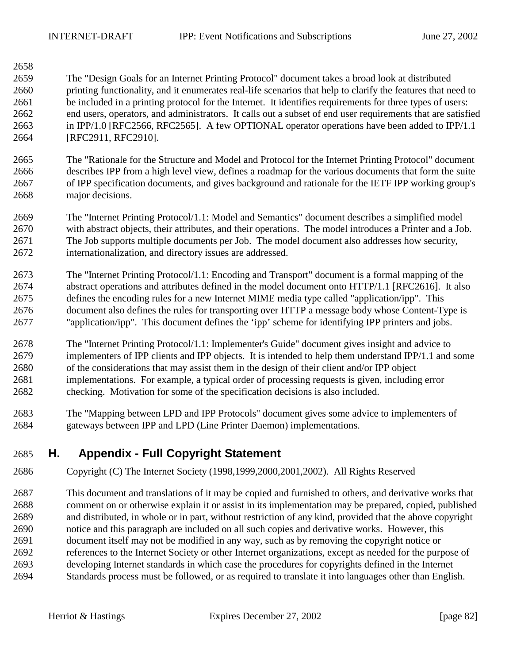2658

2659 The "Design Goals for an Internet Printing Protocol" document takes a broad look at distributed 2660 printing functionality, and it enumerates real-life scenarios that help to clarify the features that need to 2661 be included in a printing protocol for the Internet. It identifies requirements for three types of users: 2662 end users, operators, and administrators. It calls out a subset of end user requirements that are satisfied 2663 in IPP/1.0 [RFC2566, RFC2565]. A few OPTIONAL operator operations have been added to IPP/1.1 2664 [RFC2911, RFC2910].

2665 The "Rationale for the Structure and Model and Protocol for the Internet Printing Protocol" document 2666 describes IPP from a high level view, defines a roadmap for the various documents that form the suite 2667 of IPP specification documents, and gives background and rationale for the IETF IPP working group's 2668 major decisions.

2669 The "Internet Printing Protocol/1.1: Model and Semantics" document describes a simplified model 2670 with abstract objects, their attributes, and their operations. The model introduces a Printer and a Job. 2671 The Job supports multiple documents per Job. The model document also addresses how security, 2672 internationalization, and directory issues are addressed.

2673 The "Internet Printing Protocol/1.1: Encoding and Transport" document is a formal mapping of the 2674 abstract operations and attributes defined in the model document onto HTTP/1.1 [RFC2616]. It also 2675 defines the encoding rules for a new Internet MIME media type called "application/ipp". This 2676 document also defines the rules for transporting over HTTP a message body whose Content-Type is 2677 "application/ipp". This document defines the 'ipp' scheme for identifying IPP printers and jobs.

2678 The "Internet Printing Protocol/1.1: Implementer's Guide" document gives insight and advice to 2679 implementers of IPP clients and IPP objects. It is intended to help them understand IPP/1.1 and some 2680 of the considerations that may assist them in the design of their client and/or IPP object 2681 implementations. For example, a typical order of processing requests is given, including error 2682 checking. Motivation for some of the specification decisions is also included.

2683 The "Mapping between LPD and IPP Protocols" document gives some advice to implementers of 2684 gateways between IPP and LPD (Line Printer Daemon) implementations.

# 2685 **H. Appendix - Full Copyright Statement**

- 2686 Copyright (C) The Internet Society (1998,1999,2000,2001,2002). All Rights Reserved
- 2687 This document and translations of it may be copied and furnished to others, and derivative works that 2688 comment on or otherwise explain it or assist in its implementation may be prepared, copied, published 2689 and distributed, in whole or in part, without restriction of any kind, provided that the above copyright 2690 notice and this paragraph are included on all such copies and derivative works. However, this 2691 document itself may not be modified in any way, such as by removing the copyright notice or 2692 references to the Internet Society or other Internet organizations, except as needed for the purpose of 2693 developing Internet standards in which case the procedures for copyrights defined in the Internet 2694 Standards process must be followed, or as required to translate it into languages other than English.